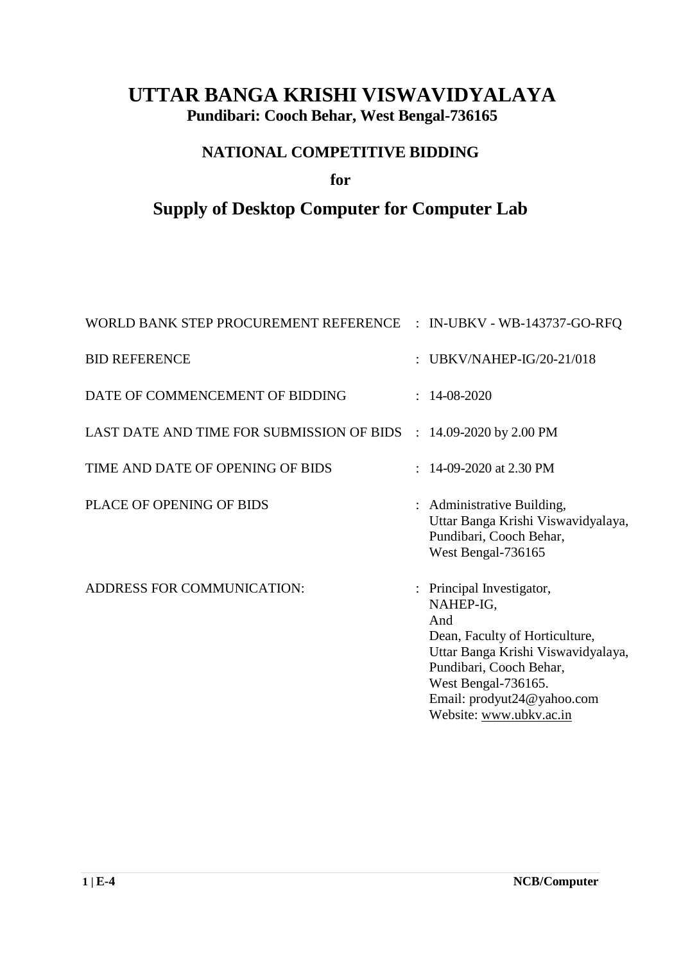## **UTTAR BANGA KRISHI VISWAVIDYALAYA Pundibari: Cooch Behar, West Bengal-736165**

## **NATIONAL COMPETITIVE BIDDING**

### **for**

## **Supply of Desktop Computer for Computer Lab**

| WORLD BANK STEP PROCUREMENT REFERENCE : IN-UBKV - WB-143737-GO-RFQ |                                                                                                                                                                                                                                  |
|--------------------------------------------------------------------|----------------------------------------------------------------------------------------------------------------------------------------------------------------------------------------------------------------------------------|
| <b>BID REFERENCE</b>                                               | UBKV/NAHEP-IG/20-21/018                                                                                                                                                                                                          |
| DATE OF COMMENCEMENT OF BIDDING                                    | $: 14-08-2020$                                                                                                                                                                                                                   |
| LAST DATE AND TIME FOR SUBMISSION OF BIDS : 14.09-2020 by 2.00 PM  |                                                                                                                                                                                                                                  |
| TIME AND DATE OF OPENING OF BIDS                                   | $: 14-09-2020$ at 2.30 PM                                                                                                                                                                                                        |
| PLACE OF OPENING OF BIDS                                           | : Administrative Building,<br>Uttar Banga Krishi Viswavidyalaya,<br>Pundibari, Cooch Behar,<br>West Bengal-736165                                                                                                                |
| ADDRESS FOR COMMUNICATION:                                         | : Principal Investigator,<br>NAHEP-IG,<br>And<br>Dean, Faculty of Horticulture,<br>Uttar Banga Krishi Viswavidyalaya,<br>Pundibari, Cooch Behar,<br>West Bengal-736165.<br>Email: prodyut24@yahoo.com<br>Website: www.ubkv.ac.in |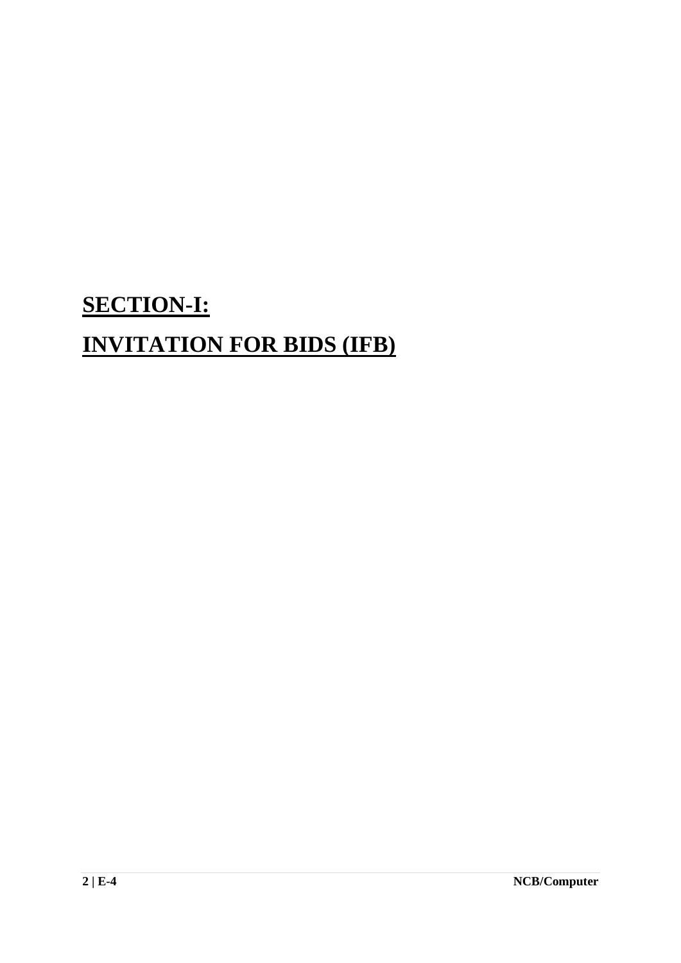# **SECTION-I: INVITATION FOR BIDS (IFB)**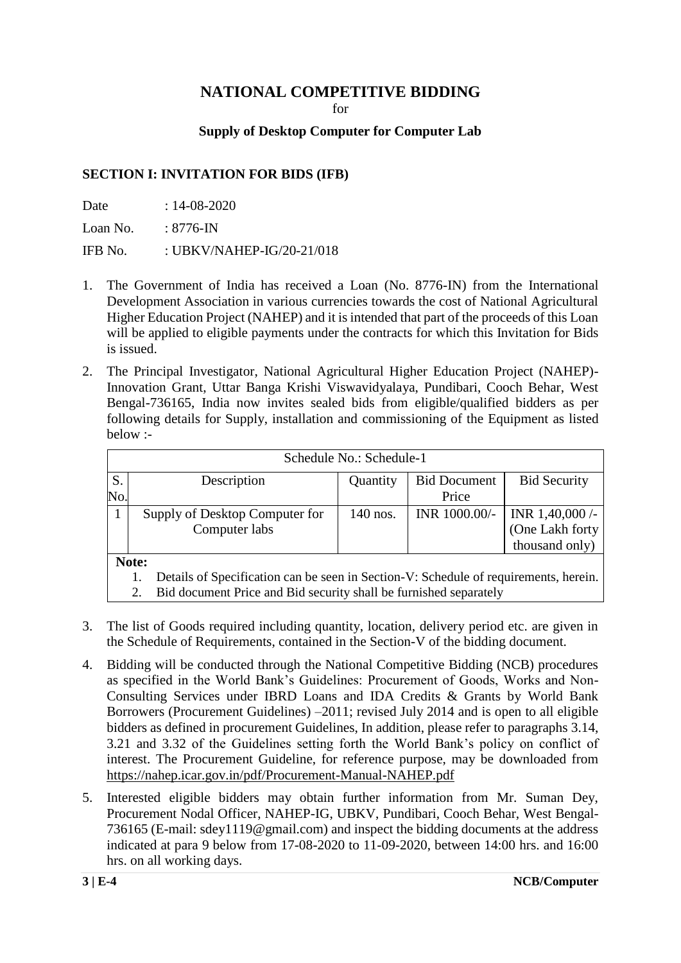### **NATIONAL COMPETITIVE BIDDING**

for

#### **Supply of Desktop Computer for Computer Lab**

#### **SECTION I: INVITATION FOR BIDS (IFB)**

Date : 14-08-2020

Loan No.  $: 8776$ -IN

IFB No.  $\qquad$  : UBKV/NAHEP-IG/20-21/018

- 1. The Government of India has received a Loan (No. 8776-IN) from the International Development Association in various currencies towards the cost of National Agricultural Higher Education Project (NAHEP) and it is intended that part of the proceeds of this Loan will be applied to eligible payments under the contracts for which this Invitation for Bids is issued.
- 2. The Principal Investigator, National Agricultural Higher Education Project (NAHEP)- Innovation Grant, Uttar Banga Krishi Viswavidyalaya, Pundibari, Cooch Behar, West Bengal-736165, India now invites sealed bids from eligible/qualified bidders as per following details for Supply, installation and commissioning of the Equipment as listed below :-

|     | Schedule No.: Schedule-1                                                             |          |                     |                     |
|-----|--------------------------------------------------------------------------------------|----------|---------------------|---------------------|
| S.  | Description                                                                          | Quantity | <b>Bid Document</b> | <b>Bid Security</b> |
| No. |                                                                                      |          | Price               |                     |
|     | Supply of Desktop Computer for                                                       | 140 nos. | INR 1000.00/-       | INR $1,40,000$ /-   |
|     | Computer labs                                                                        |          |                     | (One Lakh forty     |
|     |                                                                                      |          |                     | thousand only)      |
|     | Note:                                                                                |          |                     |                     |
|     | Details of Specification can be seen in Section-V: Schedule of requirements, herein. |          |                     |                     |

2. Bid document Price and Bid security shall be furnished separately

- 3. The list of Goods required including quantity, location, delivery period etc. are given in the Schedule of Requirements, contained in the Section-V of the bidding document.
- 4. Bidding will be conducted through the National Competitive Bidding (NCB) procedures as specified in the World Bank's Guidelines: Procurement of Goods, Works and Non-Consulting Services under IBRD Loans and IDA Credits & Grants by World Bank Borrowers (Procurement Guidelines) –2011; revised July 2014 and is open to all eligible bidders as defined in procurement Guidelines, In addition, please refer to paragraphs 3.14, 3.21 and 3.32 of the Guidelines setting forth the World Bank's policy on conflict of interest. The Procurement Guideline, for reference purpose, may be downloaded from <https://nahep.icar.gov.in/pdf/Procurement-Manual-NAHEP.pdf>
- 5. Interested eligible bidders may obtain further information from Mr. Suman Dey, Procurement Nodal Officer, NAHEP-IG, UBKV, Pundibari, Cooch Behar, West Bengal-736165 (E-mail: sdey1119@gmail.com) and inspect the bidding documents at the address indicated at para 9 below from 17-08-2020 to 11-09-2020, between 14:00 hrs. and 16:00 hrs. on all working days.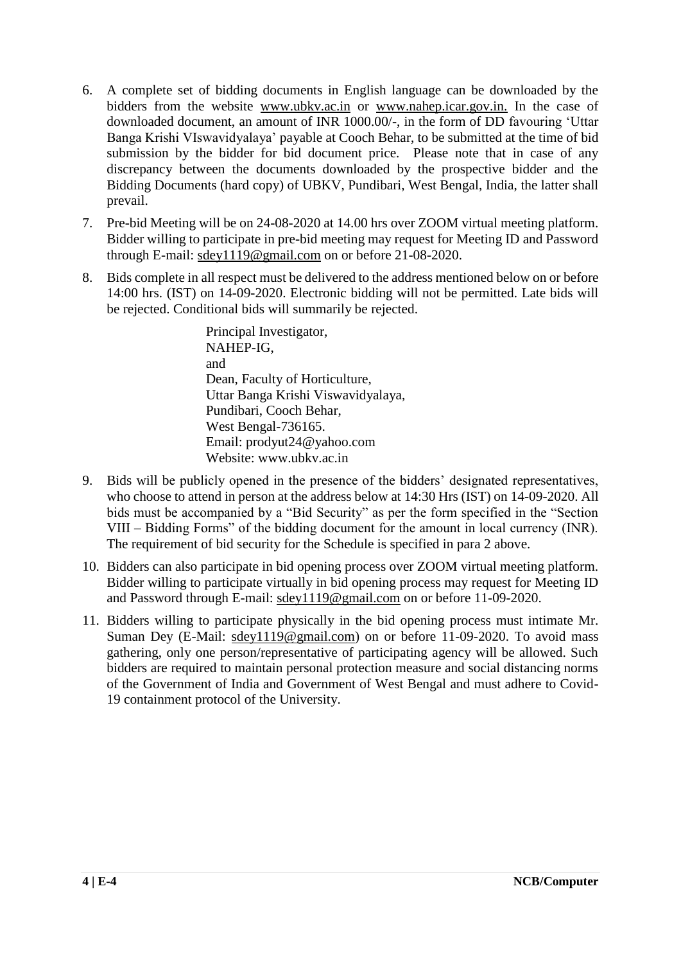- 6. A complete set of bidding documents in English language can be downloaded by the bidders from the website www.ubkv.ac.in or www.nahep.icar.gov.in. In the case of downloaded document, an amount of INR 1000.00/-, in the form of DD favouring 'Uttar Banga Krishi VIswavidyalaya' payable at Cooch Behar, to be submitted at the time of bid submission by the bidder for bid document price. Please note that in case of any discrepancy between the documents downloaded by the prospective bidder and the Bidding Documents (hard copy) of UBKV, Pundibari, West Bengal, India, the latter shall prevail.
- 7. Pre-bid Meeting will be on 24-08-2020 at 14.00 hrs over ZOOM virtual meeting platform. Bidder willing to participate in pre-bid meeting may request for Meeting ID and Password through E-mail: [sdey1119@gmail.com](mailto:sdey1119@gmail.com) on or before 21-08-2020.
- 8. Bids complete in all respect must be delivered to the address mentioned below on or before 14:00 hrs. (IST) on 14-09-2020. Electronic bidding will not be permitted. Late bids will be rejected. Conditional bids will summarily be rejected.

Principal Investigator, NAHEP-IG, and Dean, Faculty of Horticulture, Uttar Banga Krishi Viswavidyalaya, Pundibari, Cooch Behar, West Bengal-736165. Email: prodyut24@yahoo.com Website: www.ubkv.ac.in

- 9. Bids will be publicly opened in the presence of the bidders' designated representatives, who choose to attend in person at the address below at 14:30 Hrs (IST) on 14-09-2020. All bids must be accompanied by a "Bid Security" as per the form specified in the "Section VIII – Bidding Forms" of the bidding document for the amount in local currency (INR). The requirement of bid security for the Schedule is specified in para 2 above.
- 10. Bidders can also participate in bid opening process over ZOOM virtual meeting platform. Bidder willing to participate virtually in bid opening process may request for Meeting ID and Password through E-mail: [sdey1119@gmail.com](mailto:sdey1119@gmail.com) on or before 11-09-2020.
- 11. Bidders willing to participate physically in the bid opening process must intimate Mr. Suman Dey (E-Mail: [sdey1119@gmail.com\)](mailto:sdey1119@gmail.com) on or before 11-09-2020. To avoid mass gathering, only one person/representative of participating agency will be allowed. Such bidders are required to maintain personal protection measure and social distancing norms of the Government of India and Government of West Bengal and must adhere to Covid-19 containment protocol of the University.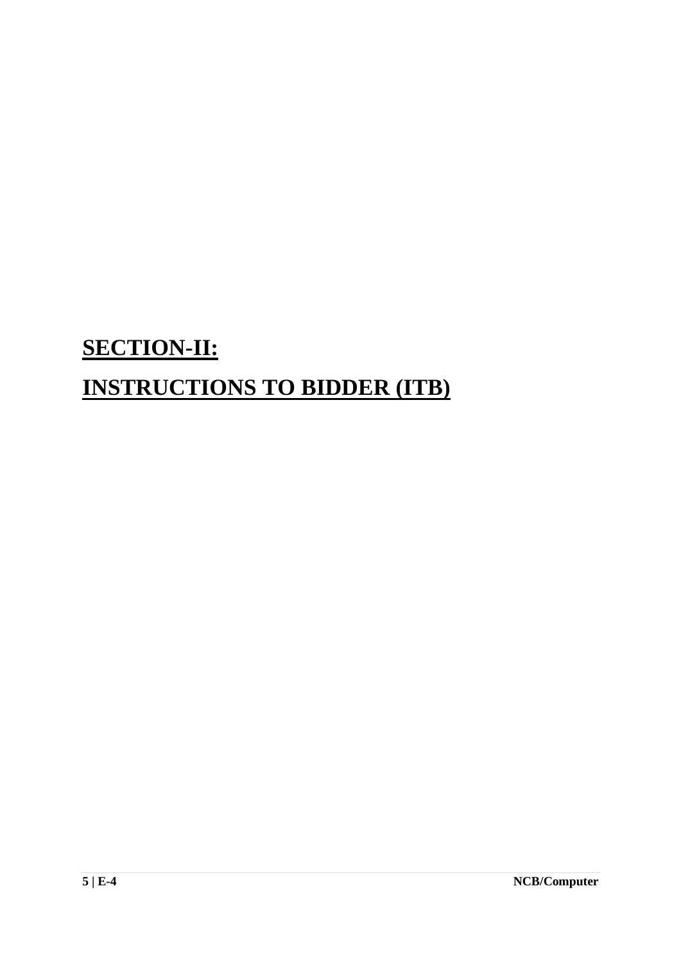# **SECTION-II: INSTRUCTIONS TO BIDDER (ITB)**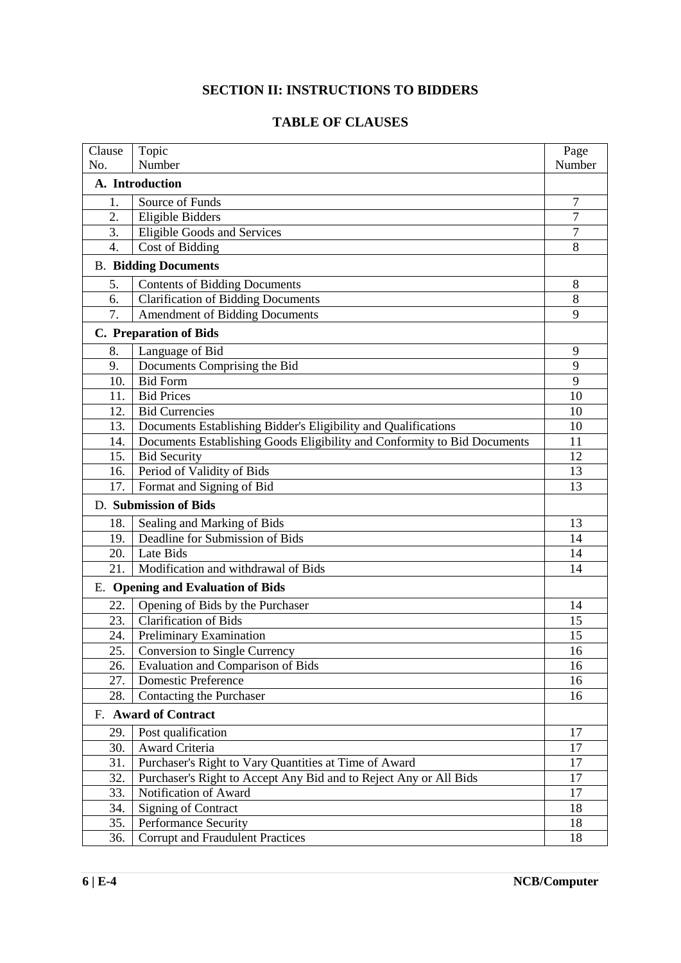### **SECTION II: INSTRUCTIONS TO BIDDERS**

#### **TABLE OF CLAUSES**

| Clause | Topic                                                                    | Page   |  |  |
|--------|--------------------------------------------------------------------------|--------|--|--|
| No.    | Number                                                                   | Number |  |  |
|        | A. Introduction                                                          |        |  |  |
| 1.     | Source of Funds                                                          | 7      |  |  |
| 2.     | <b>Eligible Bidders</b>                                                  |        |  |  |
| 3.     | <b>Eligible Goods and Services</b>                                       |        |  |  |
| 4.     | Cost of Bidding                                                          | 8      |  |  |
|        | <b>B.</b> Bidding Documents                                              |        |  |  |
| 5.     | <b>Contents of Bidding Documents</b>                                     | 8      |  |  |
| 6.     | <b>Clarification of Bidding Documents</b>                                | 8      |  |  |
| 7.     | Amendment of Bidding Documents                                           | 9      |  |  |
|        | C. Preparation of Bids                                                   |        |  |  |
| 8.     | Language of Bid                                                          | 9      |  |  |
| 9.     | Documents Comprising the Bid                                             | 9      |  |  |
| 10.    | <b>Bid Form</b>                                                          | 9      |  |  |
| 11.    | <b>Bid Prices</b>                                                        | 10     |  |  |
| 12.    | <b>Bid Currencies</b>                                                    | 10     |  |  |
| 13.    | Documents Establishing Bidder's Eligibility and Qualifications           | 10     |  |  |
| 14.    | Documents Establishing Goods Eligibility and Conformity to Bid Documents | 11     |  |  |
| 15.    | <b>Bid Security</b>                                                      | 12     |  |  |
| 16.    | Period of Validity of Bids                                               |        |  |  |
| 17.    | Format and Signing of Bid                                                | 13     |  |  |
|        | D. Submission of Bids                                                    |        |  |  |
| 18.    | Sealing and Marking of Bids                                              | 13     |  |  |
| 19.    | Deadline for Submission of Bids                                          |        |  |  |
| 20.    | Late Bids                                                                |        |  |  |
| 21.    | Modification and withdrawal of Bids                                      |        |  |  |
|        | <b>E.</b> Opening and Evaluation of Bids                                 |        |  |  |
| 22.    | Opening of Bids by the Purchaser                                         | 14     |  |  |
| 23.    | <b>Clarification of Bids</b>                                             | 15     |  |  |
| 24.    | Preliminary Examination                                                  | 15     |  |  |
| 25.    | <b>Conversion to Single Currency</b>                                     | 16     |  |  |
| 26.    | <b>Evaluation and Comparison of Bids</b>                                 | 16     |  |  |
| 27.    | <b>Domestic Preference</b>                                               |        |  |  |
| 28.    | Contacting the Purchaser                                                 | 16     |  |  |
|        | F. Award of Contract                                                     |        |  |  |
| 29.    | Post qualification                                                       | 17     |  |  |
| 30.    | Award Criteria                                                           | 17     |  |  |
| 31.    | Purchaser's Right to Vary Quantities at Time of Award                    | 17     |  |  |
| 32.    | Purchaser's Right to Accept Any Bid and to Reject Any or All Bids        | 17     |  |  |
| 33.    | Notification of Award                                                    | 17     |  |  |
| 34.    | <b>Signing of Contract</b>                                               | 18     |  |  |
| 35.    | Performance Security                                                     | 18     |  |  |
| 36.    | <b>Corrupt and Fraudulent Practices</b>                                  | 18     |  |  |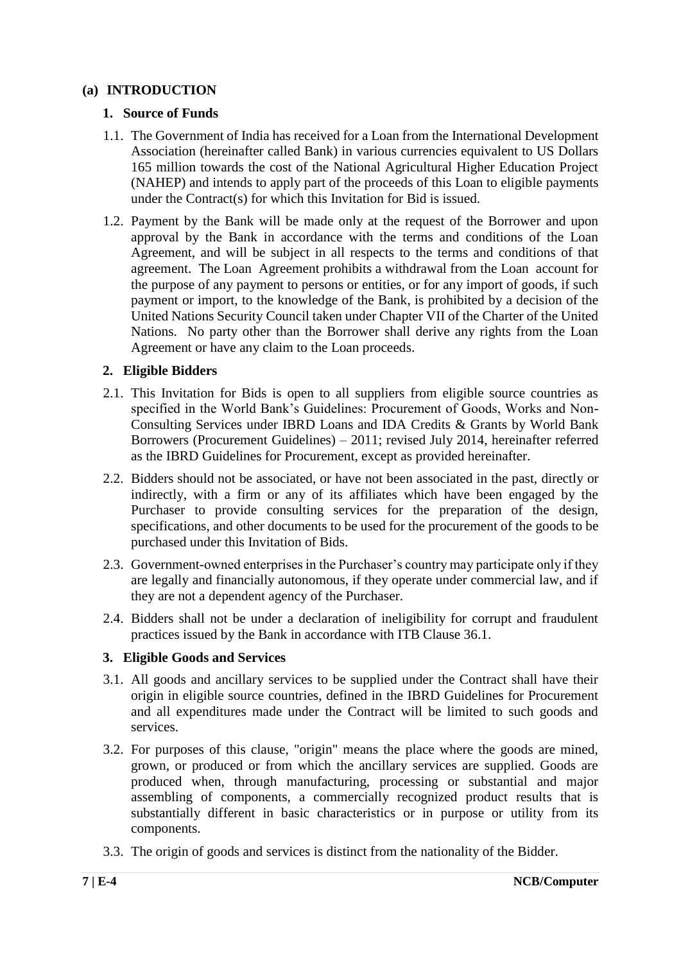#### **(a) INTRODUCTION**

#### **1. Source of Funds**

- 1.1. The Government of India has received for a Loan from the International Development Association (hereinafter called Bank) in various currencies equivalent to US Dollars 165 million towards the cost of the National Agricultural Higher Education Project (NAHEP) and intends to apply part of the proceeds of this Loan to eligible payments under the Contract(s) for which this Invitation for Bid is issued.
- 1.2. Payment by the Bank will be made only at the request of the Borrower and upon approval by the Bank in accordance with the terms and conditions of the Loan Agreement, and will be subject in all respects to the terms and conditions of that agreement. The Loan Agreement prohibits a withdrawal from the Loan account for the purpose of any payment to persons or entities, or for any import of goods, if such payment or import, to the knowledge of the Bank, is prohibited by a decision of the United Nations Security Council taken under Chapter VII of the Charter of the United Nations. No party other than the Borrower shall derive any rights from the Loan Agreement or have any claim to the Loan proceeds.

#### **2. Eligible Bidders**

- 2.1. This Invitation for Bids is open to all suppliers from eligible source countries as specified in the World Bank's Guidelines: Procurement of Goods, Works and Non-Consulting Services under IBRD Loans and IDA Credits & Grants by World Bank Borrowers (Procurement Guidelines) – 2011; revised July 2014, hereinafter referred as the IBRD Guidelines for Procurement, except as provided hereinafter.
- 2.2. Bidders should not be associated, or have not been associated in the past, directly or indirectly, with a firm or any of its affiliates which have been engaged by the Purchaser to provide consulting services for the preparation of the design, specifications, and other documents to be used for the procurement of the goods to be purchased under this Invitation of Bids.
- 2.3. Government-owned enterprises in the Purchaser's country may participate only if they are legally and financially autonomous, if they operate under commercial law, and if they are not a dependent agency of the Purchaser.
- 2.4. Bidders shall not be under a declaration of ineligibility for corrupt and fraudulent practices issued by the Bank in accordance with ITB Clause 36.1.

#### **3. Eligible Goods and Services**

- 3.1. All goods and ancillary services to be supplied under the Contract shall have their origin in eligible source countries, defined in the IBRD Guidelines for Procurement and all expenditures made under the Contract will be limited to such goods and services.
- 3.2. For purposes of this clause, "origin" means the place where the goods are mined, grown, or produced or from which the ancillary services are supplied. Goods are produced when, through manufacturing, processing or substantial and major assembling of components, a commercially recognized product results that is substantially different in basic characteristics or in purpose or utility from its components.
- 3.3. The origin of goods and services is distinct from the nationality of the Bidder.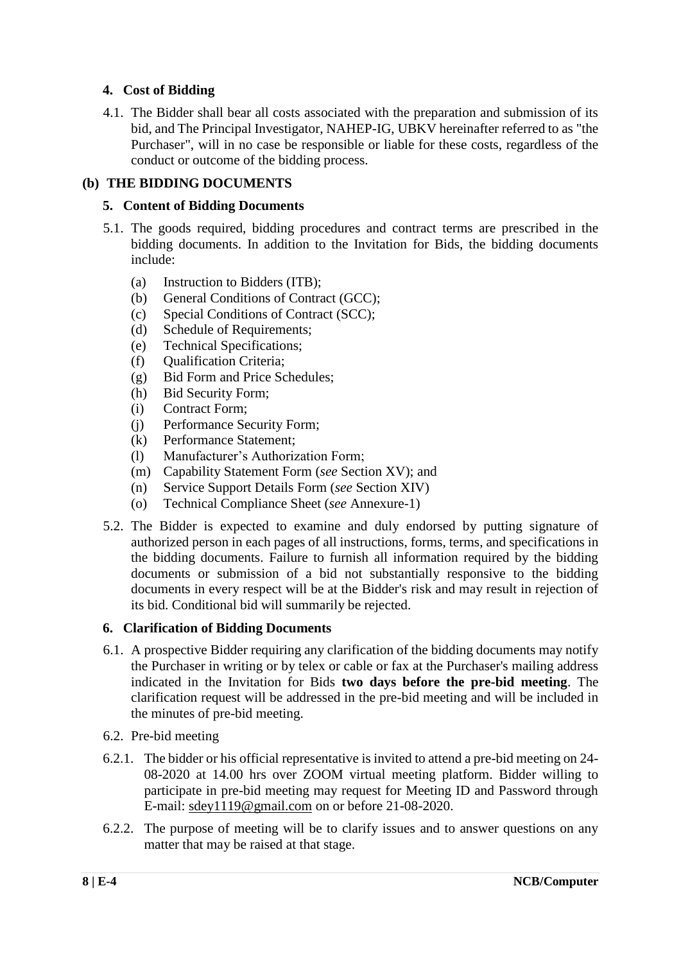#### **4. Cost of Bidding**

4.1. The Bidder shall bear all costs associated with the preparation and submission of its bid, and The Principal Investigator, NAHEP-IG, UBKV hereinafter referred to as "the Purchaser", will in no case be responsible or liable for these costs, regardless of the conduct or outcome of the bidding process.

#### **(b) THE BIDDING DOCUMENTS**

#### **5. Content of Bidding Documents**

- 5.1. The goods required, bidding procedures and contract terms are prescribed in the bidding documents. In addition to the Invitation for Bids, the bidding documents include:
	- (a) Instruction to Bidders (ITB);
	- (b) General Conditions of Contract (GCC);
	- (c) Special Conditions of Contract (SCC);
	- (d) Schedule of Requirements;
	- (e) Technical Specifications;
	- (f) Qualification Criteria;
	- (g) Bid Form and Price Schedules;
	- (h) Bid Security Form;
	- (i) Contract Form;
	- (j) Performance Security Form;
	- (k) Performance Statement;
	- (l) Manufacturer's Authorization Form;
	- (m) Capability Statement Form (*see* Section XV); and
	- (n) Service Support Details Form (*see* Section XIV)
	- (o) Technical Compliance Sheet (*see* Annexure-1)
- 5.2. The Bidder is expected to examine and duly endorsed by putting signature of authorized person in each pages of all instructions, forms, terms, and specifications in the bidding documents. Failure to furnish all information required by the bidding documents or submission of a bid not substantially responsive to the bidding documents in every respect will be at the Bidder's risk and may result in rejection of its bid. Conditional bid will summarily be rejected.

#### **6. Clarification of Bidding Documents**

- 6.1. A prospective Bidder requiring any clarification of the bidding documents may notify the Purchaser in writing or by telex or cable or fax at the Purchaser's mailing address indicated in the Invitation for Bids **two days before the pre-bid meeting**. The clarification request will be addressed in the pre-bid meeting and will be included in the minutes of pre-bid meeting.
- 6.2. Pre-bid meeting
- 6.2.1. The bidder or his official representative is invited to attend a pre-bid meeting on 24- 08-2020 at 14.00 hrs over ZOOM virtual meeting platform. Bidder willing to participate in pre-bid meeting may request for Meeting ID and Password through E-mail: [sdey1119@gmail.com](mailto:sdey1119@gmail.com) on or before 21-08-2020.
- 6.2.2. The purpose of meeting will be to clarify issues and to answer questions on any matter that may be raised at that stage.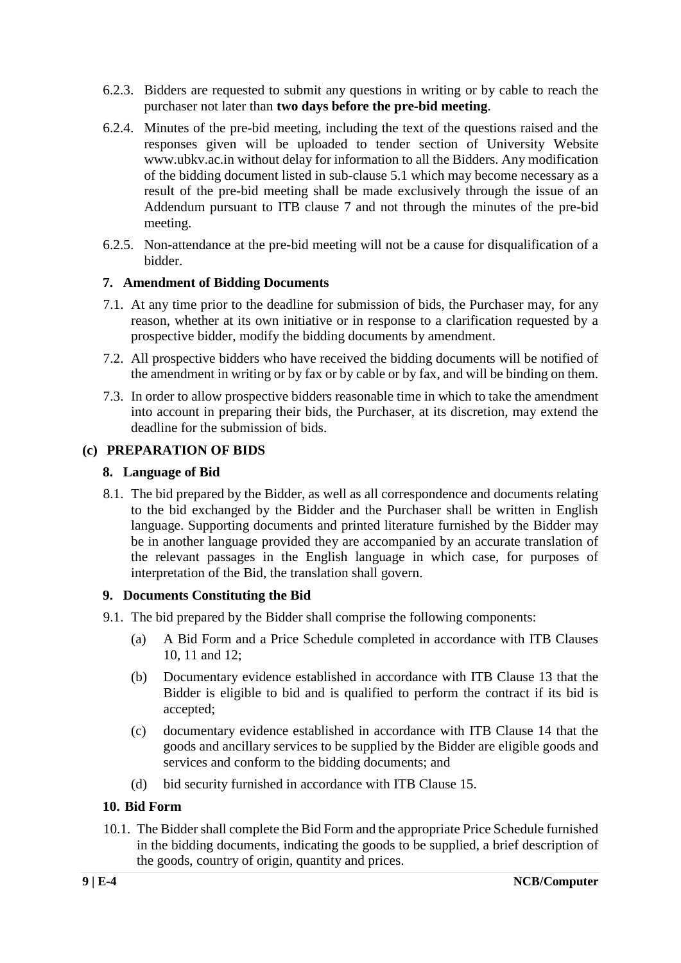- 6.2.3. Bidders are requested to submit any questions in writing or by cable to reach the purchaser not later than **two days before the pre-bid meeting**.
- 6.2.4. Minutes of the pre-bid meeting, including the text of the questions raised and the responses given will be uploaded to tender section of University Website www.ubkv.ac.in without delay for information to all the Bidders. Any modification of the bidding document listed in sub-clause 5.1 which may become necessary as a result of the pre-bid meeting shall be made exclusively through the issue of an Addendum pursuant to ITB clause 7 and not through the minutes of the pre-bid meeting.
- 6.2.5. Non-attendance at the pre-bid meeting will not be a cause for disqualification of a bidder.

#### **7. Amendment of Bidding Documents**

- 7.1. At any time prior to the deadline for submission of bids, the Purchaser may, for any reason, whether at its own initiative or in response to a clarification requested by a prospective bidder, modify the bidding documents by amendment.
- 7.2. All prospective bidders who have received the bidding documents will be notified of the amendment in writing or by fax or by cable or by fax, and will be binding on them.
- 7.3. In order to allow prospective bidders reasonable time in which to take the amendment into account in preparing their bids, the Purchaser, at its discretion, may extend the deadline for the submission of bids.

#### **(c) PREPARATION OF BIDS**

#### **8. Language of Bid**

8.1. The bid prepared by the Bidder, as well as all correspondence and documents relating to the bid exchanged by the Bidder and the Purchaser shall be written in English language. Supporting documents and printed literature furnished by the Bidder may be in another language provided they are accompanied by an accurate translation of the relevant passages in the English language in which case, for purposes of interpretation of the Bid, the translation shall govern.

#### **9. Documents Constituting the Bid**

- 9.1. The bid prepared by the Bidder shall comprise the following components:
	- (a) A Bid Form and a Price Schedule completed in accordance with ITB Clauses 10, 11 and 12;
	- (b) Documentary evidence established in accordance with ITB Clause 13 that the Bidder is eligible to bid and is qualified to perform the contract if its bid is accepted;
	- (c) documentary evidence established in accordance with ITB Clause 14 that the goods and ancillary services to be supplied by the Bidder are eligible goods and services and conform to the bidding documents; and
	- (d) bid security furnished in accordance with ITB Clause 15.

#### **10. Bid Form**

10.1. The Bidder shall complete the Bid Form and the appropriate Price Schedule furnished in the bidding documents, indicating the goods to be supplied, a brief description of the goods, country of origin, quantity and prices.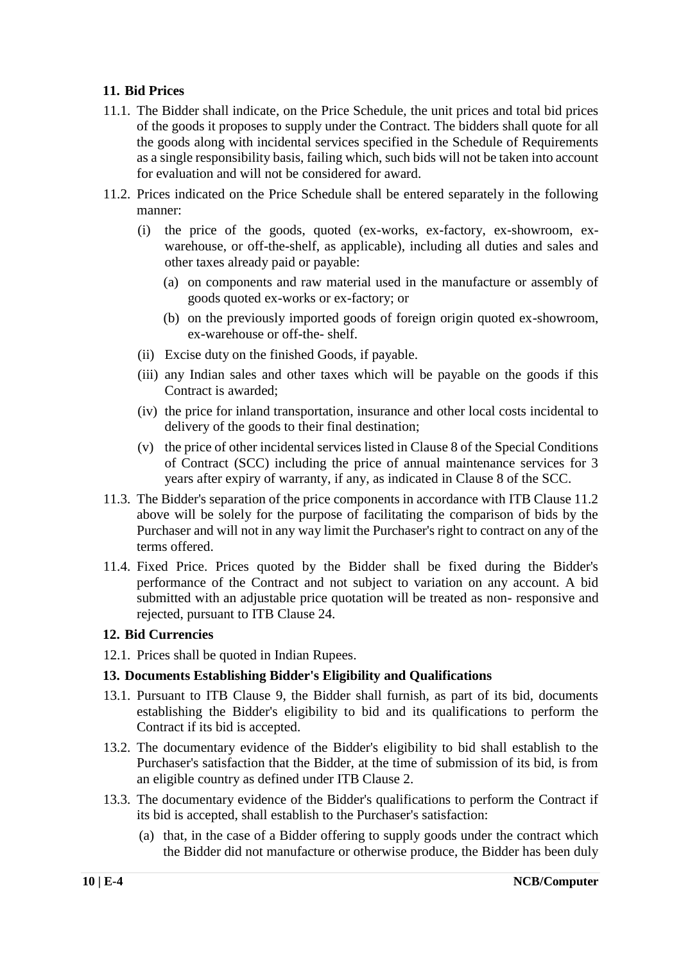#### **11. Bid Prices**

- 11.1. The Bidder shall indicate, on the Price Schedule, the unit prices and total bid prices of the goods it proposes to supply under the Contract. The bidders shall quote for all the goods along with incidental services specified in the Schedule of Requirements as a single responsibility basis, failing which, such bids will not be taken into account for evaluation and will not be considered for award.
- 11.2. Prices indicated on the Price Schedule shall be entered separately in the following manner:
	- (i) the price of the goods, quoted (ex-works, ex-factory, ex-showroom, exwarehouse, or off-the-shelf, as applicable), including all duties and sales and other taxes already paid or payable:
		- (a) on components and raw material used in the manufacture or assembly of goods quoted ex-works or ex-factory; or
		- (b) on the previously imported goods of foreign origin quoted ex-showroom, ex-warehouse or off-the- shelf.
	- (ii) Excise duty on the finished Goods, if payable.
	- (iii) any Indian sales and other taxes which will be payable on the goods if this Contract is awarded;
	- (iv) the price for inland transportation, insurance and other local costs incidental to delivery of the goods to their final destination;
	- (v) the price of other incidental services listed in Clause 8 of the Special Conditions of Contract (SCC) including the price of annual maintenance services for 3 years after expiry of warranty, if any, as indicated in Clause 8 of the SCC.
- 11.3. The Bidder's separation of the price components in accordance with ITB Clause 11.2 above will be solely for the purpose of facilitating the comparison of bids by the Purchaser and will not in any way limit the Purchaser's right to contract on any of the terms offered.
- 11.4. Fixed Price. Prices quoted by the Bidder shall be fixed during the Bidder's performance of the Contract and not subject to variation on any account. A bid submitted with an adjustable price quotation will be treated as non- responsive and rejected, pursuant to ITB Clause 24.

#### **12. Bid Currencies**

12.1. Prices shall be quoted in Indian Rupees.

#### **13. Documents Establishing Bidder's Eligibility and Qualifications**

- 13.1. Pursuant to ITB Clause 9, the Bidder shall furnish, as part of its bid, documents establishing the Bidder's eligibility to bid and its qualifications to perform the Contract if its bid is accepted.
- 13.2. The documentary evidence of the Bidder's eligibility to bid shall establish to the Purchaser's satisfaction that the Bidder, at the time of submission of its bid, is from an eligible country as defined under ITB Clause 2.
- 13.3. The documentary evidence of the Bidder's qualifications to perform the Contract if its bid is accepted, shall establish to the Purchaser's satisfaction:
	- (a) that, in the case of a Bidder offering to supply goods under the contract which the Bidder did not manufacture or otherwise produce, the Bidder has been duly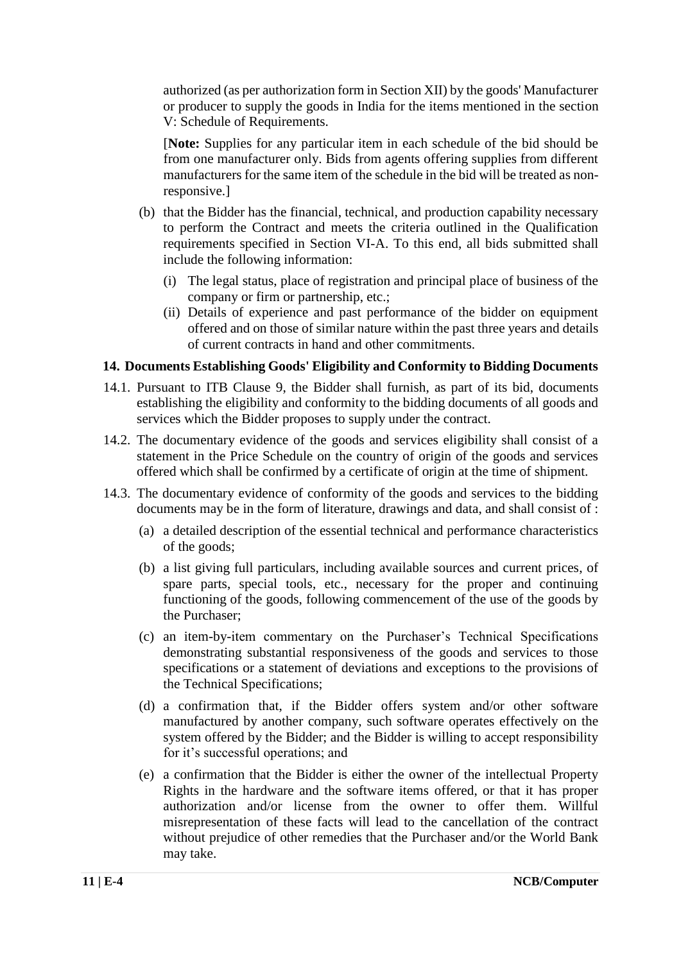authorized (as per authorization form in Section XII) by the goods' Manufacturer or producer to supply the goods in India for the items mentioned in the section V: Schedule of Requirements.

[**Note:** Supplies for any particular item in each schedule of the bid should be from one manufacturer only. Bids from agents offering supplies from different manufacturers for the same item of the schedule in the bid will be treated as nonresponsive.]

- (b) that the Bidder has the financial, technical, and production capability necessary to perform the Contract and meets the criteria outlined in the Qualification requirements specified in Section VI-A. To this end, all bids submitted shall include the following information:
	- (i) The legal status, place of registration and principal place of business of the company or firm or partnership, etc.;
	- (ii) Details of experience and past performance of the bidder on equipment offered and on those of similar nature within the past three years and details of current contracts in hand and other commitments.

#### **14. Documents Establishing Goods' Eligibility and Conformity to Bidding Documents**

- 14.1. Pursuant to ITB Clause 9, the Bidder shall furnish, as part of its bid, documents establishing the eligibility and conformity to the bidding documents of all goods and services which the Bidder proposes to supply under the contract.
- 14.2. The documentary evidence of the goods and services eligibility shall consist of a statement in the Price Schedule on the country of origin of the goods and services offered which shall be confirmed by a certificate of origin at the time of shipment.
- 14.3. The documentary evidence of conformity of the goods and services to the bidding documents may be in the form of literature, drawings and data, and shall consist of :
	- (a) a detailed description of the essential technical and performance characteristics of the goods;
	- (b) a list giving full particulars, including available sources and current prices, of spare parts, special tools, etc., necessary for the proper and continuing functioning of the goods, following commencement of the use of the goods by the Purchaser;
	- (c) an item-by-item commentary on the Purchaser's Technical Specifications demonstrating substantial responsiveness of the goods and services to those specifications or a statement of deviations and exceptions to the provisions of the Technical Specifications;
	- (d) a confirmation that, if the Bidder offers system and/or other software manufactured by another company, such software operates effectively on the system offered by the Bidder; and the Bidder is willing to accept responsibility for it's successful operations; and
	- (e) a confirmation that the Bidder is either the owner of the intellectual Property Rights in the hardware and the software items offered, or that it has proper authorization and/or license from the owner to offer them. Willful misrepresentation of these facts will lead to the cancellation of the contract without prejudice of other remedies that the Purchaser and/or the World Bank may take.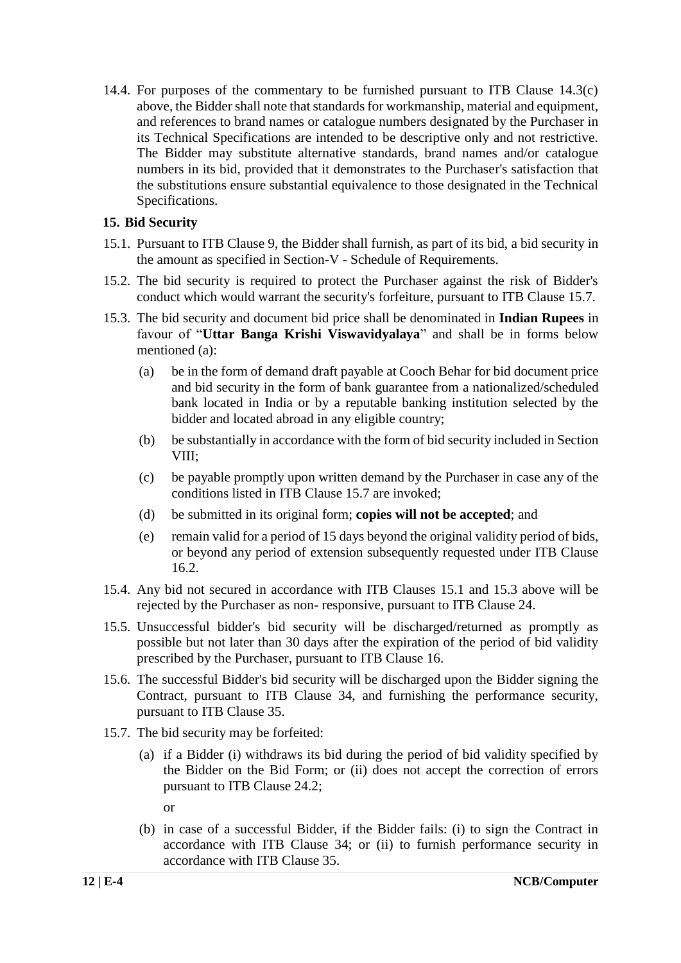14.4. For purposes of the commentary to be furnished pursuant to ITB Clause 14.3(c) above, the Bidder shall note that standards for workmanship, material and equipment, and references to brand names or catalogue numbers designated by the Purchaser in its Technical Specifications are intended to be descriptive only and not restrictive. The Bidder may substitute alternative standards, brand names and/or catalogue numbers in its bid, provided that it demonstrates to the Purchaser's satisfaction that the substitutions ensure substantial equivalence to those designated in the Technical Specifications.

#### **15. Bid Security**

- 15.1. Pursuant to ITB Clause 9, the Bidder shall furnish, as part of its bid, a bid security in the amount as specified in Section-V - Schedule of Requirements.
- 15.2. The bid security is required to protect the Purchaser against the risk of Bidder's conduct which would warrant the security's forfeiture, pursuant to ITB Clause 15.7.
- 15.3. The bid security and document bid price shall be denominated in **Indian Rupees** in favour of "**Uttar Banga Krishi Viswavidyalaya**" and shall be in forms below mentioned (a):
	- (a) be in the form of demand draft payable at Cooch Behar for bid document price and bid security in the form of bank guarantee from a nationalized/scheduled bank located in India or by a reputable banking institution selected by the bidder and located abroad in any eligible country;
	- (b) be substantially in accordance with the form of bid security included in Section VIII;
	- (c) be payable promptly upon written demand by the Purchaser in case any of the conditions listed in ITB Clause 15.7 are invoked;
	- (d) be submitted in its original form; **copies will not be accepted**; and
	- (e) remain valid for a period of 15 days beyond the original validity period of bids, or beyond any period of extension subsequently requested under ITB Clause 16.2.
- 15.4. Any bid not secured in accordance with ITB Clauses 15.1 and 15.3 above will be rejected by the Purchaser as non- responsive, pursuant to ITB Clause 24.
- 15.5. Unsuccessful bidder's bid security will be discharged/returned as promptly as possible but not later than 30 days after the expiration of the period of bid validity prescribed by the Purchaser, pursuant to ITB Clause 16.
- 15.6. The successful Bidder's bid security will be discharged upon the Bidder signing the Contract, pursuant to ITB Clause 34, and furnishing the performance security, pursuant to ITB Clause 35.
- 15.7. The bid security may be forfeited:
	- (a) if a Bidder (i) withdraws its bid during the period of bid validity specified by the Bidder on the Bid Form; or (ii) does not accept the correction of errors pursuant to ITB Clause 24.2;

or

(b) in case of a successful Bidder, if the Bidder fails: (i) to sign the Contract in accordance with ITB Clause 34; or (ii) to furnish performance security in accordance with ITB Clause 35.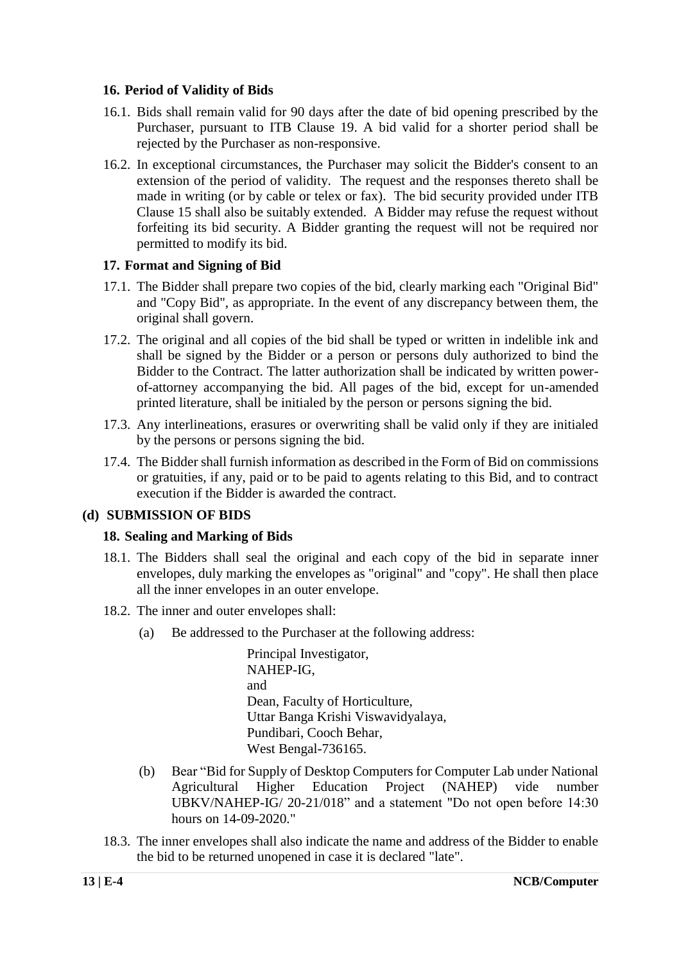#### **16. Period of Validity of Bids**

- 16.1. Bids shall remain valid for 90 days after the date of bid opening prescribed by the Purchaser, pursuant to ITB Clause 19. A bid valid for a shorter period shall be rejected by the Purchaser as non-responsive.
- 16.2. In exceptional circumstances, the Purchaser may solicit the Bidder's consent to an extension of the period of validity. The request and the responses thereto shall be made in writing (or by cable or telex or fax). The bid security provided under ITB Clause 15 shall also be suitably extended. A Bidder may refuse the request without forfeiting its bid security. A Bidder granting the request will not be required nor permitted to modify its bid.

#### **17. Format and Signing of Bid**

- 17.1. The Bidder shall prepare two copies of the bid, clearly marking each "Original Bid" and "Copy Bid", as appropriate. In the event of any discrepancy between them, the original shall govern.
- 17.2. The original and all copies of the bid shall be typed or written in indelible ink and shall be signed by the Bidder or a person or persons duly authorized to bind the Bidder to the Contract. The latter authorization shall be indicated by written powerof-attorney accompanying the bid. All pages of the bid, except for un-amended printed literature, shall be initialed by the person or persons signing the bid.
- 17.3. Any interlineations, erasures or overwriting shall be valid only if they are initialed by the persons or persons signing the bid.
- 17.4. The Bidder shall furnish information as described in the Form of Bid on commissions or gratuities, if any, paid or to be paid to agents relating to this Bid, and to contract execution if the Bidder is awarded the contract.

#### **(d) SUBMISSION OF BIDS**

#### **18. Sealing and Marking of Bids**

- 18.1. The Bidders shall seal the original and each copy of the bid in separate inner envelopes, duly marking the envelopes as "original" and "copy". He shall then place all the inner envelopes in an outer envelope.
- 18.2. The inner and outer envelopes shall:
	- (a) Be addressed to the Purchaser at the following address:

Principal Investigator, NAHEP-IG, and Dean, Faculty of Horticulture, Uttar Banga Krishi Viswavidyalaya, Pundibari, Cooch Behar, West Bengal-736165.

- (b) Bear "Bid for Supply of Desktop Computers for Computer Lab under National Agricultural Higher Education Project (NAHEP) vide number UBKV/NAHEP-IG/ 20-21/018" and a statement "Do not open before 14:30 hours on 14-09-2020."
- 18.3. The inner envelopes shall also indicate the name and address of the Bidder to enable the bid to be returned unopened in case it is declared "late".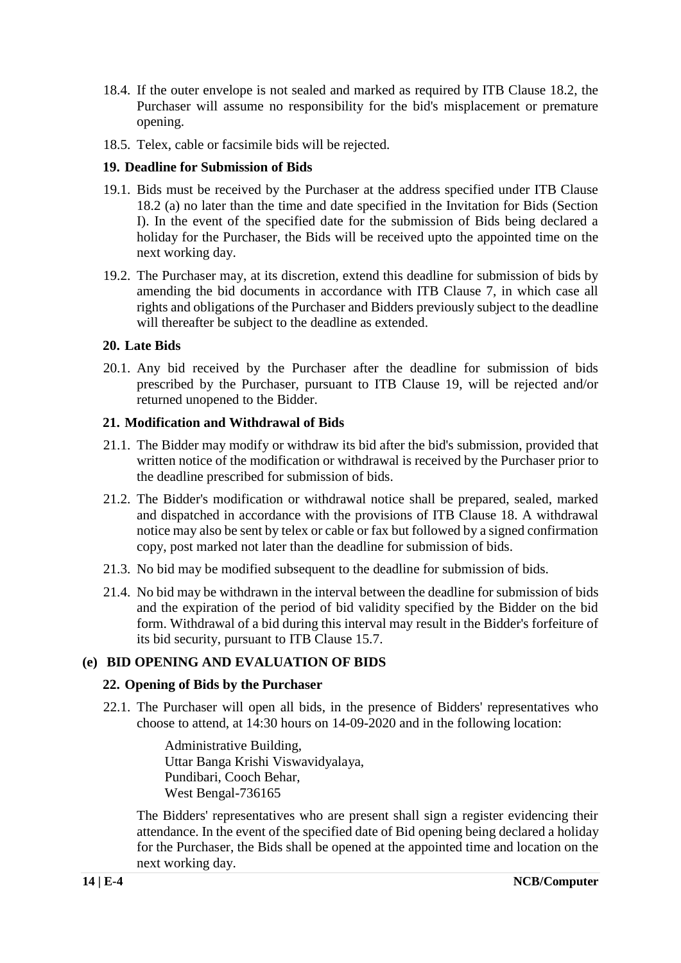- 18.4. If the outer envelope is not sealed and marked as required by ITB Clause 18.2, the Purchaser will assume no responsibility for the bid's misplacement or premature opening.
- 18.5. Telex, cable or facsimile bids will be rejected.

#### **19. Deadline for Submission of Bids**

- 19.1. Bids must be received by the Purchaser at the address specified under ITB Clause 18.2 (a) no later than the time and date specified in the Invitation for Bids (Section I). In the event of the specified date for the submission of Bids being declared a holiday for the Purchaser, the Bids will be received upto the appointed time on the next working day.
- 19.2. The Purchaser may, at its discretion, extend this deadline for submission of bids by amending the bid documents in accordance with ITB Clause 7, in which case all rights and obligations of the Purchaser and Bidders previously subject to the deadline will thereafter be subject to the deadline as extended.

#### **20. Late Bids**

20.1. Any bid received by the Purchaser after the deadline for submission of bids prescribed by the Purchaser, pursuant to ITB Clause 19, will be rejected and/or returned unopened to the Bidder.

#### **21. Modification and Withdrawal of Bids**

- 21.1. The Bidder may modify or withdraw its bid after the bid's submission, provided that written notice of the modification or withdrawal is received by the Purchaser prior to the deadline prescribed for submission of bids.
- 21.2. The Bidder's modification or withdrawal notice shall be prepared, sealed, marked and dispatched in accordance with the provisions of ITB Clause 18. A withdrawal notice may also be sent by telex or cable or fax but followed by a signed confirmation copy, post marked not later than the deadline for submission of bids.
- 21.3. No bid may be modified subsequent to the deadline for submission of bids.
- 21.4. No bid may be withdrawn in the interval between the deadline for submission of bids and the expiration of the period of bid validity specified by the Bidder on the bid form. Withdrawal of a bid during this interval may result in the Bidder's forfeiture of its bid security, pursuant to ITB Clause 15.7.

#### **(e) BID OPENING AND EVALUATION OF BIDS**

#### **22. Opening of Bids by the Purchaser**

22.1. The Purchaser will open all bids, in the presence of Bidders' representatives who choose to attend, at 14:30 hours on 14-09-2020 and in the following location:

> Administrative Building, Uttar Banga Krishi Viswavidyalaya, Pundibari, Cooch Behar, West Bengal-736165

The Bidders' representatives who are present shall sign a register evidencing their attendance. In the event of the specified date of Bid opening being declared a holiday for the Purchaser, the Bids shall be opened at the appointed time and location on the next working day.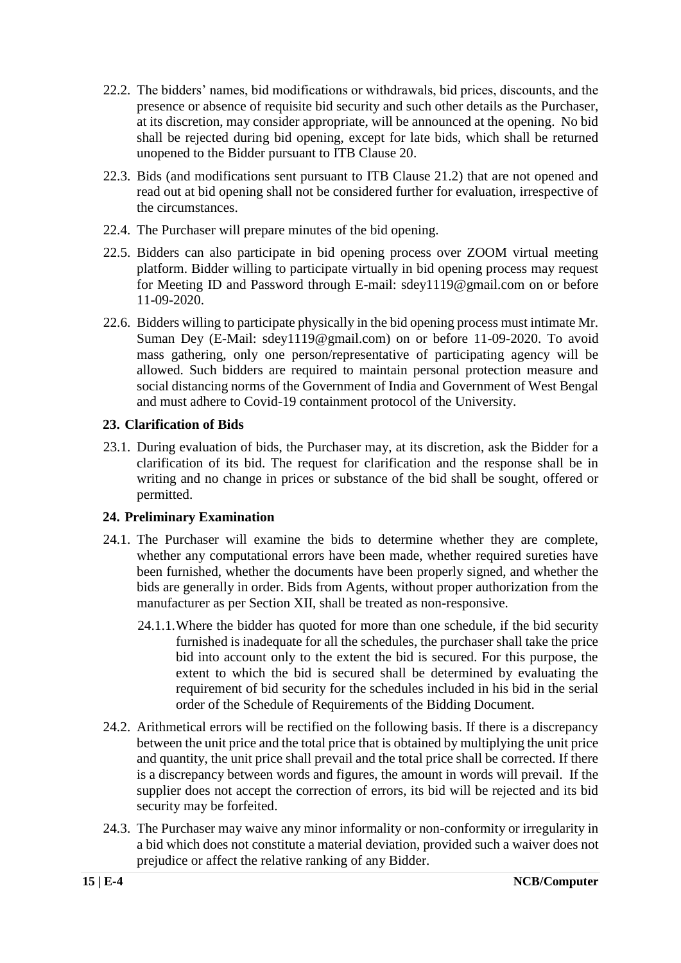- 22.2. The bidders' names, bid modifications or withdrawals, bid prices, discounts, and the presence or absence of requisite bid security and such other details as the Purchaser, at its discretion, may consider appropriate, will be announced at the opening. No bid shall be rejected during bid opening, except for late bids, which shall be returned unopened to the Bidder pursuant to ITB Clause 20.
- 22.3. Bids (and modifications sent pursuant to ITB Clause 21.2) that are not opened and read out at bid opening shall not be considered further for evaluation, irrespective of the circumstances.
- 22.4. The Purchaser will prepare minutes of the bid opening.
- 22.5. Bidders can also participate in bid opening process over ZOOM virtual meeting platform. Bidder willing to participate virtually in bid opening process may request for Meeting ID and Password through E-mail: [sdey1119@gmail.com](mailto:sdey1119@gmail.com) on or before 11-09-2020.
- 22.6. Bidders willing to participate physically in the bid opening process must intimate Mr. Suman Dey (E-Mail: [sdey1119@gmail.com\)](mailto:sdey1119@gmail.com) on or before 11-09-2020. To avoid mass gathering, only one person/representative of participating agency will be allowed. Such bidders are required to maintain personal protection measure and social distancing norms of the Government of India and Government of West Bengal and must adhere to Covid-19 containment protocol of the University.

#### **23. Clarification of Bids**

23.1. During evaluation of bids, the Purchaser may, at its discretion, ask the Bidder for a clarification of its bid. The request for clarification and the response shall be in writing and no change in prices or substance of the bid shall be sought, offered or permitted.

#### **24. Preliminary Examination**

- 24.1. The Purchaser will examine the bids to determine whether they are complete, whether any computational errors have been made, whether required sureties have been furnished, whether the documents have been properly signed, and whether the bids are generally in order. Bids from Agents, without proper authorization from the manufacturer as per Section XII, shall be treated as non-responsive.
	- 24.1.1.Where the bidder has quoted for more than one schedule, if the bid security furnished is inadequate for all the schedules, the purchaser shall take the price bid into account only to the extent the bid is secured. For this purpose, the extent to which the bid is secured shall be determined by evaluating the requirement of bid security for the schedules included in his bid in the serial order of the Schedule of Requirements of the Bidding Document.
- 24.2. Arithmetical errors will be rectified on the following basis. If there is a discrepancy between the unit price and the total price that is obtained by multiplying the unit price and quantity, the unit price shall prevail and the total price shall be corrected. If there is a discrepancy between words and figures, the amount in words will prevail. If the supplier does not accept the correction of errors, its bid will be rejected and its bid security may be forfeited.
- 24.3. The Purchaser may waive any minor informality or non-conformity or irregularity in a bid which does not constitute a material deviation, provided such a waiver does not prejudice or affect the relative ranking of any Bidder.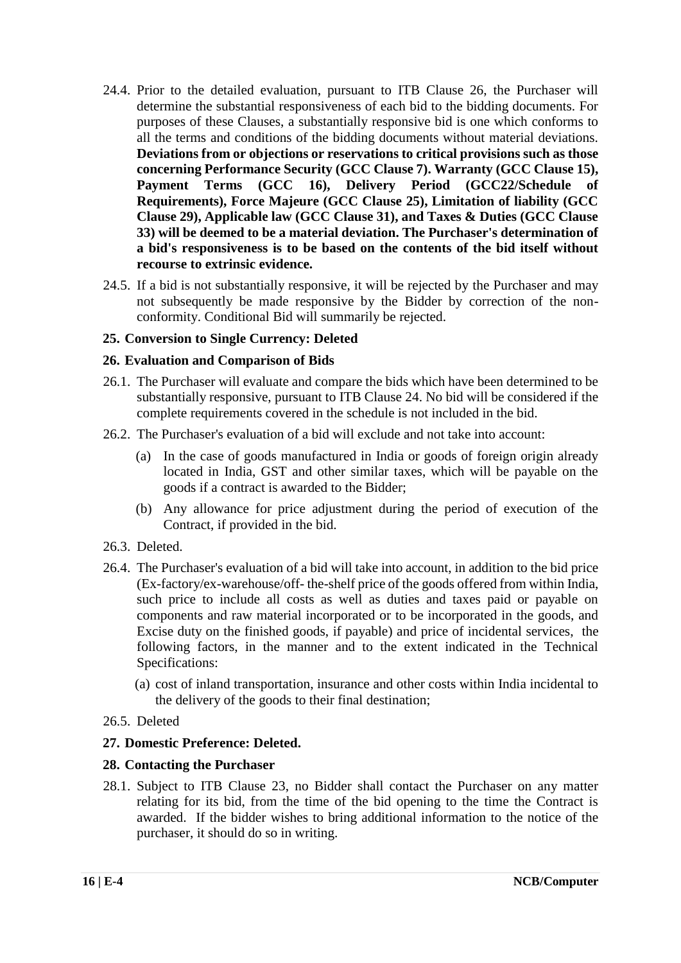- 24.4. Prior to the detailed evaluation, pursuant to ITB Clause 26, the Purchaser will determine the substantial responsiveness of each bid to the bidding documents. For purposes of these Clauses, a substantially responsive bid is one which conforms to all the terms and conditions of the bidding documents without material deviations. **Deviations from or objections or reservations to critical provisions such as those concerning Performance Security (GCC Clause 7). Warranty (GCC Clause 15), <br>Payment Terms (GCC 16), Delivery Period (GCC22/Schedule of** (GCC 16), Delivery Period (GCC22/Schedule of **Requirements), Force Majeure (GCC Clause 25), Limitation of liability (GCC Clause 29), Applicable law (GCC Clause 31), and Taxes & Duties (GCC Clause 33) will be deemed to be a material deviation. The Purchaser's determination of a bid's responsiveness is to be based on the contents of the bid itself without recourse to extrinsic evidence.**
- 24.5. If a bid is not substantially responsive, it will be rejected by the Purchaser and may not subsequently be made responsive by the Bidder by correction of the nonconformity. Conditional Bid will summarily be rejected.

#### **25. Conversion to Single Currency: Deleted**

#### **26. Evaluation and Comparison of Bids**

- 26.1. The Purchaser will evaluate and compare the bids which have been determined to be substantially responsive, pursuant to ITB Clause 24. No bid will be considered if the complete requirements covered in the schedule is not included in the bid.
- 26.2. The Purchaser's evaluation of a bid will exclude and not take into account:
	- (a) In the case of goods manufactured in India or goods of foreign origin already located in India, GST and other similar taxes, which will be payable on the goods if a contract is awarded to the Bidder;
	- (b) Any allowance for price adjustment during the period of execution of the Contract, if provided in the bid.
- 26.3. Deleted.
- 26.4. The Purchaser's evaluation of a bid will take into account, in addition to the bid price (Ex-factory/ex-warehouse/off- the-shelf price of the goods offered from within India, such price to include all costs as well as duties and taxes paid or payable on components and raw material incorporated or to be incorporated in the goods, and Excise duty on the finished goods, if payable) and price of incidental services, the following factors, in the manner and to the extent indicated in the Technical Specifications:
	- (a) cost of inland transportation, insurance and other costs within India incidental to the delivery of the goods to their final destination;
- 26.5. Deleted

#### **27. Domestic Preference: Deleted.**

#### **28. Contacting the Purchaser**

28.1. Subject to ITB Clause 23, no Bidder shall contact the Purchaser on any matter relating for its bid, from the time of the bid opening to the time the Contract is awarded. If the bidder wishes to bring additional information to the notice of the purchaser, it should do so in writing.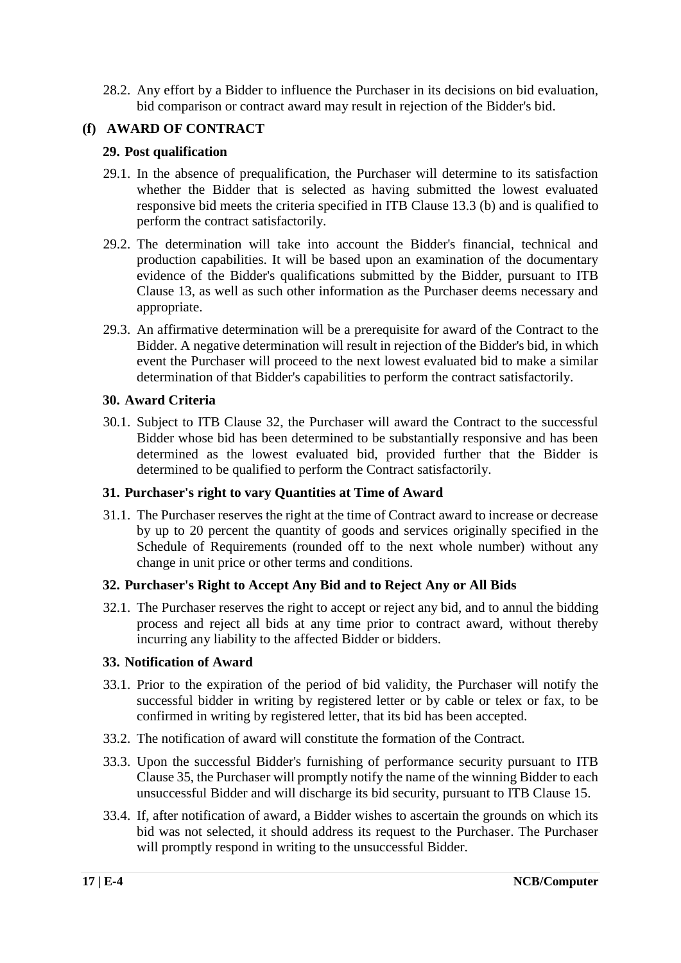28.2. Any effort by a Bidder to influence the Purchaser in its decisions on bid evaluation, bid comparison or contract award may result in rejection of the Bidder's bid.

#### **(f) AWARD OF CONTRACT**

#### **29. Post qualification**

- 29.1. In the absence of prequalification, the Purchaser will determine to its satisfaction whether the Bidder that is selected as having submitted the lowest evaluated responsive bid meets the criteria specified in ITB Clause 13.3 (b) and is qualified to perform the contract satisfactorily.
- 29.2. The determination will take into account the Bidder's financial, technical and production capabilities. It will be based upon an examination of the documentary evidence of the Bidder's qualifications submitted by the Bidder, pursuant to ITB Clause 13, as well as such other information as the Purchaser deems necessary and appropriate.
- 29.3. An affirmative determination will be a prerequisite for award of the Contract to the Bidder. A negative determination will result in rejection of the Bidder's bid, in which event the Purchaser will proceed to the next lowest evaluated bid to make a similar determination of that Bidder's capabilities to perform the contract satisfactorily.

#### **30. Award Criteria**

30.1. Subject to ITB Clause 32, the Purchaser will award the Contract to the successful Bidder whose bid has been determined to be substantially responsive and has been determined as the lowest evaluated bid, provided further that the Bidder is determined to be qualified to perform the Contract satisfactorily.

#### **31. Purchaser's right to vary Quantities at Time of Award**

31.1. The Purchaser reserves the right at the time of Contract award to increase or decrease by up to 20 percent the quantity of goods and services originally specified in the Schedule of Requirements (rounded off to the next whole number) without any change in unit price or other terms and conditions.

#### **32. Purchaser's Right to Accept Any Bid and to Reject Any or All Bids**

32.1. The Purchaser reserves the right to accept or reject any bid, and to annul the bidding process and reject all bids at any time prior to contract award, without thereby incurring any liability to the affected Bidder or bidders.

#### **33. Notification of Award**

- 33.1. Prior to the expiration of the period of bid validity, the Purchaser will notify the successful bidder in writing by registered letter or by cable or telex or fax, to be confirmed in writing by registered letter, that its bid has been accepted.
- 33.2. The notification of award will constitute the formation of the Contract.
- 33.3. Upon the successful Bidder's furnishing of performance security pursuant to ITB Clause 35, the Purchaser will promptly notify the name of the winning Bidder to each unsuccessful Bidder and will discharge its bid security, pursuant to ITB Clause 15.
- 33.4. If, after notification of award, a Bidder wishes to ascertain the grounds on which its bid was not selected, it should address its request to the Purchaser. The Purchaser will promptly respond in writing to the unsuccessful Bidder.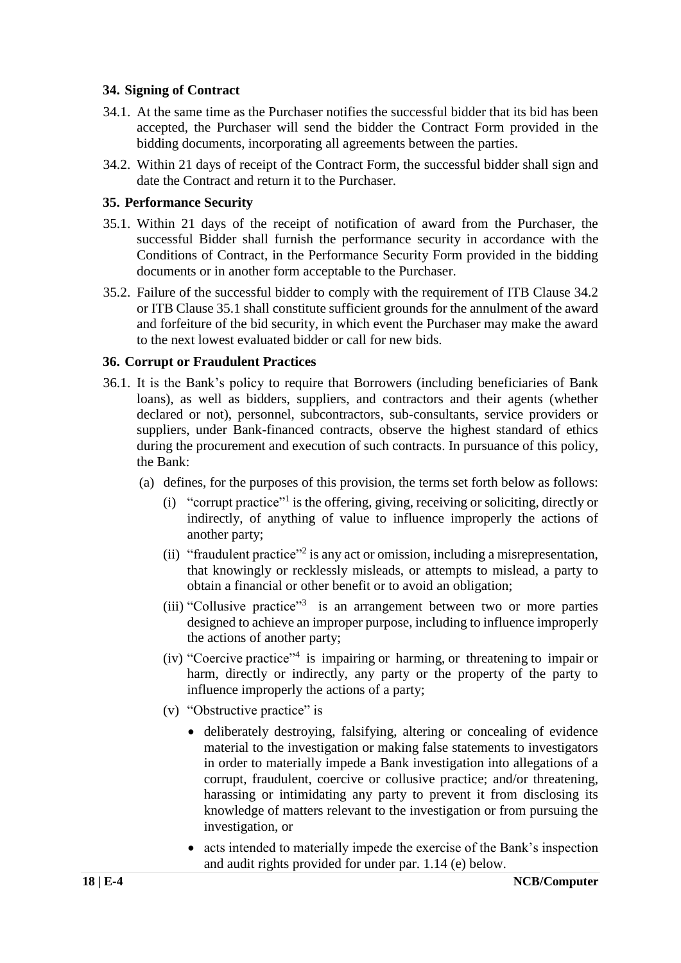#### **34. Signing of Contract**

- 34.1. At the same time as the Purchaser notifies the successful bidder that its bid has been accepted, the Purchaser will send the bidder the Contract Form provided in the bidding documents, incorporating all agreements between the parties.
- 34.2. Within 21 days of receipt of the Contract Form, the successful bidder shall sign and date the Contract and return it to the Purchaser.

#### **35. Performance Security**

- 35.1. Within 21 days of the receipt of notification of award from the Purchaser, the successful Bidder shall furnish the performance security in accordance with the Conditions of Contract, in the Performance Security Form provided in the bidding documents or in another form acceptable to the Purchaser.
- 35.2. Failure of the successful bidder to comply with the requirement of ITB Clause 34.2 or ITB Clause 35.1 shall constitute sufficient grounds for the annulment of the award and forfeiture of the bid security, in which event the Purchaser may make the award to the next lowest evaluated bidder or call for new bids.

#### **36. Corrupt or Fraudulent Practices**

- 36.1. It is the Bank's policy to require that Borrowers (including beneficiaries of Bank loans), as well as bidders, suppliers, and contractors and their agents (whether declared or not), personnel, subcontractors, sub-consultants, service providers or suppliers, under Bank-financed contracts, observe the highest standard of ethics during the procurement and execution of such contracts. In pursuance of this policy, the Bank:
	- (a) defines, for the purposes of this provision, the terms set forth below as follows:
		- (i) "corrupt practice"<sup>1</sup> is the offering, giving, receiving or soliciting, directly or indirectly, of anything of value to influence improperly the actions of another party;
		- (ii) "fraudulent practice"<sup>2</sup> is any act or omission, including a misrepresentation, that knowingly or recklessly misleads, or attempts to mislead, a party to obtain a financial or other benefit or to avoid an obligation;
		- (iii) "Collusive practice"<sup>3</sup> is an arrangement between two or more parties designed to achieve an improper purpose, including to influence improperly the actions of another party;
		- (iv) "Coercive practice"<sup>4</sup> is impairing or harming, or threatening to impair or harm, directly or indirectly, any party or the property of the party to influence improperly the actions of a party;
		- (v) "Obstructive practice" is
			- deliberately destroying, falsifying, altering or concealing of evidence material to the investigation or making false statements to investigators in order to materially impede a Bank investigation into allegations of a corrupt, fraudulent, coercive or collusive practice; and/or threatening, harassing or intimidating any party to prevent it from disclosing its knowledge of matters relevant to the investigation or from pursuing the investigation, or
			- acts intended to materially impede the exercise of the Bank's inspection and audit rights provided for under par. 1.14 (e) below.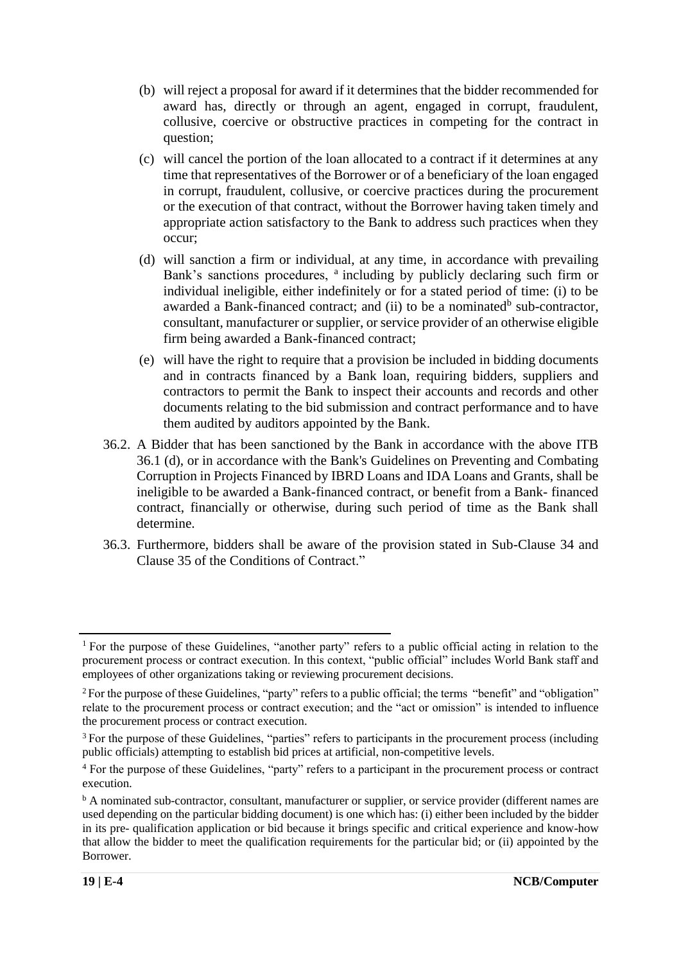- (b) will reject a proposal for award if it determines that the bidder recommended for award has, directly or through an agent, engaged in corrupt, fraudulent, collusive, coercive or obstructive practices in competing for the contract in question;
- (c) will cancel the portion of the loan allocated to a contract if it determines at any time that representatives of the Borrower or of a beneficiary of the loan engaged in corrupt, fraudulent, collusive, or coercive practices during the procurement or the execution of that contract, without the Borrower having taken timely and appropriate action satisfactory to the Bank to address such practices when they occur;
- (d) will sanction a firm or individual, at any time, in accordance with prevailing Bank's sanctions procedures, <sup>a</sup> including by publicly declaring such firm or individual ineligible, either indefinitely or for a stated period of time: (i) to be awarded a Bank-financed contract; and (ii) to be a nominated<sup>b</sup> sub-contractor, consultant, manufacturer or supplier, or service provider of an otherwise eligible firm being awarded a Bank-financed contract;
- (e) will have the right to require that a provision be included in bidding documents and in contracts financed by a Bank loan, requiring bidders, suppliers and contractors to permit the Bank to inspect their accounts and records and other documents relating to the bid submission and contract performance and to have them audited by auditors appointed by the Bank.
- 36.2. A Bidder that has been sanctioned by the Bank in accordance with the above ITB 36.1 (d), or in accordance with the Bank's Guidelines on Preventing and Combating Corruption in Projects Financed by IBRD Loans and IDA Loans and Grants, shall be ineligible to be awarded a Bank-financed contract, or benefit from a Bank- financed contract, financially or otherwise, during such period of time as the Bank shall determine.
- 36.3. Furthermore, bidders shall be aware of the provision stated in Sub-Clause 34 and Clause 35 of the Conditions of Contract."

<sup>&</sup>lt;sup>1</sup> For the purpose of these Guidelines, "another party" refers to a public official acting in relation to the procurement process or contract execution. In this context, "public official" includes World Bank staff and employees of other organizations taking or reviewing procurement decisions.

<sup>&</sup>lt;sup>2</sup>For the purpose of these Guidelines, "party" refers to a public official; the terms "benefit" and "obligation" relate to the procurement process or contract execution; and the "act or omission" is intended to influence the procurement process or contract execution.

<sup>&</sup>lt;sup>3</sup> For the purpose of these Guidelines, "parties" refers to participants in the procurement process (including public officials) attempting to establish bid prices at artificial, non-competitive levels.

<sup>4</sup> For the purpose of these Guidelines, "party" refers to a participant in the procurement process or contract execution.

<sup>&</sup>lt;sup>b</sup> A nominated sub-contractor, consultant, manufacturer or supplier, or service provider (different names are used depending on the particular bidding document) is one which has: (i) either been included by the bidder in its pre- qualification application or bid because it brings specific and critical experience and know-how that allow the bidder to meet the qualification requirements for the particular bid; or (ii) appointed by the Borrower.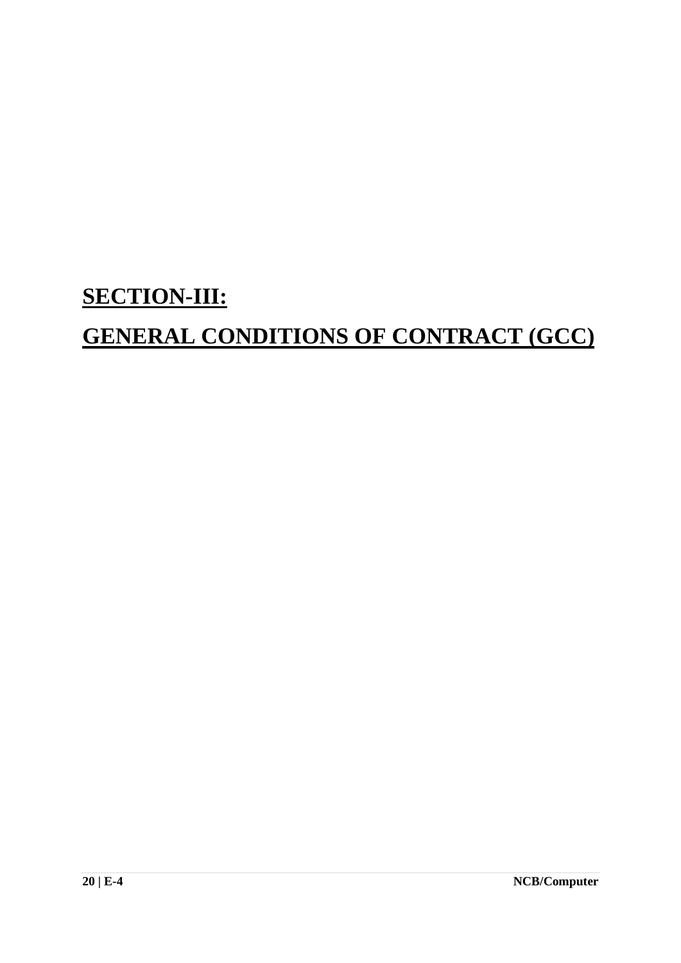## **SECTION-III:**

## **GENERAL CONDITIONS OF CONTRACT (GCC)**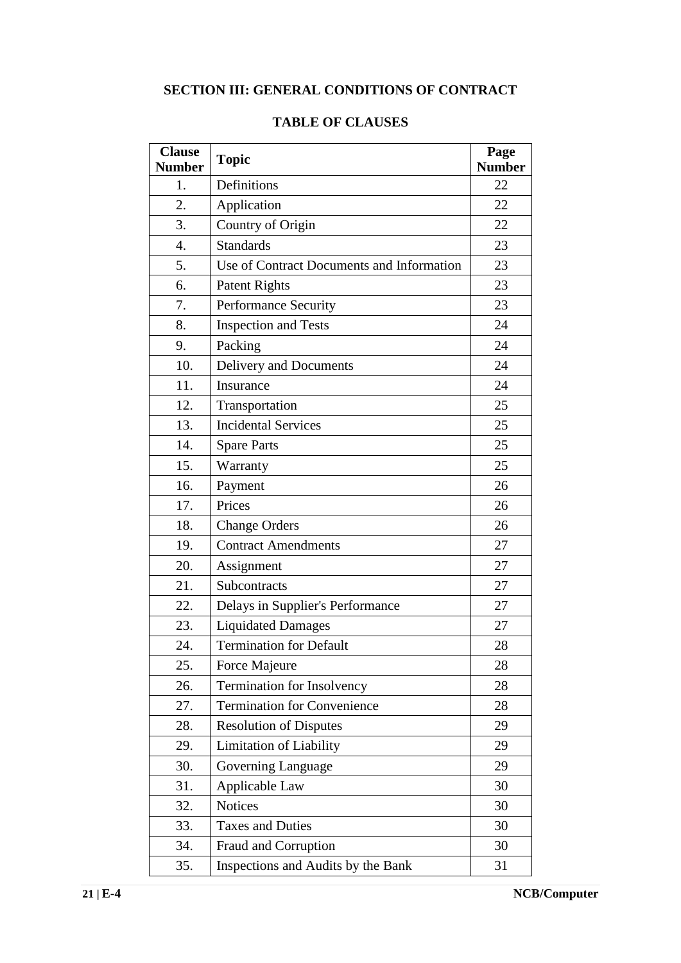### **SECTION III: GENERAL CONDITIONS OF CONTRACT**

| <b>Clause</b><br><b>Number</b> | <b>Topic</b>                              | Page<br><b>Number</b> |
|--------------------------------|-------------------------------------------|-----------------------|
| 1.                             | Definitions                               | 22                    |
| 2.                             | Application                               | 22                    |
| 3.                             | Country of Origin                         | 22                    |
| 4.                             | <b>Standards</b>                          | 23                    |
| 5.                             | Use of Contract Documents and Information | 23                    |
| 6.                             | <b>Patent Rights</b>                      | 23                    |
| 7.                             | <b>Performance Security</b>               | 23                    |
| 8.                             | <b>Inspection and Tests</b>               | 24                    |
| 9.                             | Packing                                   | 24                    |
| 10.                            | Delivery and Documents                    | 24                    |
| 11.                            | Insurance                                 | 24                    |
| 12.                            | Transportation                            | 25                    |
| 13.                            | <b>Incidental Services</b>                | 25                    |
| 14.                            | <b>Spare Parts</b>                        | 25                    |
| 15.                            | Warranty                                  | 25                    |
| 16.                            | Payment                                   | 26                    |
| 17.                            | Prices                                    |                       |
| 18.                            | <b>Change Orders</b>                      |                       |
| 19.                            | <b>Contract Amendments</b>                |                       |
| 20.                            | Assignment                                | 27                    |
| 21.                            | Subcontracts                              | 27                    |
| 22.                            | Delays in Supplier's Performance          | 27                    |
| 23.                            | <b>Liquidated Damages</b>                 | 27                    |
| 24.                            | <b>Termination for Default</b>            | 28                    |
| 25.                            | Force Majeure                             | 28                    |
| 26.                            | Termination for Insolvency                | 28                    |
| 27.                            | <b>Termination for Convenience</b>        | 28                    |
| 28.                            | <b>Resolution of Disputes</b>             |                       |
| 29.                            | <b>Limitation of Liability</b>            |                       |
| 30.                            | Governing Language                        |                       |
| 31.                            | Applicable Law                            | 30                    |
| 32.                            | <b>Notices</b>                            | 30                    |
| 33.                            | <b>Taxes and Duties</b>                   | 30                    |
| 34.                            | Fraud and Corruption                      | 30                    |
| 35.                            | Inspections and Audits by the Bank        |                       |

#### **TABLE OF CLAUSES**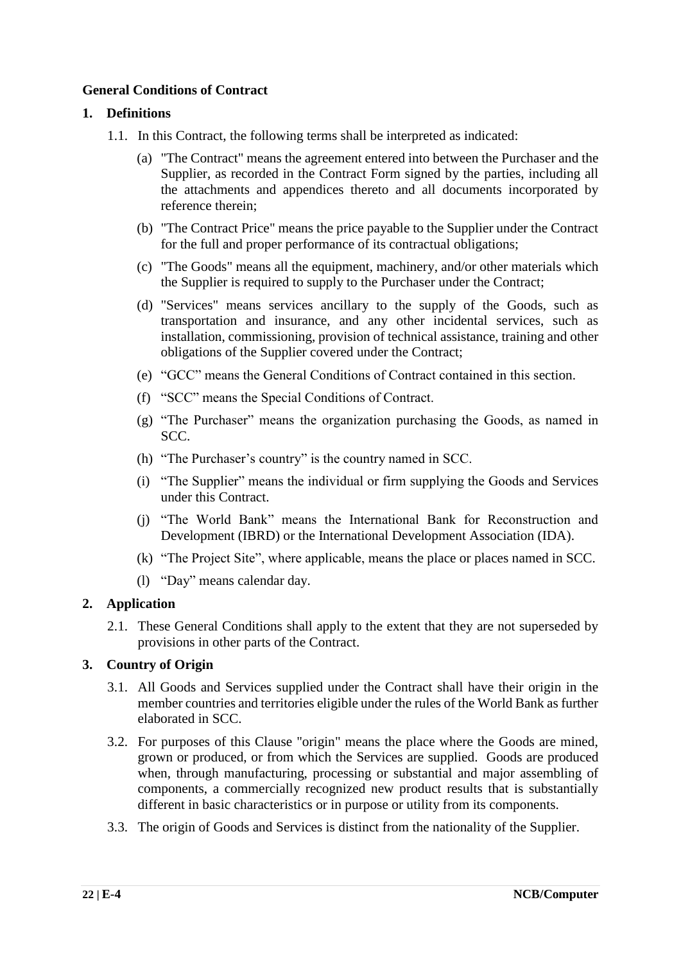#### **General Conditions of Contract**

#### **1. Definitions**

- 1.1. In this Contract, the following terms shall be interpreted as indicated:
	- (a) "The Contract" means the agreement entered into between the Purchaser and the Supplier, as recorded in the Contract Form signed by the parties, including all the attachments and appendices thereto and all documents incorporated by reference therein;
	- (b) "The Contract Price" means the price payable to the Supplier under the Contract for the full and proper performance of its contractual obligations;
	- (c) "The Goods" means all the equipment, machinery, and/or other materials which the Supplier is required to supply to the Purchaser under the Contract;
	- (d) "Services" means services ancillary to the supply of the Goods, such as transportation and insurance, and any other incidental services, such as installation, commissioning, provision of technical assistance, training and other obligations of the Supplier covered under the Contract;
	- (e) "GCC" means the General Conditions of Contract contained in this section.
	- (f) "SCC" means the Special Conditions of Contract.
	- (g) "The Purchaser" means the organization purchasing the Goods, as named in SCC.
	- (h) "The Purchaser's country" is the country named in SCC.
	- (i) "The Supplier" means the individual or firm supplying the Goods and Services under this Contract.
	- (j) "The World Bank" means the International Bank for Reconstruction and Development (IBRD) or the International Development Association (IDA).
	- (k) "The Project Site", where applicable, means the place or places named in SCC.
	- (l) "Day" means calendar day.

#### **2. Application**

2.1. These General Conditions shall apply to the extent that they are not superseded by provisions in other parts of the Contract.

#### **3. Country of Origin**

- 3.1. All Goods and Services supplied under the Contract shall have their origin in the member countries and territories eligible under the rules of the World Bank as further elaborated in SCC.
- 3.2. For purposes of this Clause "origin" means the place where the Goods are mined, grown or produced, or from which the Services are supplied. Goods are produced when, through manufacturing, processing or substantial and major assembling of components, a commercially recognized new product results that is substantially different in basic characteristics or in purpose or utility from its components.
- 3.3. The origin of Goods and Services is distinct from the nationality of the Supplier.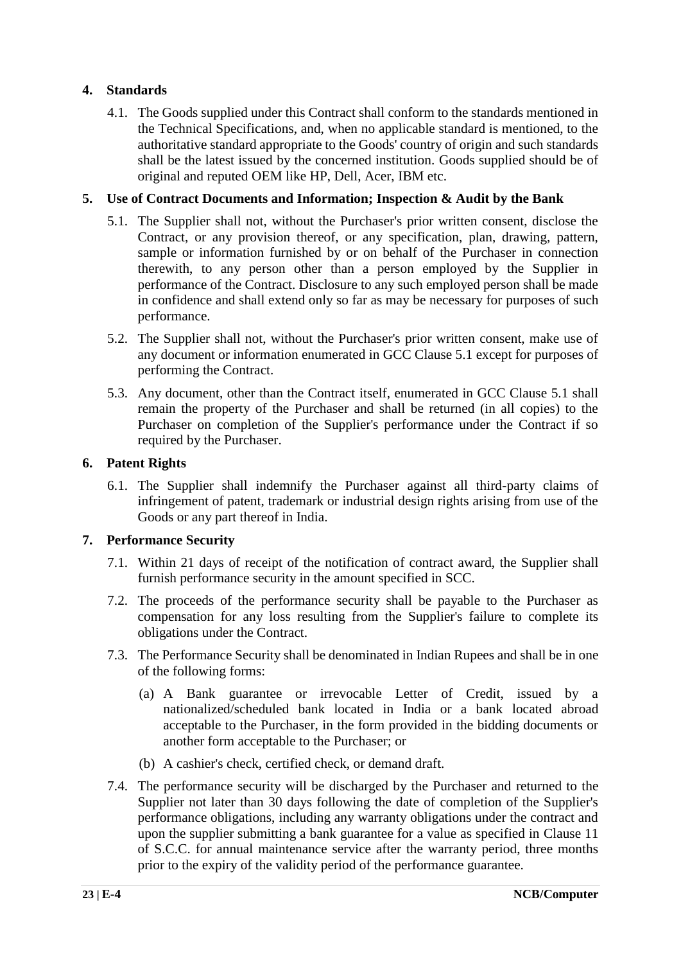#### **4. Standards**

4.1. The Goods supplied under this Contract shall conform to the standards mentioned in the Technical Specifications, and, when no applicable standard is mentioned, to the authoritative standard appropriate to the Goods' country of origin and such standards shall be the latest issued by the concerned institution. Goods supplied should be of original and reputed OEM like HP, Dell, Acer, IBM etc.

#### **5. Use of Contract Documents and Information; Inspection & Audit by the Bank**

- 5.1. The Supplier shall not, without the Purchaser's prior written consent, disclose the Contract, or any provision thereof, or any specification, plan, drawing, pattern, sample or information furnished by or on behalf of the Purchaser in connection therewith, to any person other than a person employed by the Supplier in performance of the Contract. Disclosure to any such employed person shall be made in confidence and shall extend only so far as may be necessary for purposes of such performance.
- 5.2. The Supplier shall not, without the Purchaser's prior written consent, make use of any document or information enumerated in GCC Clause 5.1 except for purposes of performing the Contract.
- 5.3. Any document, other than the Contract itself, enumerated in GCC Clause 5.1 shall remain the property of the Purchaser and shall be returned (in all copies) to the Purchaser on completion of the Supplier's performance under the Contract if so required by the Purchaser.

#### **6. Patent Rights**

6.1. The Supplier shall indemnify the Purchaser against all third-party claims of infringement of patent, trademark or industrial design rights arising from use of the Goods or any part thereof in India.

#### **7. Performance Security**

- 7.1. Within 21 days of receipt of the notification of contract award, the Supplier shall furnish performance security in the amount specified in SCC.
- 7.2. The proceeds of the performance security shall be payable to the Purchaser as compensation for any loss resulting from the Supplier's failure to complete its obligations under the Contract.
- 7.3. The Performance Security shall be denominated in Indian Rupees and shall be in one of the following forms:
	- (a) A Bank guarantee or irrevocable Letter of Credit, issued by a nationalized/scheduled bank located in India or a bank located abroad acceptable to the Purchaser, in the form provided in the bidding documents or another form acceptable to the Purchaser; or
	- (b) A cashier's check, certified check, or demand draft.
- 7.4. The performance security will be discharged by the Purchaser and returned to the Supplier not later than 30 days following the date of completion of the Supplier's performance obligations, including any warranty obligations under the contract and upon the supplier submitting a bank guarantee for a value as specified in Clause 11 of S.C.C. for annual maintenance service after the warranty period, three months prior to the expiry of the validity period of the performance guarantee.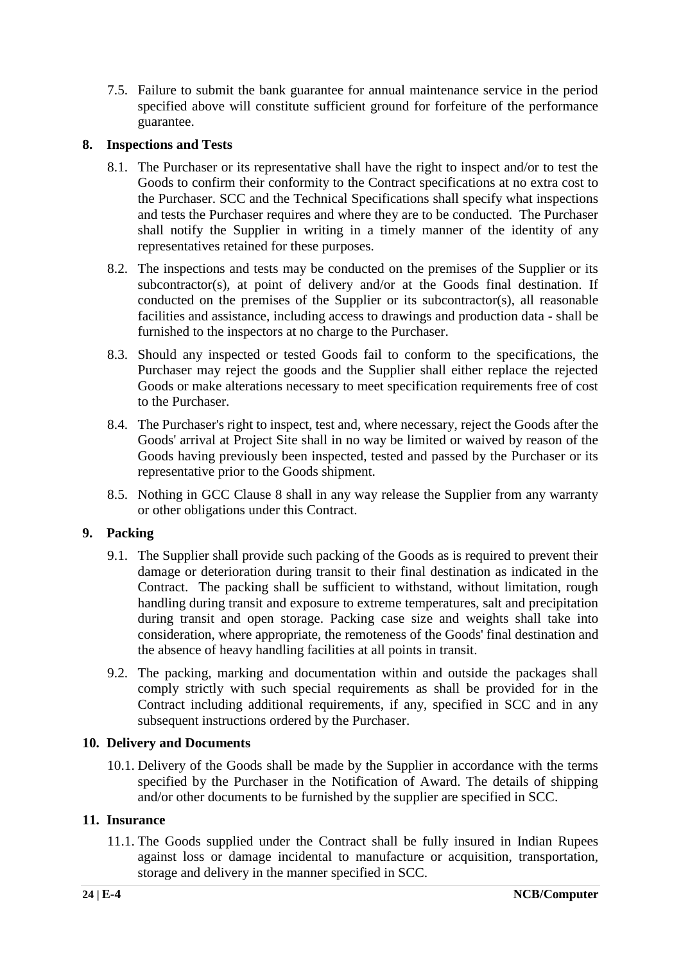7.5. Failure to submit the bank guarantee for annual maintenance service in the period specified above will constitute sufficient ground for forfeiture of the performance guarantee.

#### **8. Inspections and Tests**

- 8.1. The Purchaser or its representative shall have the right to inspect and/or to test the Goods to confirm their conformity to the Contract specifications at no extra cost to the Purchaser. SCC and the Technical Specifications shall specify what inspections and tests the Purchaser requires and where they are to be conducted. The Purchaser shall notify the Supplier in writing in a timely manner of the identity of any representatives retained for these purposes.
- 8.2. The inspections and tests may be conducted on the premises of the Supplier or its subcontractor(s), at point of delivery and/or at the Goods final destination. If conducted on the premises of the Supplier or its subcontractor(s), all reasonable facilities and assistance, including access to drawings and production data - shall be furnished to the inspectors at no charge to the Purchaser.
- 8.3. Should any inspected or tested Goods fail to conform to the specifications, the Purchaser may reject the goods and the Supplier shall either replace the rejected Goods or make alterations necessary to meet specification requirements free of cost to the Purchaser.
- 8.4. The Purchaser's right to inspect, test and, where necessary, reject the Goods after the Goods' arrival at Project Site shall in no way be limited or waived by reason of the Goods having previously been inspected, tested and passed by the Purchaser or its representative prior to the Goods shipment.
- 8.5. Nothing in GCC Clause 8 shall in any way release the Supplier from any warranty or other obligations under this Contract.

#### **9. Packing**

- 9.1. The Supplier shall provide such packing of the Goods as is required to prevent their damage or deterioration during transit to their final destination as indicated in the Contract. The packing shall be sufficient to withstand, without limitation, rough handling during transit and exposure to extreme temperatures, salt and precipitation during transit and open storage. Packing case size and weights shall take into consideration, where appropriate, the remoteness of the Goods' final destination and the absence of heavy handling facilities at all points in transit.
- 9.2. The packing, marking and documentation within and outside the packages shall comply strictly with such special requirements as shall be provided for in the Contract including additional requirements, if any, specified in SCC and in any subsequent instructions ordered by the Purchaser.

#### **10. Delivery and Documents**

10.1. Delivery of the Goods shall be made by the Supplier in accordance with the terms specified by the Purchaser in the Notification of Award. The details of shipping and/or other documents to be furnished by the supplier are specified in SCC.

#### **11. Insurance**

11.1. The Goods supplied under the Contract shall be fully insured in Indian Rupees against loss or damage incidental to manufacture or acquisition, transportation, storage and delivery in the manner specified in SCC.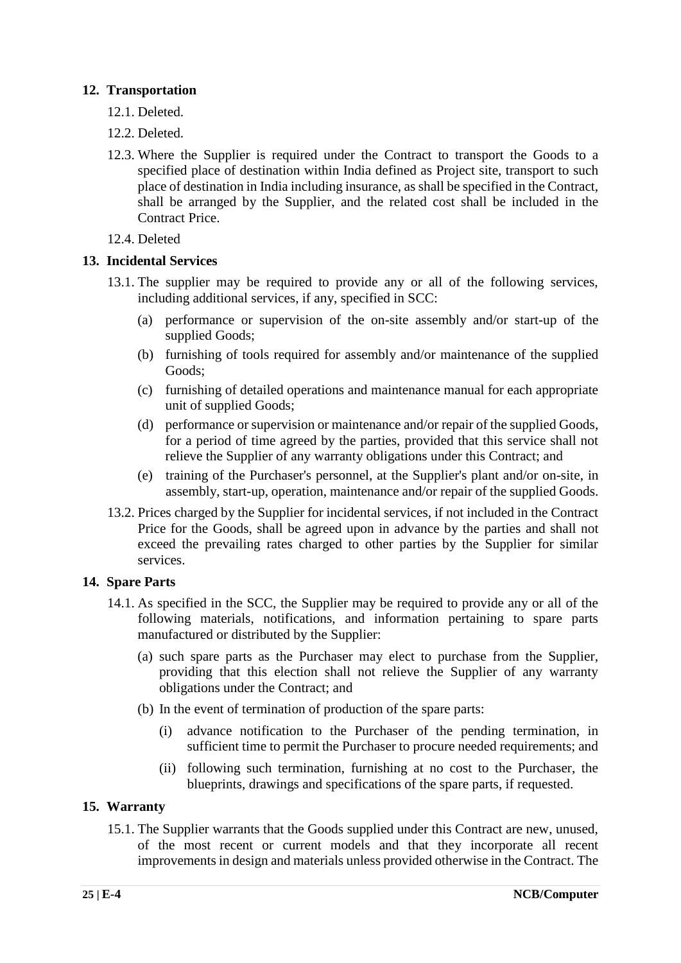#### **12. Transportation**

- 12.1. Deleted.
- 12.2. Deleted.
- 12.3. Where the Supplier is required under the Contract to transport the Goods to a specified place of destination within India defined as Project site, transport to such place of destination in India including insurance, as shall be specified in the Contract, shall be arranged by the Supplier, and the related cost shall be included in the Contract Price.
- 12.4. Deleted

#### **13. Incidental Services**

- 13.1. The supplier may be required to provide any or all of the following services, including additional services, if any, specified in SCC:
	- (a) performance or supervision of the on-site assembly and/or start-up of the supplied Goods;
	- (b) furnishing of tools required for assembly and/or maintenance of the supplied Goods;
	- (c) furnishing of detailed operations and maintenance manual for each appropriate unit of supplied Goods;
	- (d) performance or supervision or maintenance and/or repair of the supplied Goods, for a period of time agreed by the parties, provided that this service shall not relieve the Supplier of any warranty obligations under this Contract; and
	- (e) training of the Purchaser's personnel, at the Supplier's plant and/or on-site, in assembly, start-up, operation, maintenance and/or repair of the supplied Goods.
- 13.2. Prices charged by the Supplier for incidental services, if not included in the Contract Price for the Goods, shall be agreed upon in advance by the parties and shall not exceed the prevailing rates charged to other parties by the Supplier for similar services.

#### **14. Spare Parts**

- 14.1. As specified in the SCC, the Supplier may be required to provide any or all of the following materials, notifications, and information pertaining to spare parts manufactured or distributed by the Supplier:
	- (a) such spare parts as the Purchaser may elect to purchase from the Supplier, providing that this election shall not relieve the Supplier of any warranty obligations under the Contract; and
	- (b) In the event of termination of production of the spare parts:
		- (i) advance notification to the Purchaser of the pending termination, in sufficient time to permit the Purchaser to procure needed requirements; and
		- (ii) following such termination, furnishing at no cost to the Purchaser, the blueprints, drawings and specifications of the spare parts, if requested.

#### **15. Warranty**

15.1. The Supplier warrants that the Goods supplied under this Contract are new, unused, of the most recent or current models and that they incorporate all recent improvements in design and materials unless provided otherwise in the Contract. The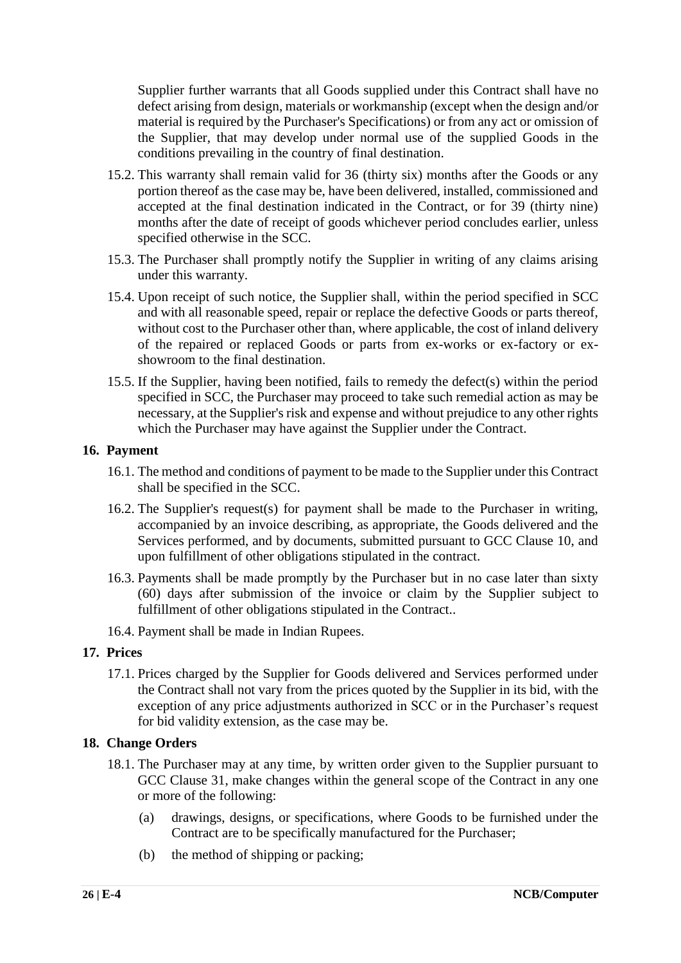Supplier further warrants that all Goods supplied under this Contract shall have no defect arising from design, materials or workmanship (except when the design and/or material is required by the Purchaser's Specifications) or from any act or omission of the Supplier, that may develop under normal use of the supplied Goods in the conditions prevailing in the country of final destination.

- 15.2. This warranty shall remain valid for 36 (thirty six) months after the Goods or any portion thereof as the case may be, have been delivered, installed, commissioned and accepted at the final destination indicated in the Contract, or for 39 (thirty nine) months after the date of receipt of goods whichever period concludes earlier, unless specified otherwise in the SCC.
- 15.3. The Purchaser shall promptly notify the Supplier in writing of any claims arising under this warranty.
- 15.4. Upon receipt of such notice, the Supplier shall, within the period specified in SCC and with all reasonable speed, repair or replace the defective Goods or parts thereof, without cost to the Purchaser other than, where applicable, the cost of inland delivery of the repaired or replaced Goods or parts from ex-works or ex-factory or exshowroom to the final destination.
- 15.5. If the Supplier, having been notified, fails to remedy the defect(s) within the period specified in SCC, the Purchaser may proceed to take such remedial action as may be necessary, at the Supplier's risk and expense and without prejudice to any other rights which the Purchaser may have against the Supplier under the Contract.

#### **16. Payment**

- 16.1. The method and conditions of payment to be made to the Supplier under this Contract shall be specified in the SCC.
- 16.2. The Supplier's request(s) for payment shall be made to the Purchaser in writing, accompanied by an invoice describing, as appropriate, the Goods delivered and the Services performed, and by documents, submitted pursuant to GCC Clause 10, and upon fulfillment of other obligations stipulated in the contract.
- 16.3. Payments shall be made promptly by the Purchaser but in no case later than sixty (60) days after submission of the invoice or claim by the Supplier subject to fulfillment of other obligations stipulated in the Contract..
- 16.4. Payment shall be made in Indian Rupees.

#### **17. Prices**

17.1. Prices charged by the Supplier for Goods delivered and Services performed under the Contract shall not vary from the prices quoted by the Supplier in its bid, with the exception of any price adjustments authorized in SCC or in the Purchaser's request for bid validity extension, as the case may be.

#### **18. Change Orders**

- 18.1. The Purchaser may at any time, by written order given to the Supplier pursuant to GCC Clause 31, make changes within the general scope of the Contract in any one or more of the following:
	- (a) drawings, designs, or specifications, where Goods to be furnished under the Contract are to be specifically manufactured for the Purchaser;
	- (b) the method of shipping or packing;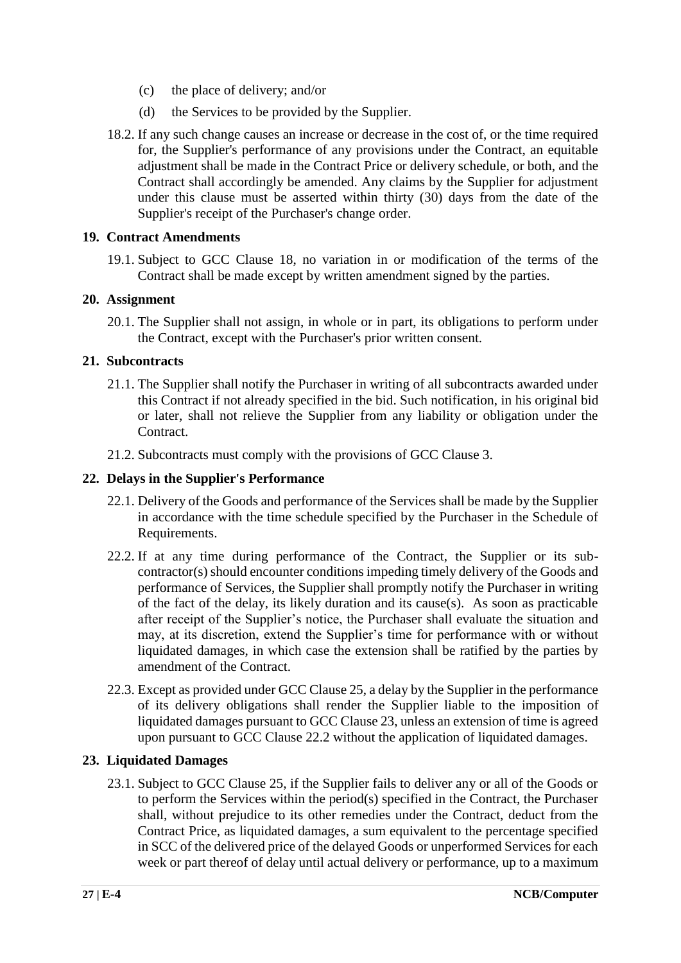- (c) the place of delivery; and/or
- (d) the Services to be provided by the Supplier.
- 18.2. If any such change causes an increase or decrease in the cost of, or the time required for, the Supplier's performance of any provisions under the Contract, an equitable adjustment shall be made in the Contract Price or delivery schedule, or both, and the Contract shall accordingly be amended. Any claims by the Supplier for adjustment under this clause must be asserted within thirty (30) days from the date of the Supplier's receipt of the Purchaser's change order.

#### **19. Contract Amendments**

19.1. Subject to GCC Clause 18, no variation in or modification of the terms of the Contract shall be made except by written amendment signed by the parties.

#### **20. Assignment**

20.1. The Supplier shall not assign, in whole or in part, its obligations to perform under the Contract, except with the Purchaser's prior written consent.

#### **21. Subcontracts**

- 21.1. The Supplier shall notify the Purchaser in writing of all subcontracts awarded under this Contract if not already specified in the bid. Such notification, in his original bid or later, shall not relieve the Supplier from any liability or obligation under the Contract.
- 21.2. Subcontracts must comply with the provisions of GCC Clause 3.

#### **22. Delays in the Supplier's Performance**

- 22.1. Delivery of the Goods and performance of the Services shall be made by the Supplier in accordance with the time schedule specified by the Purchaser in the Schedule of Requirements.
- 22.2. If at any time during performance of the Contract, the Supplier or its subcontractor(s) should encounter conditions impeding timely delivery of the Goods and performance of Services, the Supplier shall promptly notify the Purchaser in writing of the fact of the delay, its likely duration and its cause(s). As soon as practicable after receipt of the Supplier's notice, the Purchaser shall evaluate the situation and may, at its discretion, extend the Supplier's time for performance with or without liquidated damages, in which case the extension shall be ratified by the parties by amendment of the Contract.
- 22.3. Except as provided under GCC Clause 25, a delay by the Supplier in the performance of its delivery obligations shall render the Supplier liable to the imposition of liquidated damages pursuant to GCC Clause 23, unless an extension of time is agreed upon pursuant to GCC Clause 22.2 without the application of liquidated damages.

#### **23. Liquidated Damages**

23.1. Subject to GCC Clause 25, if the Supplier fails to deliver any or all of the Goods or to perform the Services within the period(s) specified in the Contract, the Purchaser shall, without prejudice to its other remedies under the Contract, deduct from the Contract Price, as liquidated damages, a sum equivalent to the percentage specified in SCC of the delivered price of the delayed Goods or unperformed Services for each week or part thereof of delay until actual delivery or performance, up to a maximum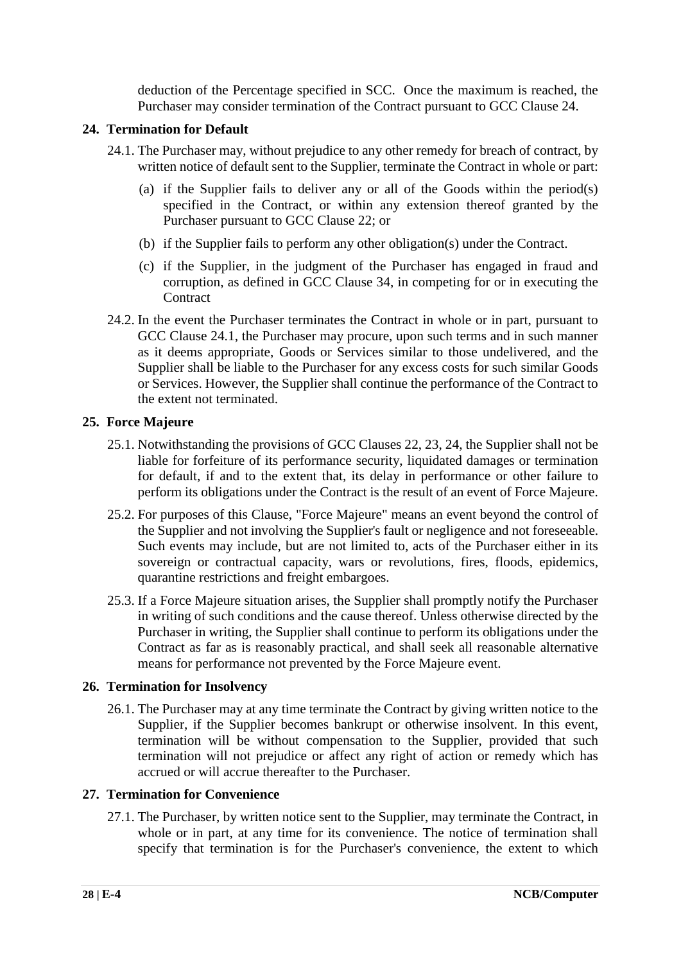deduction of the Percentage specified in SCC. Once the maximum is reached, the Purchaser may consider termination of the Contract pursuant to GCC Clause 24.

#### **24. Termination for Default**

- 24.1. The Purchaser may, without prejudice to any other remedy for breach of contract, by written notice of default sent to the Supplier, terminate the Contract in whole or part:
	- (a) if the Supplier fails to deliver any or all of the Goods within the period(s) specified in the Contract, or within any extension thereof granted by the Purchaser pursuant to GCC Clause 22; or
	- (b) if the Supplier fails to perform any other obligation(s) under the Contract.
	- (c) if the Supplier, in the judgment of the Purchaser has engaged in fraud and corruption, as defined in GCC Clause 34, in competing for or in executing the **Contract**
- 24.2. In the event the Purchaser terminates the Contract in whole or in part, pursuant to GCC Clause 24.1, the Purchaser may procure, upon such terms and in such manner as it deems appropriate, Goods or Services similar to those undelivered, and the Supplier shall be liable to the Purchaser for any excess costs for such similar Goods or Services. However, the Supplier shall continue the performance of the Contract to the extent not terminated.

#### **25. Force Majeure**

- 25.1. Notwithstanding the provisions of GCC Clauses 22, 23, 24, the Supplier shall not be liable for forfeiture of its performance security, liquidated damages or termination for default, if and to the extent that, its delay in performance or other failure to perform its obligations under the Contract is the result of an event of Force Majeure.
- 25.2. For purposes of this Clause, "Force Majeure" means an event beyond the control of the Supplier and not involving the Supplier's fault or negligence and not foreseeable. Such events may include, but are not limited to, acts of the Purchaser either in its sovereign or contractual capacity, wars or revolutions, fires, floods, epidemics, quarantine restrictions and freight embargoes.
- 25.3. If a Force Majeure situation arises, the Supplier shall promptly notify the Purchaser in writing of such conditions and the cause thereof. Unless otherwise directed by the Purchaser in writing, the Supplier shall continue to perform its obligations under the Contract as far as is reasonably practical, and shall seek all reasonable alternative means for performance not prevented by the Force Majeure event.

#### **26. Termination for Insolvency**

26.1. The Purchaser may at any time terminate the Contract by giving written notice to the Supplier, if the Supplier becomes bankrupt or otherwise insolvent. In this event, termination will be without compensation to the Supplier, provided that such termination will not prejudice or affect any right of action or remedy which has accrued or will accrue thereafter to the Purchaser.

#### **27. Termination for Convenience**

27.1. The Purchaser, by written notice sent to the Supplier, may terminate the Contract, in whole or in part, at any time for its convenience. The notice of termination shall specify that termination is for the Purchaser's convenience, the extent to which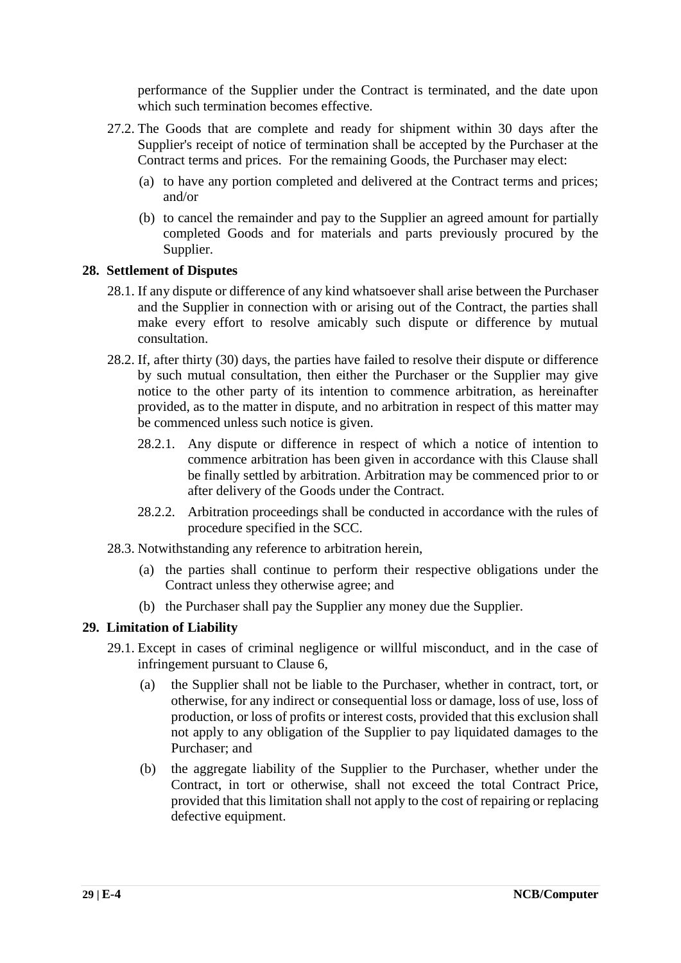performance of the Supplier under the Contract is terminated, and the date upon which such termination becomes effective.

- 27.2. The Goods that are complete and ready for shipment within 30 days after the Supplier's receipt of notice of termination shall be accepted by the Purchaser at the Contract terms and prices. For the remaining Goods, the Purchaser may elect:
	- (a) to have any portion completed and delivered at the Contract terms and prices; and/or
	- (b) to cancel the remainder and pay to the Supplier an agreed amount for partially completed Goods and for materials and parts previously procured by the Supplier.

#### **28. Settlement of Disputes**

- 28.1. If any dispute or difference of any kind whatsoever shall arise between the Purchaser and the Supplier in connection with or arising out of the Contract, the parties shall make every effort to resolve amicably such dispute or difference by mutual consultation.
- 28.2. If, after thirty (30) days, the parties have failed to resolve their dispute or difference by such mutual consultation, then either the Purchaser or the Supplier may give notice to the other party of its intention to commence arbitration, as hereinafter provided, as to the matter in dispute, and no arbitration in respect of this matter may be commenced unless such notice is given.
	- 28.2.1. Any dispute or difference in respect of which a notice of intention to commence arbitration has been given in accordance with this Clause shall be finally settled by arbitration. Arbitration may be commenced prior to or after delivery of the Goods under the Contract.
	- 28.2.2. Arbitration proceedings shall be conducted in accordance with the rules of procedure specified in the SCC.
- 28.3. Notwithstanding any reference to arbitration herein,
	- (a) the parties shall continue to perform their respective obligations under the Contract unless they otherwise agree; and
	- (b) the Purchaser shall pay the Supplier any money due the Supplier.

#### **29. Limitation of Liability**

- 29.1. Except in cases of criminal negligence or willful misconduct, and in the case of infringement pursuant to Clause 6,
	- (a) the Supplier shall not be liable to the Purchaser, whether in contract, tort, or otherwise, for any indirect or consequential loss or damage, loss of use, loss of production, or loss of profits or interest costs, provided that this exclusion shall not apply to any obligation of the Supplier to pay liquidated damages to the Purchaser; and
	- (b) the aggregate liability of the Supplier to the Purchaser, whether under the Contract, in tort or otherwise, shall not exceed the total Contract Price, provided that this limitation shall not apply to the cost of repairing or replacing defective equipment.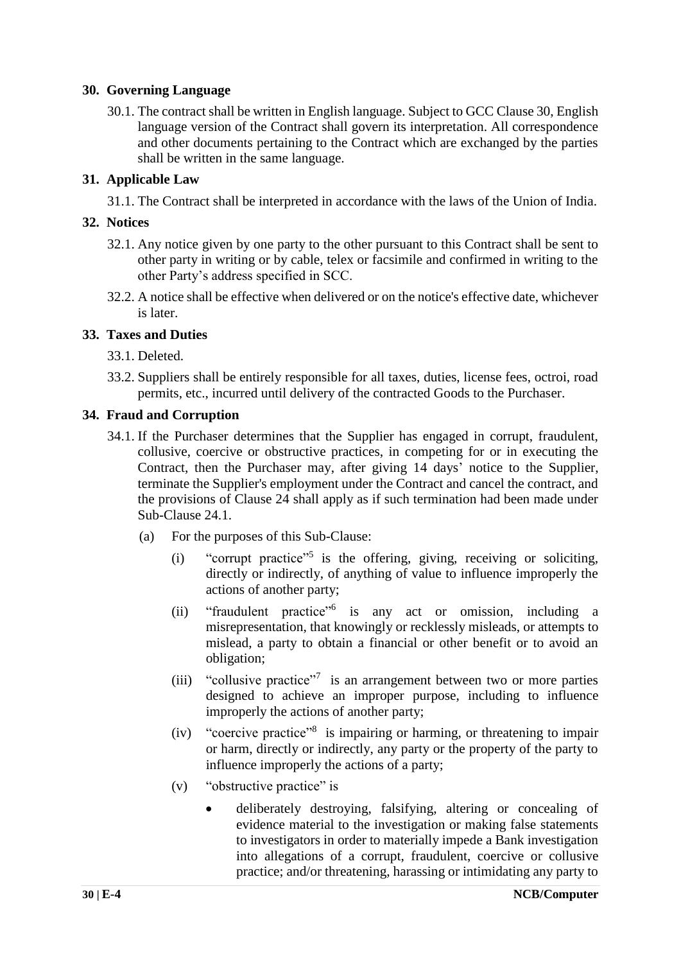#### **30. Governing Language**

30.1. The contract shall be written in English language. Subject to GCC Clause 30, English language version of the Contract shall govern its interpretation. All correspondence and other documents pertaining to the Contract which are exchanged by the parties shall be written in the same language.

#### **31. Applicable Law**

31.1. The Contract shall be interpreted in accordance with the laws of the Union of India.

#### **32. Notices**

- 32.1. Any notice given by one party to the other pursuant to this Contract shall be sent to other party in writing or by cable, telex or facsimile and confirmed in writing to the other Party's address specified in SCC.
- 32.2. A notice shall be effective when delivered or on the notice's effective date, whichever is later.

#### **33. Taxes and Duties**

- 33.1. Deleted.
- 33.2. Suppliers shall be entirely responsible for all taxes, duties, license fees, octroi, road permits, etc., incurred until delivery of the contracted Goods to the Purchaser.

#### **34. Fraud and Corruption**

- 34.1. If the Purchaser determines that the Supplier has engaged in corrupt, fraudulent, collusive, coercive or obstructive practices, in competing for or in executing the Contract, then the Purchaser may, after giving 14 days' notice to the Supplier, terminate the Supplier's employment under the Contract and cancel the contract, and the provisions of Clause 24 shall apply as if such termination had been made under Sub-Clause 24.1.
	- (a) For the purposes of this Sub-Clause:
		- (i) "corrupt practice"<sup>5</sup> is the offering, giving, receiving or soliciting, directly or indirectly, of anything of value to influence improperly the actions of another party;
		- (ii) "fraudulent practice"<sup>6</sup> is any act or omission, including a misrepresentation, that knowingly or recklessly misleads, or attempts to mislead, a party to obtain a financial or other benefit or to avoid an obligation;
		- (iii) "collusive practice"<sup>7</sup> is an arrangement between two or more parties designed to achieve an improper purpose, including to influence improperly the actions of another party;
		- (iv) "coercive practice"<sup>8</sup> is impairing or harming, or threatening to impair or harm, directly or indirectly, any party or the property of the party to influence improperly the actions of a party;
		- (v) "obstructive practice" is
			- deliberately destroying, falsifying, altering or concealing of evidence material to the investigation or making false statements to investigators in order to materially impede a Bank investigation into allegations of a corrupt, fraudulent, coercive or collusive practice; and/or threatening, harassing or intimidating any party to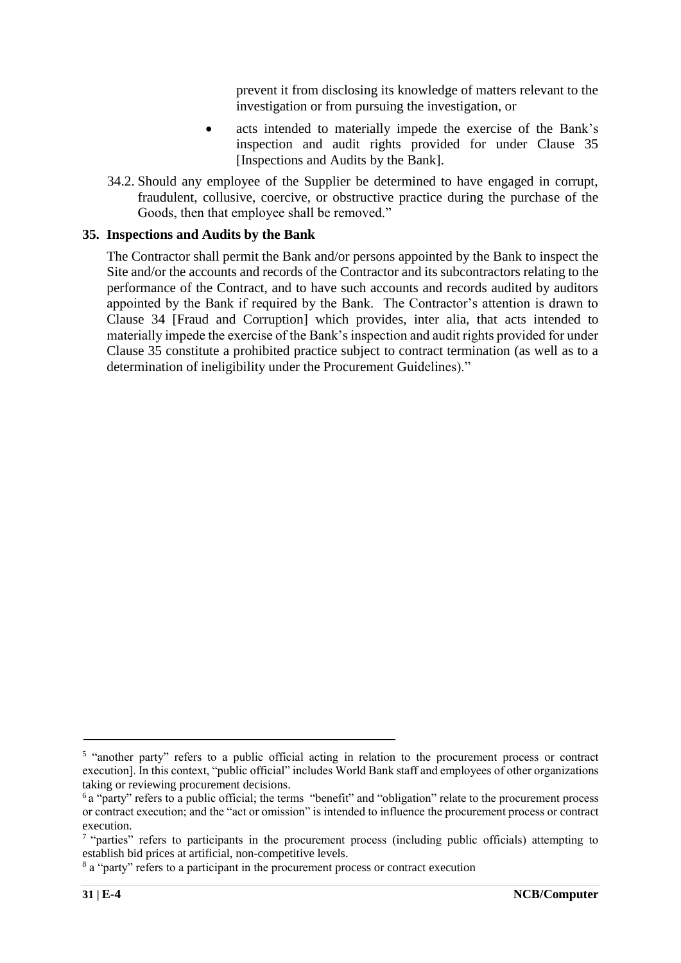prevent it from disclosing its knowledge of matters relevant to the investigation or from pursuing the investigation, or

- acts intended to materially impede the exercise of the Bank's inspection and audit rights provided for under Clause 35 [Inspections and Audits by the Bank].
- 34.2. Should any employee of the Supplier be determined to have engaged in corrupt, fraudulent, collusive, coercive, or obstructive practice during the purchase of the Goods, then that employee shall be removed."

#### **35. Inspections and Audits by the Bank**

The Contractor shall permit the Bank and/or persons appointed by the Bank to inspect the Site and/or the accounts and records of the Contractor and its subcontractors relating to the performance of the Contract, and to have such accounts and records audited by auditors appointed by the Bank if required by the Bank. The Contractor's attention is drawn to Clause 34 [Fraud and Corruption] which provides, inter alia, that acts intended to materially impede the exercise of the Bank's inspection and audit rights provided for under Clause 35 constitute a prohibited practice subject to contract termination (as well as to a determination of ineligibility under the Procurement Guidelines)."

<sup>5</sup> "another party" refers to a public official acting in relation to the procurement process or contract execution]. In this context, "public official" includes World Bank staff and employees of other organizations taking or reviewing procurement decisions.

<sup>6</sup>a "party" refers to a public official; the terms "benefit" and "obligation" relate to the procurement process or contract execution; and the "act or omission" is intended to influence the procurement process or contract execution.

<sup>&</sup>lt;sup>7</sup> "parties" refers to participants in the procurement process (including public officials) attempting to establish bid prices at artificial, non-competitive levels.

<sup>&</sup>lt;sup>8</sup> a "party" refers to a participant in the procurement process or contract execution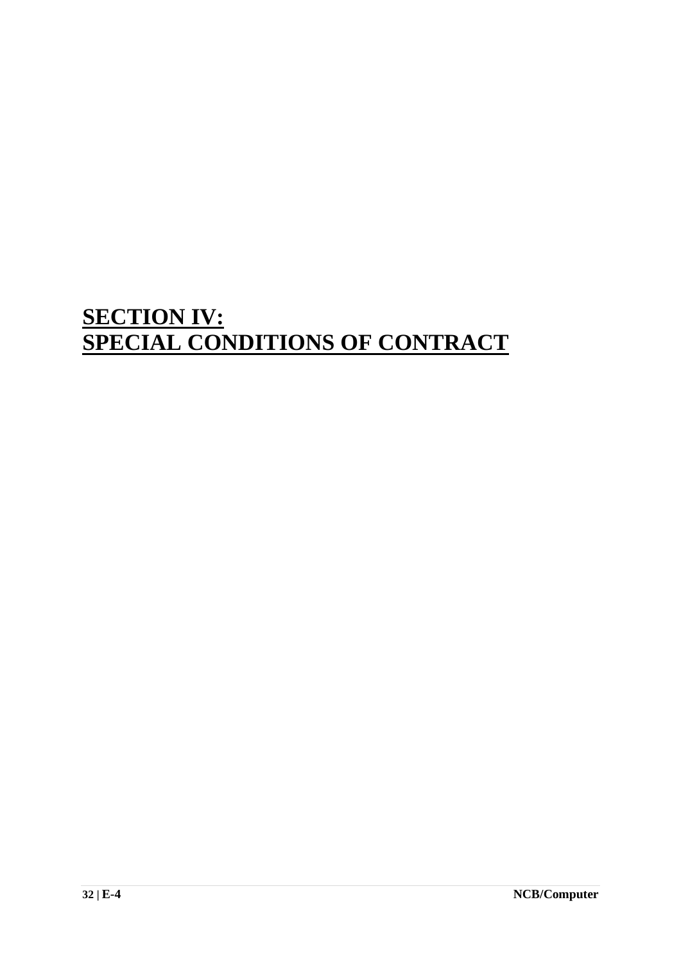## **SECTION IV: SPECIAL CONDITIONS OF CONTRACT**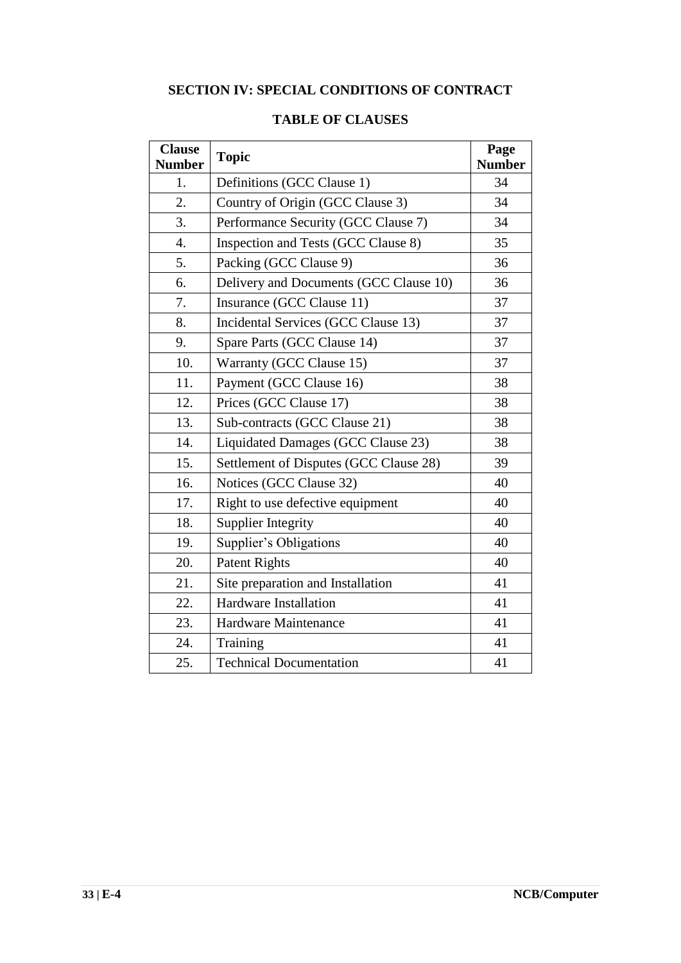### **SECTION IV: SPECIAL CONDITIONS OF CONTRACT**

| <b>Clause</b><br><b>Number</b> | <b>Topic</b>                           | Page<br><b>Number</b> |
|--------------------------------|----------------------------------------|-----------------------|
| 1.                             | Definitions (GCC Clause 1)             | 34                    |
| 2.                             | Country of Origin (GCC Clause 3)       | 34                    |
| 3.                             | Performance Security (GCC Clause 7)    | 34                    |
| 4.                             | Inspection and Tests (GCC Clause 8)    | 35                    |
| 5.                             | Packing (GCC Clause 9)                 | 36                    |
| 6.                             | Delivery and Documents (GCC Clause 10) | 36                    |
| 7.                             | Insurance (GCC Clause 11)              | 37                    |
| 8.                             | Incidental Services (GCC Clause 13)    | 37                    |
| 9.                             | Spare Parts (GCC Clause 14)            | 37                    |
| 10.                            | Warranty (GCC Clause 15)               | 37                    |
| 11.                            | Payment (GCC Clause 16)                | 38                    |
| 12.                            | Prices (GCC Clause 17)                 |                       |
| 13.                            | Sub-contracts (GCC Clause 21)          |                       |
| 14.                            | Liquidated Damages (GCC Clause 23)     |                       |
| 15.                            | Settlement of Disputes (GCC Clause 28) |                       |
| 16.                            | Notices (GCC Clause 32)                |                       |
| 17.                            | Right to use defective equipment       | 40                    |
| 18.                            | <b>Supplier Integrity</b>              | 40                    |
| 19.                            | Supplier's Obligations                 | 40                    |
| 20.                            | <b>Patent Rights</b>                   |                       |
| 21.                            | Site preparation and Installation      |                       |
| 22.                            | <b>Hardware Installation</b>           | 41                    |
| 23.                            | Hardware Maintenance                   | 41                    |
| 24.                            | Training                               | 41                    |
| 25.                            | <b>Technical Documentation</b>         | 41                    |

#### **TABLE OF CLAUSES**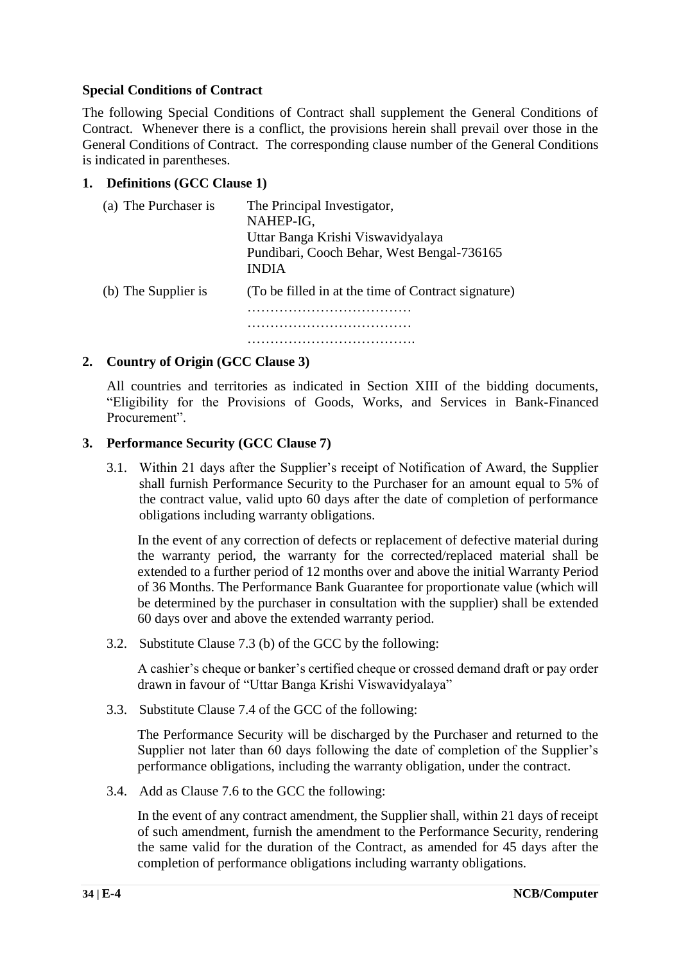#### **Special Conditions of Contract**

The following Special Conditions of Contract shall supplement the General Conditions of Contract. Whenever there is a conflict, the provisions herein shall prevail over those in the General Conditions of Contract. The corresponding clause number of the General Conditions is indicated in parentheses.

#### **1. Definitions (GCC Clause 1)**

| (a) The Purchaser is | The Principal Investigator,<br>NAHEP-IG,<br>Uttar Banga Krishi Viswavidyalaya<br>Pundibari, Cooch Behar, West Bengal-736165<br><b>INDIA</b> |
|----------------------|---------------------------------------------------------------------------------------------------------------------------------------------|
| (b) The Supplier is  | (To be filled in at the time of Contract signature)                                                                                         |
|                      |                                                                                                                                             |
|                      |                                                                                                                                             |
|                      |                                                                                                                                             |

#### **2. Country of Origin (GCC Clause 3)**

All countries and territories as indicated in Section XIII of the bidding documents, "Eligibility for the Provisions of Goods, Works, and Services in Bank-Financed Procurement".

#### **3. Performance Security (GCC Clause 7)**

3.1. Within 21 days after the Supplier's receipt of Notification of Award, the Supplier shall furnish Performance Security to the Purchaser for an amount equal to 5% of the contract value, valid upto 60 days after the date of completion of performance obligations including warranty obligations.

In the event of any correction of defects or replacement of defective material during the warranty period, the warranty for the corrected/replaced material shall be extended to a further period of 12 months over and above the initial Warranty Period of 36 Months. The Performance Bank Guarantee for proportionate value (which will be determined by the purchaser in consultation with the supplier) shall be extended 60 days over and above the extended warranty period.

3.2. Substitute Clause 7.3 (b) of the GCC by the following:

A cashier's cheque or banker's certified cheque or crossed demand draft or pay order drawn in favour of "Uttar Banga Krishi Viswavidyalaya"

3.3. Substitute Clause 7.4 of the GCC of the following:

The Performance Security will be discharged by the Purchaser and returned to the Supplier not later than 60 days following the date of completion of the Supplier's performance obligations, including the warranty obligation, under the contract.

3.4. Add as Clause 7.6 to the GCC the following:

In the event of any contract amendment, the Supplier shall, within 21 days of receipt of such amendment, furnish the amendment to the Performance Security, rendering the same valid for the duration of the Contract, as amended for 45 days after the completion of performance obligations including warranty obligations.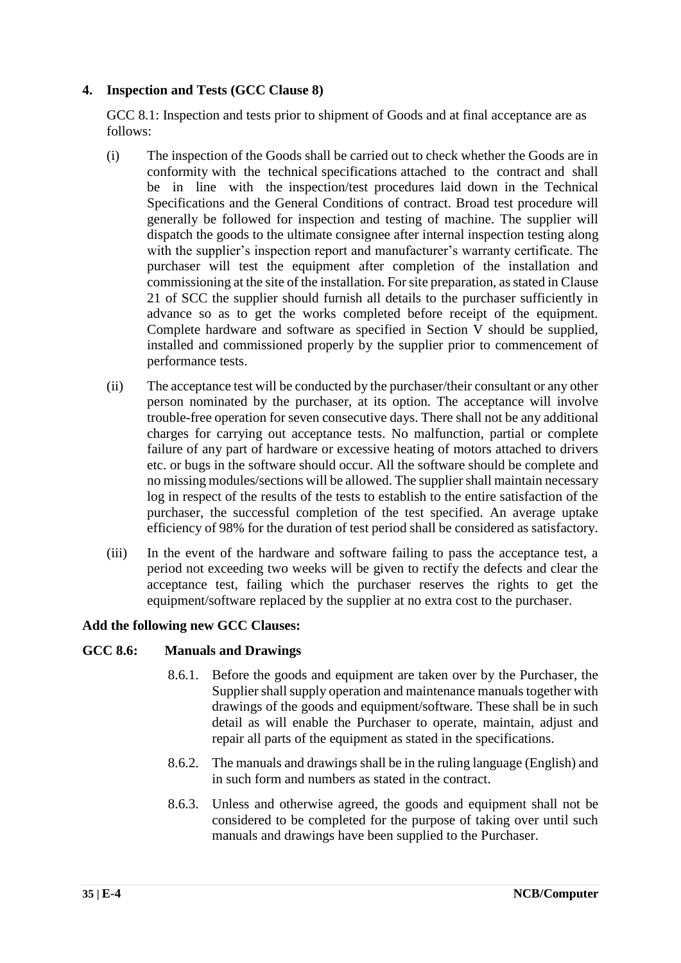#### **4. Inspection and Tests (GCC Clause 8)**

GCC 8.1: Inspection and tests prior to shipment of Goods and at final acceptance are as follows:

- (i) The inspection of the Goods shall be carried out to check whether the Goods are in conformity with the technical specifications attached to the contract and shall be in line with the inspection/test procedures laid down in the Technical Specifications and the General Conditions of contract. Broad test procedure will generally be followed for inspection and testing of machine. The supplier will dispatch the goods to the ultimate consignee after internal inspection testing along with the supplier's inspection report and manufacturer's warranty certificate. The purchaser will test the equipment after completion of the installation and commissioning at the site of the installation. For site preparation, as stated in Clause 21 of SCC the supplier should furnish all details to the purchaser sufficiently in advance so as to get the works completed before receipt of the equipment. Complete hardware and software as specified in Section V should be supplied, installed and commissioned properly by the supplier prior to commencement of performance tests.
- (ii) The acceptance test will be conducted by the purchaser/their consultant or any other person nominated by the purchaser, at its option. The acceptance will involve trouble-free operation for seven consecutive days. There shall not be any additional charges for carrying out acceptance tests. No malfunction, partial or complete failure of any part of hardware or excessive heating of motors attached to drivers etc. or bugs in the software should occur. All the software should be complete and no missing modules/sections will be allowed. The supplier shall maintain necessary log in respect of the results of the tests to establish to the entire satisfaction of the purchaser, the successful completion of the test specified. An average uptake efficiency of 98% for the duration of test period shall be considered as satisfactory.
- (iii) In the event of the hardware and software failing to pass the acceptance test, a period not exceeding two weeks will be given to rectify the defects and clear the acceptance test, failing which the purchaser reserves the rights to get the equipment/software replaced by the supplier at no extra cost to the purchaser.

#### **Add the following new GCC Clauses:**

#### **GCC 8.6: Manuals and Drawings**

- 8.6.1. Before the goods and equipment are taken over by the Purchaser, the Supplier shall supply operation and maintenance manuals together with drawings of the goods and equipment/software. These shall be in such detail as will enable the Purchaser to operate, maintain, adjust and repair all parts of the equipment as stated in the specifications.
- 8.6.2. The manuals and drawings shall be in the ruling language (English) and in such form and numbers as stated in the contract.
- 8.6.3. Unless and otherwise agreed, the goods and equipment shall not be considered to be completed for the purpose of taking over until such manuals and drawings have been supplied to the Purchaser.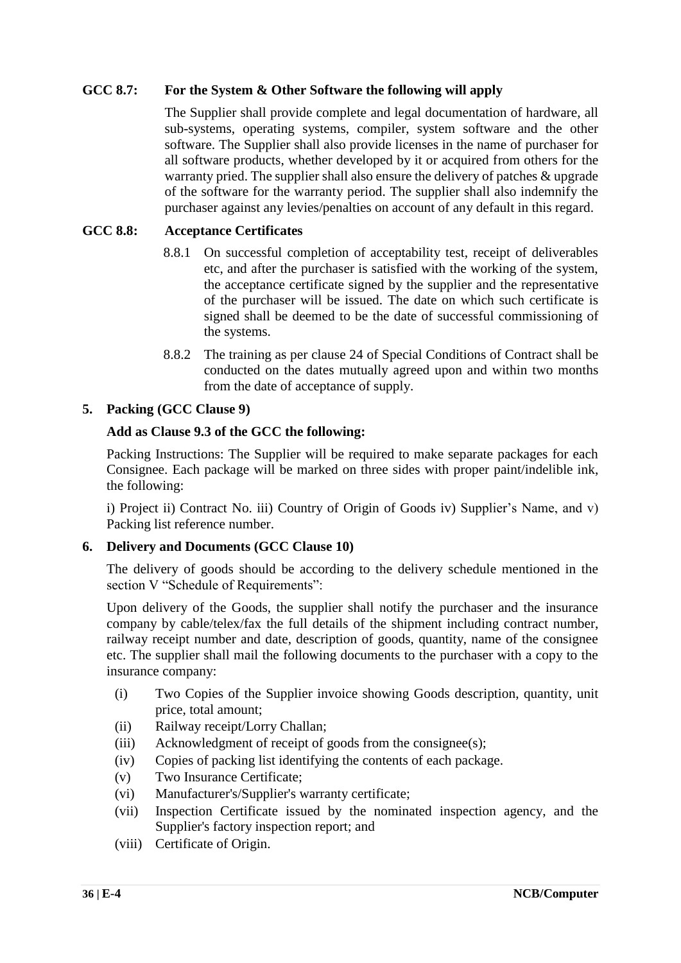#### **GCC 8.7: For the System & Other Software the following will apply**

The Supplier shall provide complete and legal documentation of hardware, all sub-systems, operating systems, compiler, system software and the other software. The Supplier shall also provide licenses in the name of purchaser for all software products, whether developed by it or acquired from others for the warranty pried. The supplier shall also ensure the delivery of patches & upgrade of the software for the warranty period. The supplier shall also indemnify the purchaser against any levies/penalties on account of any default in this regard.

#### **GCC 8.8: Acceptance Certificates**

- 8.8.1 On successful completion of acceptability test, receipt of deliverables etc, and after the purchaser is satisfied with the working of the system, the acceptance certificate signed by the supplier and the representative of the purchaser will be issued. The date on which such certificate is signed shall be deemed to be the date of successful commissioning of the systems.
- 8.8.2 The training as per clause 24 of Special Conditions of Contract shall be conducted on the dates mutually agreed upon and within two months from the date of acceptance of supply.

#### **5. Packing (GCC Clause 9)**

#### **Add as Clause 9.3 of the GCC the following:**

Packing Instructions: The Supplier will be required to make separate packages for each Consignee. Each package will be marked on three sides with proper paint/indelible ink, the following:

i) Project ii) Contract No. iii) Country of Origin of Goods iv) Supplier's Name, and v) Packing list reference number.

#### **6. Delivery and Documents (GCC Clause 10)**

The delivery of goods should be according to the delivery schedule mentioned in the section V "Schedule of Requirements":

Upon delivery of the Goods, the supplier shall notify the purchaser and the insurance company by cable/telex/fax the full details of the shipment including contract number, railway receipt number and date, description of goods, quantity, name of the consignee etc. The supplier shall mail the following documents to the purchaser with a copy to the insurance company:

- (i) Two Copies of the Supplier invoice showing Goods description, quantity, unit price, total amount;
- (ii) Railway receipt/Lorry Challan;
- (iii) Acknowledgment of receipt of goods from the consignee(s);
- (iv) Copies of packing list identifying the contents of each package.
- (v) Two Insurance Certificate;
- (vi) Manufacturer's/Supplier's warranty certificate;
- (vii) Inspection Certificate issued by the nominated inspection agency, and the Supplier's factory inspection report; and
- (viii) Certificate of Origin.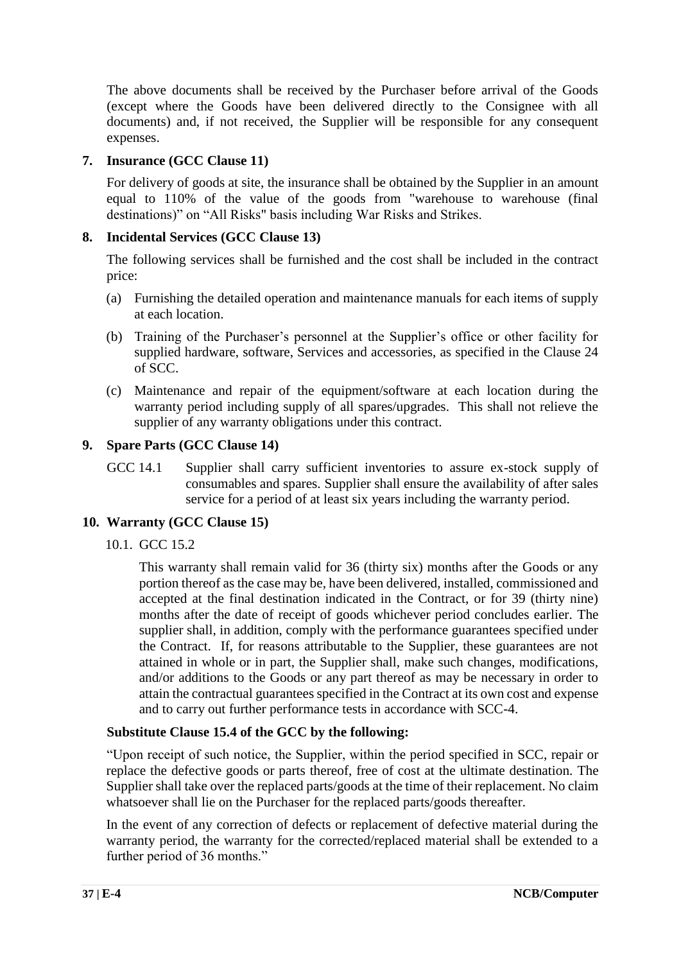The above documents shall be received by the Purchaser before arrival of the Goods (except where the Goods have been delivered directly to the Consignee with all documents) and, if not received, the Supplier will be responsible for any consequent expenses.

#### **7. Insurance (GCC Clause 11)**

For delivery of goods at site, the insurance shall be obtained by the Supplier in an amount equal to 110% of the value of the goods from "warehouse to warehouse (final destinations)" on "All Risks" basis including War Risks and Strikes.

#### **8. Incidental Services (GCC Clause 13)**

The following services shall be furnished and the cost shall be included in the contract price:

- (a) Furnishing the detailed operation and maintenance manuals for each items of supply at each location.
- (b) Training of the Purchaser's personnel at the Supplier's office or other facility for supplied hardware, software, Services and accessories, as specified in the Clause 24 of SCC.
- (c) Maintenance and repair of the equipment/software at each location during the warranty period including supply of all spares/upgrades. This shall not relieve the supplier of any warranty obligations under this contract.

#### **9. Spare Parts (GCC Clause 14)**

GCC 14.1 Supplier shall carry sufficient inventories to assure ex-stock supply of consumables and spares. Supplier shall ensure the availability of after sales service for a period of at least six years including the warranty period.

#### **10. Warranty (GCC Clause 15)**

10.1. GCC 15.2

This warranty shall remain valid for 36 (thirty six) months after the Goods or any portion thereof as the case may be, have been delivered, installed, commissioned and accepted at the final destination indicated in the Contract, or for 39 (thirty nine) months after the date of receipt of goods whichever period concludes earlier. The supplier shall, in addition, comply with the performance guarantees specified under the Contract. If, for reasons attributable to the Supplier, these guarantees are not attained in whole or in part, the Supplier shall, make such changes, modifications, and/or additions to the Goods or any part thereof as may be necessary in order to attain the contractual guarantees specified in the Contract at its own cost and expense and to carry out further performance tests in accordance with SCC-4.

#### **Substitute Clause 15.4 of the GCC by the following:**

"Upon receipt of such notice, the Supplier, within the period specified in SCC, repair or replace the defective goods or parts thereof, free of cost at the ultimate destination. The Supplier shall take over the replaced parts/goods at the time of their replacement. No claim whatsoever shall lie on the Purchaser for the replaced parts/goods thereafter.

In the event of any correction of defects or replacement of defective material during the warranty period, the warranty for the corrected/replaced material shall be extended to a further period of 36 months."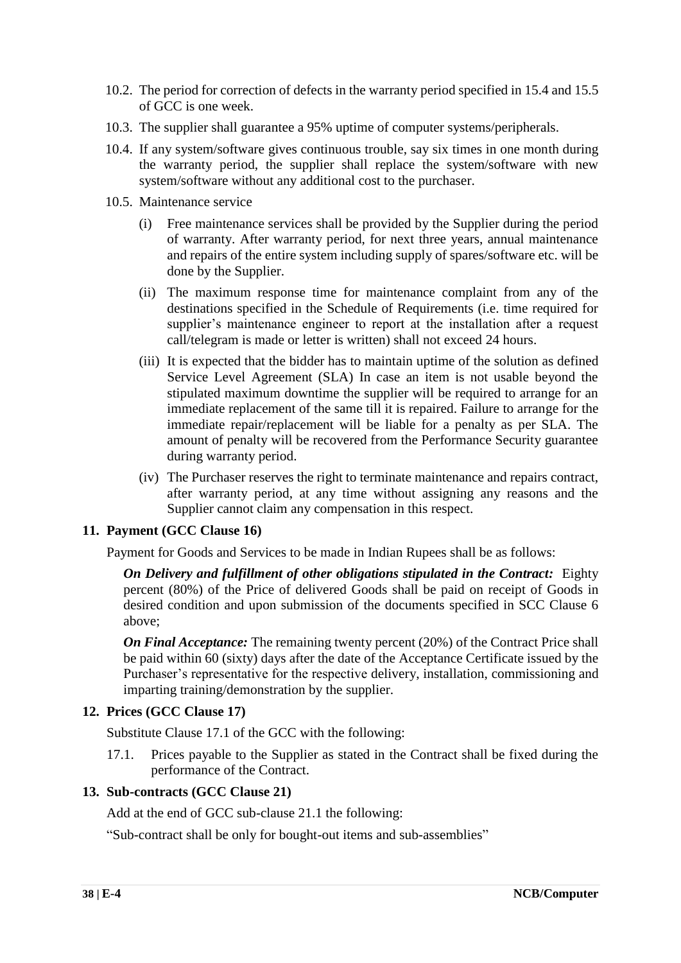- 10.2. The period for correction of defects in the warranty period specified in 15.4 and 15.5 of GCC is one week.
- 10.3. The supplier shall guarantee a 95% uptime of computer systems/peripherals.
- 10.4. If any system/software gives continuous trouble, say six times in one month during the warranty period, the supplier shall replace the system/software with new system/software without any additional cost to the purchaser.
- 10.5. Maintenance service
	- (i) Free maintenance services shall be provided by the Supplier during the period of warranty. After warranty period, for next three years, annual maintenance and repairs of the entire system including supply of spares/software etc. will be done by the Supplier.
	- (ii) The maximum response time for maintenance complaint from any of the destinations specified in the Schedule of Requirements (i.e. time required for supplier's maintenance engineer to report at the installation after a request call/telegram is made or letter is written) shall not exceed 24 hours.
	- (iii) It is expected that the bidder has to maintain uptime of the solution as defined Service Level Agreement (SLA) In case an item is not usable beyond the stipulated maximum downtime the supplier will be required to arrange for an immediate replacement of the same till it is repaired. Failure to arrange for the immediate repair/replacement will be liable for a penalty as per SLA. The amount of penalty will be recovered from the Performance Security guarantee during warranty period.
	- (iv) The Purchaser reserves the right to terminate maintenance and repairs contract, after warranty period, at any time without assigning any reasons and the Supplier cannot claim any compensation in this respect.

#### **11. Payment (GCC Clause 16)**

Payment for Goods and Services to be made in Indian Rupees shall be as follows:

*On Delivery and fulfillment of other obligations stipulated in the Contract:* Eighty percent (80%) of the Price of delivered Goods shall be paid on receipt of Goods in desired condition and upon submission of the documents specified in SCC Clause 6 above;

*On Final Acceptance:* The remaining twenty percent (20%) of the Contract Price shall be paid within 60 (sixty) days after the date of the Acceptance Certificate issued by the Purchaser's representative for the respective delivery, installation, commissioning and imparting training/demonstration by the supplier.

#### **12. Prices (GCC Clause 17)**

Substitute Clause 17.1 of the GCC with the following:

17.1. Prices payable to the Supplier as stated in the Contract shall be fixed during the performance of the Contract.

#### **13. Sub-contracts (GCC Clause 21)**

Add at the end of GCC sub-clause 21.1 the following:

"Sub-contract shall be only for bought-out items and sub-assemblies"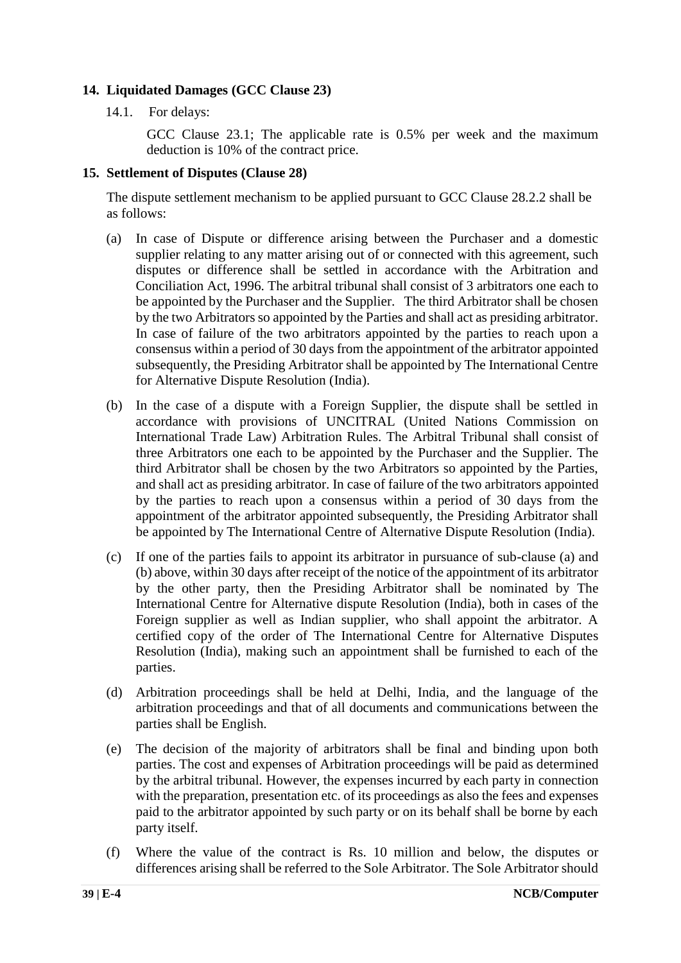#### **14. Liquidated Damages (GCC Clause 23)**

14.1. For delays:

GCC Clause 23.1; The applicable rate is 0.5% per week and the maximum deduction is 10% of the contract price.

#### **15. Settlement of Disputes (Clause 28)**

The dispute settlement mechanism to be applied pursuant to GCC Clause 28.2.2 shall be as follows:

- (a) In case of Dispute or difference arising between the Purchaser and a domestic supplier relating to any matter arising out of or connected with this agreement, such disputes or difference shall be settled in accordance with the Arbitration and Conciliation Act, 1996. The arbitral tribunal shall consist of 3 arbitrators one each to be appointed by the Purchaser and the Supplier. The third Arbitrator shall be chosen by the two Arbitrators so appointed by the Parties and shall act as presiding arbitrator. In case of failure of the two arbitrators appointed by the parties to reach upon a consensus within a period of 30 days from the appointment of the arbitrator appointed subsequently, the Presiding Arbitrator shall be appointed by The International Centre for Alternative Dispute Resolution (India).
- (b) In the case of a dispute with a Foreign Supplier, the dispute shall be settled in accordance with provisions of UNCITRAL (United Nations Commission on International Trade Law) Arbitration Rules. The Arbitral Tribunal shall consist of three Arbitrators one each to be appointed by the Purchaser and the Supplier. The third Arbitrator shall be chosen by the two Arbitrators so appointed by the Parties, and shall act as presiding arbitrator. In case of failure of the two arbitrators appointed by the parties to reach upon a consensus within a period of 30 days from the appointment of the arbitrator appointed subsequently, the Presiding Arbitrator shall be appointed by The International Centre of Alternative Dispute Resolution (India).
- (c) If one of the parties fails to appoint its arbitrator in pursuance of sub-clause (a) and (b) above, within 30 days after receipt of the notice of the appointment of its arbitrator by the other party, then the Presiding Arbitrator shall be nominated by The International Centre for Alternative dispute Resolution (India), both in cases of the Foreign supplier as well as Indian supplier, who shall appoint the arbitrator. A certified copy of the order of The International Centre for Alternative Disputes Resolution (India), making such an appointment shall be furnished to each of the parties.
- (d) Arbitration proceedings shall be held at Delhi, India, and the language of the arbitration proceedings and that of all documents and communications between the parties shall be English.
- (e) The decision of the majority of arbitrators shall be final and binding upon both parties. The cost and expenses of Arbitration proceedings will be paid as determined by the arbitral tribunal. However, the expenses incurred by each party in connection with the preparation, presentation etc. of its proceedings as also the fees and expenses paid to the arbitrator appointed by such party or on its behalf shall be borne by each party itself.
- (f) Where the value of the contract is Rs. 10 million and below, the disputes or differences arising shall be referred to the Sole Arbitrator. The Sole Arbitrator should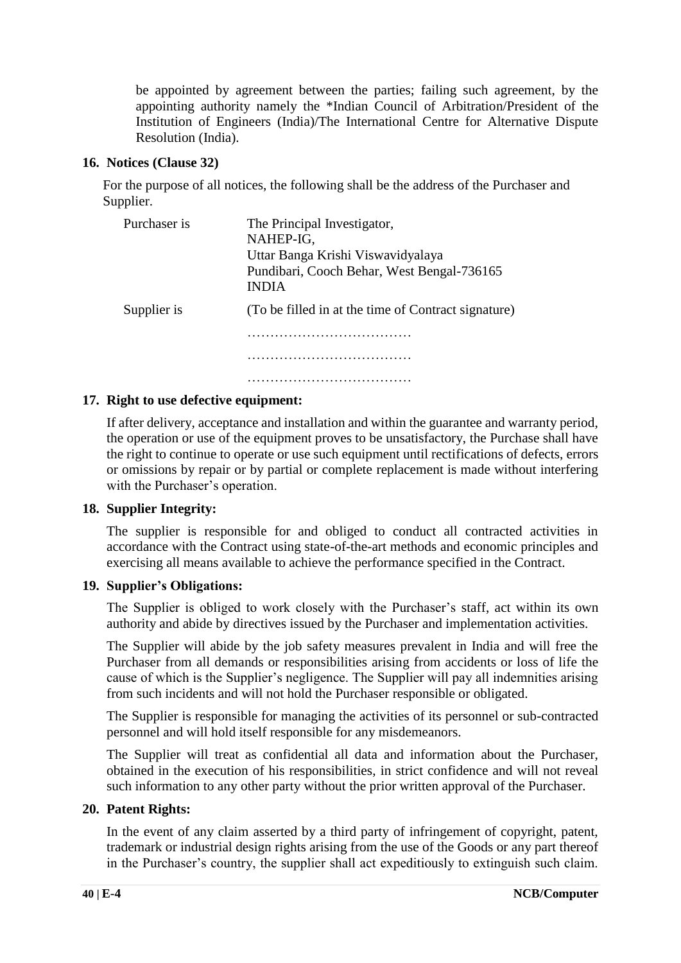be appointed by agreement between the parties; failing such agreement, by the appointing authority namely the \*Indian Council of Arbitration/President of the Institution of Engineers (India)/The International Centre for Alternative Dispute Resolution (India).

#### **16. Notices (Clause 32)**

For the purpose of all notices, the following shall be the address of the Purchaser and Supplier.

| Purchaser is | The Principal Investigator,<br>NAHEP-IG,<br>Uttar Banga Krishi Viswavidyalaya<br>Pundibari, Cooch Behar, West Bengal-736165<br><b>INDIA</b> |
|--------------|---------------------------------------------------------------------------------------------------------------------------------------------|
| Supplier is  | (To be filled in at the time of Contract signature)                                                                                         |
|              |                                                                                                                                             |
|              |                                                                                                                                             |
|              |                                                                                                                                             |

#### **17. Right to use defective equipment:**

If after delivery, acceptance and installation and within the guarantee and warranty period, the operation or use of the equipment proves to be unsatisfactory, the Purchase shall have the right to continue to operate or use such equipment until rectifications of defects, errors or omissions by repair or by partial or complete replacement is made without interfering with the Purchaser's operation.

#### **18. Supplier Integrity:**

The supplier is responsible for and obliged to conduct all contracted activities in accordance with the Contract using state-of-the-art methods and economic principles and exercising all means available to achieve the performance specified in the Contract.

#### **19. Supplier's Obligations:**

The Supplier is obliged to work closely with the Purchaser's staff, act within its own authority and abide by directives issued by the Purchaser and implementation activities.

The Supplier will abide by the job safety measures prevalent in India and will free the Purchaser from all demands or responsibilities arising from accidents or loss of life the cause of which is the Supplier's negligence. The Supplier will pay all indemnities arising from such incidents and will not hold the Purchaser responsible or obligated.

The Supplier is responsible for managing the activities of its personnel or sub-contracted personnel and will hold itself responsible for any misdemeanors.

The Supplier will treat as confidential all data and information about the Purchaser, obtained in the execution of his responsibilities, in strict confidence and will not reveal such information to any other party without the prior written approval of the Purchaser.

#### **20. Patent Rights:**

In the event of any claim asserted by a third party of infringement of copyright, patent, trademark or industrial design rights arising from the use of the Goods or any part thereof in the Purchaser's country, the supplier shall act expeditiously to extinguish such claim.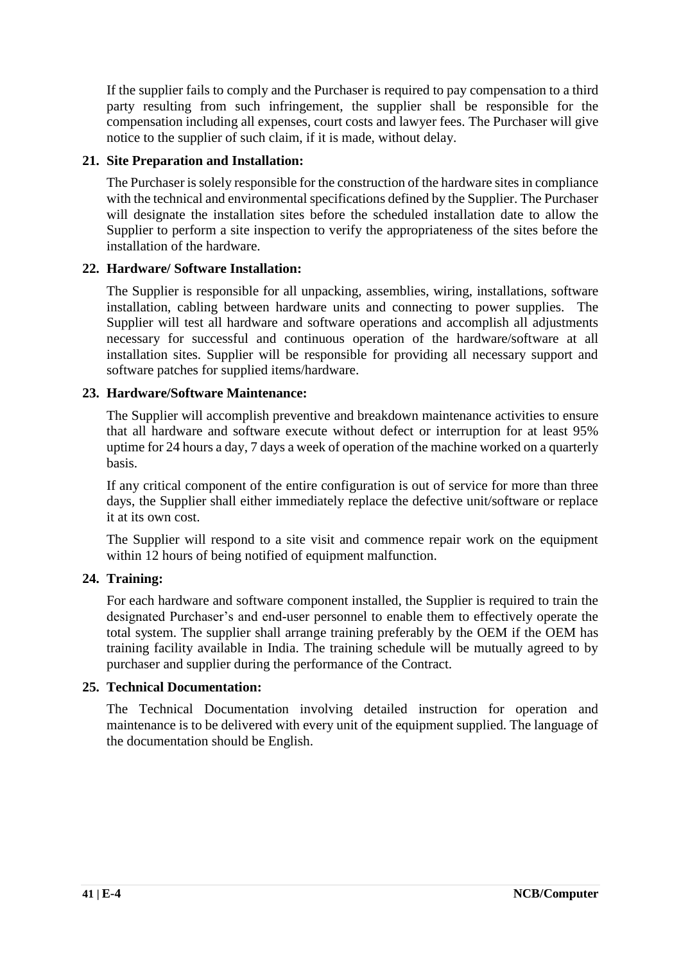If the supplier fails to comply and the Purchaser is required to pay compensation to a third party resulting from such infringement, the supplier shall be responsible for the compensation including all expenses, court costs and lawyer fees. The Purchaser will give notice to the supplier of such claim, if it is made, without delay.

#### **21. Site Preparation and Installation:**

The Purchaser is solely responsible for the construction of the hardware sites in compliance with the technical and environmental specifications defined by the Supplier. The Purchaser will designate the installation sites before the scheduled installation date to allow the Supplier to perform a site inspection to verify the appropriateness of the sites before the installation of the hardware.

#### **22. Hardware/ Software Installation:**

The Supplier is responsible for all unpacking, assemblies, wiring, installations, software installation, cabling between hardware units and connecting to power supplies. The Supplier will test all hardware and software operations and accomplish all adjustments necessary for successful and continuous operation of the hardware/software at all installation sites. Supplier will be responsible for providing all necessary support and software patches for supplied items/hardware.

#### **23. Hardware/Software Maintenance:**

The Supplier will accomplish preventive and breakdown maintenance activities to ensure that all hardware and software execute without defect or interruption for at least 95% uptime for 24 hours a day, 7 days a week of operation of the machine worked on a quarterly basis.

If any critical component of the entire configuration is out of service for more than three days, the Supplier shall either immediately replace the defective unit/software or replace it at its own cost.

The Supplier will respond to a site visit and commence repair work on the equipment within 12 hours of being notified of equipment malfunction.

#### **24. Training:**

For each hardware and software component installed, the Supplier is required to train the designated Purchaser's and end-user personnel to enable them to effectively operate the total system. The supplier shall arrange training preferably by the OEM if the OEM has training facility available in India. The training schedule will be mutually agreed to by purchaser and supplier during the performance of the Contract.

#### **25. Technical Documentation:**

The Technical Documentation involving detailed instruction for operation and maintenance is to be delivered with every unit of the equipment supplied. The language of the documentation should be English.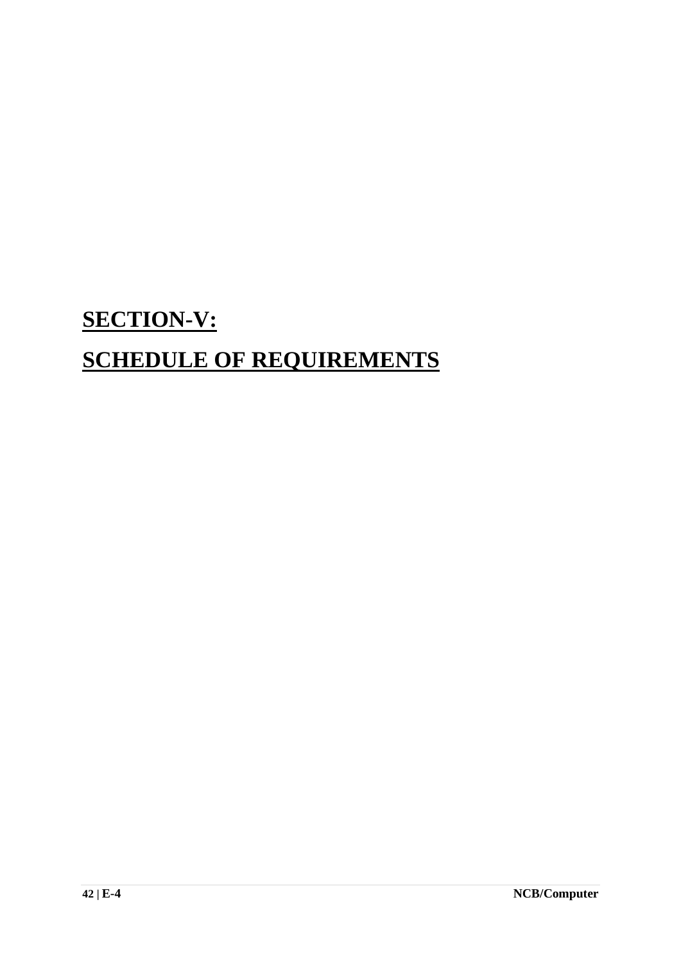# **SECTION-V: SCHEDULE OF REQUIREMENTS**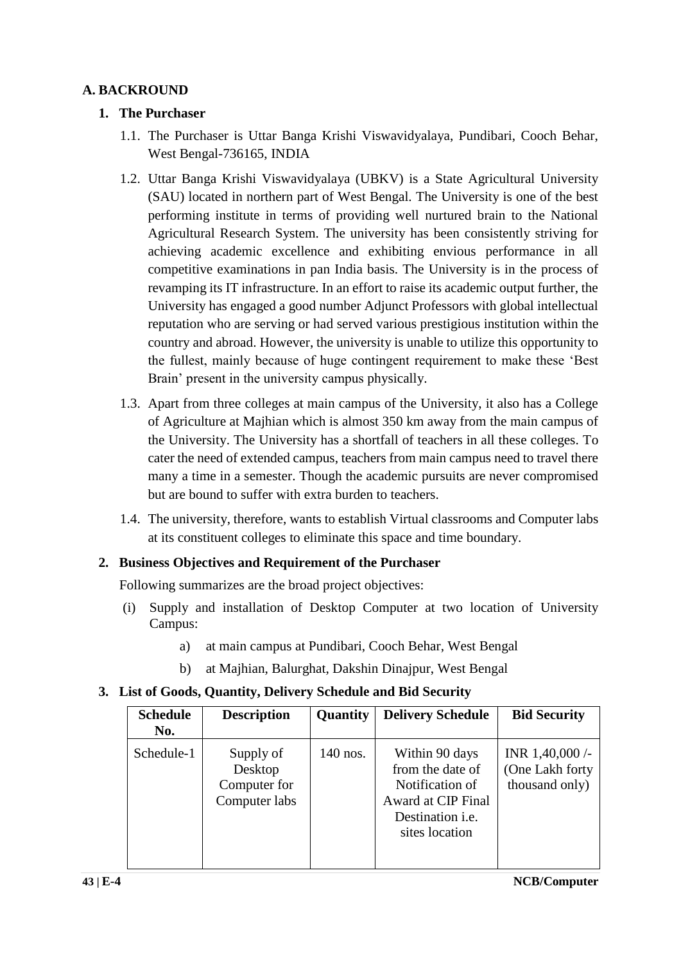#### **A. BACKROUND**

#### **1. The Purchaser**

- 1.1. The Purchaser is Uttar Banga Krishi Viswavidyalaya, Pundibari, Cooch Behar, West Bengal-736165, INDIA
- 1.2. Uttar Banga Krishi Viswavidyalaya (UBKV) is a State Agricultural University (SAU) located in northern part of West Bengal. The University is one of the best performing institute in terms of providing well nurtured brain to the National Agricultural Research System. The university has been consistently striving for achieving academic excellence and exhibiting envious performance in all competitive examinations in pan India basis. The University is in the process of revamping its IT infrastructure. In an effort to raise its academic output further, the University has engaged a good number Adjunct Professors with global intellectual reputation who are serving or had served various prestigious institution within the country and abroad. However, the university is unable to utilize this opportunity to the fullest, mainly because of huge contingent requirement to make these 'Best Brain' present in the university campus physically.
- 1.3. Apart from three colleges at main campus of the University, it also has a College of Agriculture at Majhian which is almost 350 km away from the main campus of the University. The University has a shortfall of teachers in all these colleges. To cater the need of extended campus, teachers from main campus need to travel there many a time in a semester. Though the academic pursuits are never compromised but are bound to suffer with extra burden to teachers.
- 1.4. The university, therefore, wants to establish Virtual classrooms and Computer labs at its constituent colleges to eliminate this space and time boundary.

#### **2. Business Objectives and Requirement of the Purchaser**

Following summarizes are the broad project objectives:

- (i) Supply and installation of Desktop Computer at two location of University Campus:
	- a) at main campus at Pundibari, Cooch Behar, West Bengal
	- b) at Majhian, Balurghat, Dakshin Dinajpur, West Bengal

#### **3. List of Goods, Quantity, Delivery Schedule and Bid Security**

| <b>Schedule</b><br>No. | <b>Description</b>                                    | Quantity   | <b>Delivery Schedule</b>                                                                                                 | <b>Bid Security</b>                                  |
|------------------------|-------------------------------------------------------|------------|--------------------------------------------------------------------------------------------------------------------------|------------------------------------------------------|
| Schedule-1             | Supply of<br>Desktop<br>Computer for<br>Computer labs | $140$ nos. | Within 90 days<br>from the date of<br>Notification of<br>Award at CIP Final<br>Destination <i>i.e.</i><br>sites location | INR 1,40,000 /-<br>(One Lakh forty<br>thousand only) |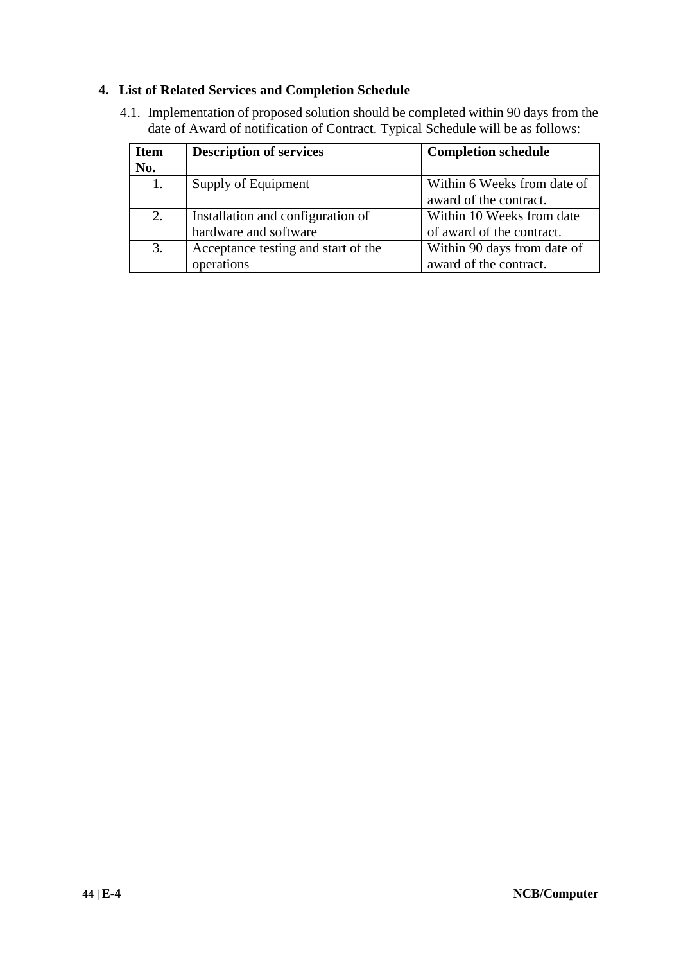#### **4. List of Related Services and Completion Schedule**

4.1. Implementation of proposed solution should be completed within 90 days from the date of Award of notification of Contract. Typical Schedule will be as follows:

| <b>Item</b><br>No. | <b>Description of services</b>      | <b>Completion schedule</b>  |
|--------------------|-------------------------------------|-----------------------------|
| 1.                 | Supply of Equipment                 | Within 6 Weeks from date of |
|                    |                                     | award of the contract.      |
| 2.                 | Installation and configuration of   | Within 10 Weeks from date   |
|                    | hardware and software               | of award of the contract.   |
| 3.                 | Acceptance testing and start of the | Within 90 days from date of |
|                    | operations                          | award of the contract.      |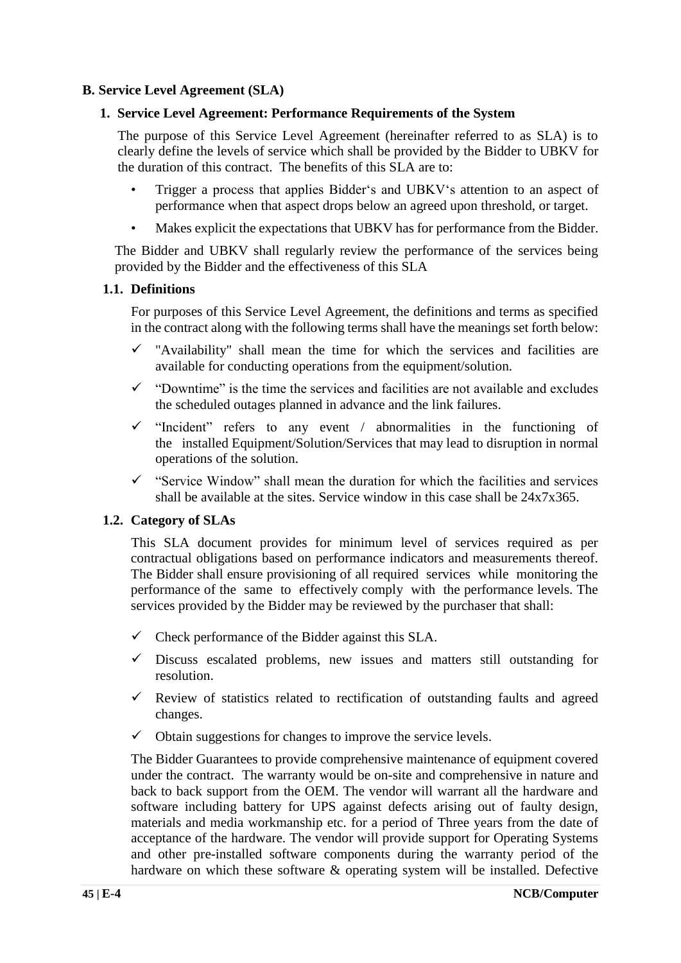#### **B. Service Level Agreement (SLA)**

#### **1. Service Level Agreement: Performance Requirements of the System**

The purpose of this Service Level Agreement (hereinafter referred to as SLA) is to clearly define the levels of service which shall be provided by the Bidder to UBKV for the duration of this contract. The benefits of this SLA are to:

- Trigger a process that applies Bidder's and UBKV's attention to an aspect of performance when that aspect drops below an agreed upon threshold, or target.
- Makes explicit the expectations that UBKV has for performance from the Bidder.

The Bidder and UBKV shall regularly review the performance of the services being provided by the Bidder and the effectiveness of this SLA

#### **1.1. Definitions**

For purposes of this Service Level Agreement, the definitions and terms as specified in the contract along with the following terms shall have the meanings set forth below:

- $\checkmark$  "Availability" shall mean the time for which the services and facilities are available for conducting operations from the equipment/solution.
- $\checkmark$  "Downtime" is the time the services and facilities are not available and excludes the scheduled outages planned in advance and the link failures.
- $\checkmark$  "Incident" refers to any event / abnormalities in the functioning of the installed Equipment/Solution/Services that may lead to disruption in normal operations of the solution.
- $\checkmark$  "Service Window" shall mean the duration for which the facilities and services shall be available at the sites. Service window in this case shall be 24x7x365.

#### **1.2. Category of SLAs**

This SLA document provides for minimum level of services required as per contractual obligations based on performance indicators and measurements thereof. The Bidder shall ensure provisioning of all required services while monitoring the performance of the same to effectively comply with the performance levels. The services provided by the Bidder may be reviewed by the purchaser that shall:

- $\checkmark$  Check performance of the Bidder against this SLA.
- $\checkmark$  Discuss escalated problems, new issues and matters still outstanding for resolution.
- $\checkmark$  Review of statistics related to rectification of outstanding faults and agreed changes.
- $\checkmark$  Obtain suggestions for changes to improve the service levels.

The Bidder Guarantees to provide comprehensive maintenance of equipment covered under the contract. The warranty would be on-site and comprehensive in nature and back to back support from the OEM. The vendor will warrant all the hardware and software including battery for UPS against defects arising out of faulty design, materials and media workmanship etc. for a period of Three years from the date of acceptance of the hardware. The vendor will provide support for Operating Systems and other pre-installed software components during the warranty period of the hardware on which these software & operating system will be installed. Defective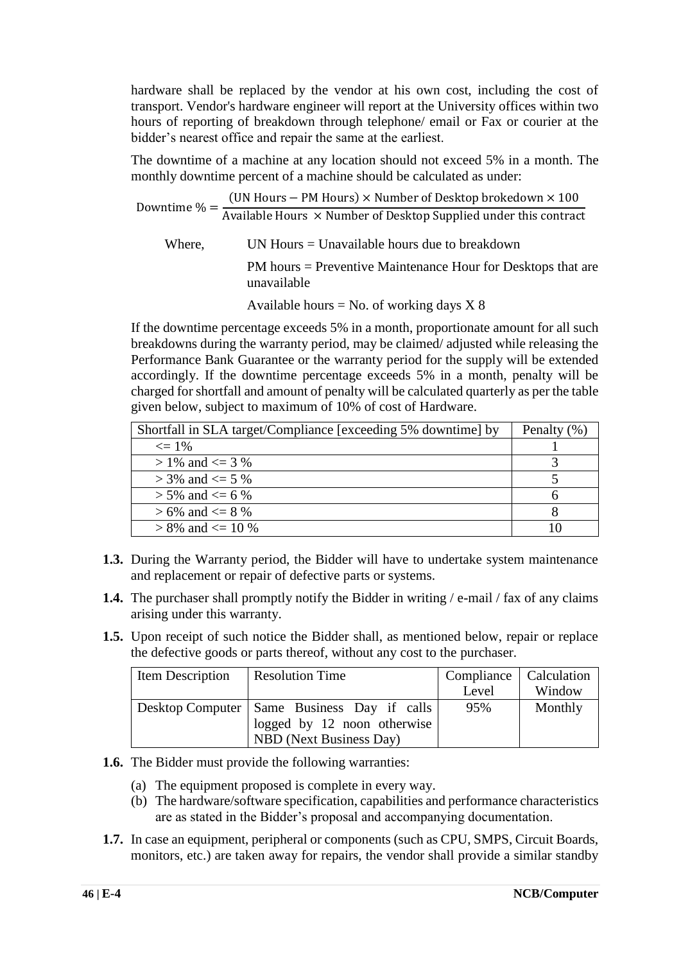hardware shall be replaced by the vendor at his own cost, including the cost of transport. Vendor's hardware engineer will report at the University offices within two hours of reporting of breakdown through telephone/ email or Fax or courier at the bidder's nearest office and repair the same at the earliest.

The downtime of a machine at any location should not exceed 5% in a month. The monthly downtime percent of a machine should be calculated as under:

Downtime  $% =$ (UN Hours − PM Hours) × Number of Desktop brokedown × 100 Available Hours × Number of Desktop Supplied under this contract Where,  $UN Hours = Unavailable hours due to breakdown$ PM hours = Preventive Maintenance Hour for Desktops that are unavailable Available hours = No. of working days  $X$  8

If the downtime percentage exceeds 5% in a month, proportionate amount for all such breakdowns during the warranty period, may be claimed/ adjusted while releasing the Performance Bank Guarantee or the warranty period for the supply will be extended accordingly. If the downtime percentage exceeds 5% in a month, penalty will be charged for shortfall and amount of penalty will be calculated quarterly as per the table given below, subject to maximum of 10% of cost of Hardware.

| Shortfall in SLA target/Compliance [exceeding 5% downtime] by | Penalty $(\% )$ |
|---------------------------------------------------------------|-----------------|
| $\epsilon = 1\%$                                              |                 |
| $> 1\%$ and $\leq 3\%$                                        |                 |
| $>$ 3% and $\leq$ 5 %                                         |                 |
| $> 5\%$ and $\leq 6\%$                                        |                 |
| $> 6\%$ and $\leq 8\%$                                        |                 |
| $> 8\%$ and $\leq 10\%$                                       |                 |

- **1.3.** During the Warranty period, the Bidder will have to undertake system maintenance and replacement or repair of defective parts or systems.
- **1.4.** The purchaser shall promptly notify the Bidder in writing / e-mail / fax of any claims arising under this warranty.
- **1.5.** Upon receipt of such notice the Bidder shall, as mentioned below, repair or replace the defective goods or parts thereof, without any cost to the purchaser.

| Item Description | <b>Resolution Time</b>                        | Compliance   Calculation |         |
|------------------|-----------------------------------------------|--------------------------|---------|
|                  |                                               | Level                    | Window  |
|                  | Desktop Computer   Same Business Day if calls | 95%                      | Monthly |
|                  | logged by 12 noon otherwise                   |                          |         |
|                  | NBD (Next Business Day)                       |                          |         |

- **1.6.** The Bidder must provide the following warranties:
	- (a) The equipment proposed is complete in every way.
	- (b) The hardware/software specification, capabilities and performance characteristics are as stated in the Bidder's proposal and accompanying documentation.
- **1.7.** In case an equipment, peripheral or components (such as CPU, SMPS, Circuit Boards, monitors, etc.) are taken away for repairs, the vendor shall provide a similar standby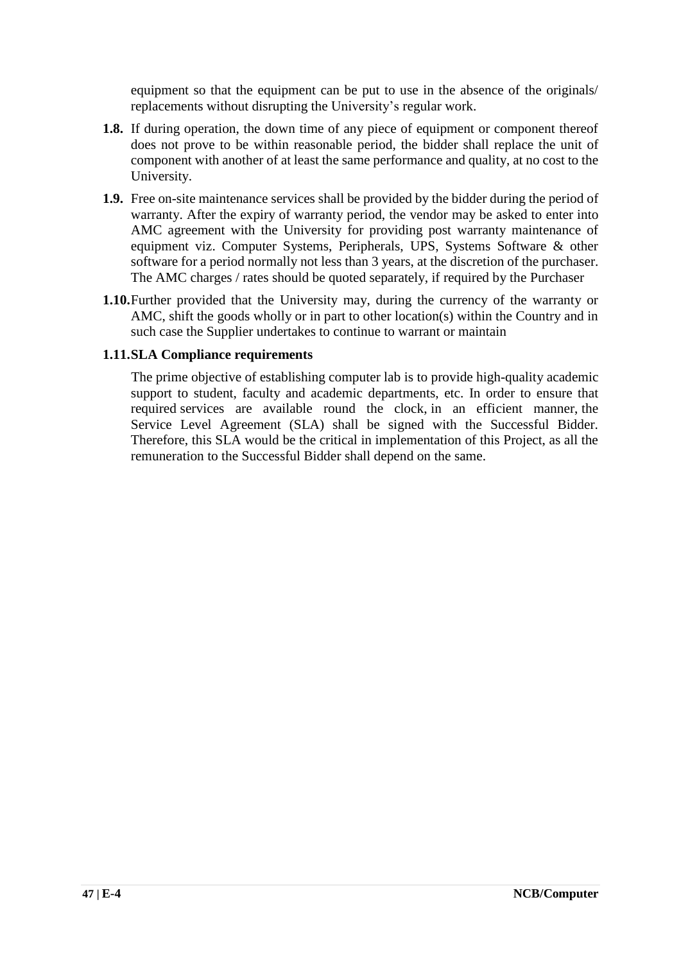equipment so that the equipment can be put to use in the absence of the originals/ replacements without disrupting the University's regular work.

- **1.8.** If during operation, the down time of any piece of equipment or component thereof does not prove to be within reasonable period, the bidder shall replace the unit of component with another of at least the same performance and quality, at no cost to the University.
- **1.9.** Free on-site maintenance services shall be provided by the bidder during the period of warranty. After the expiry of warranty period, the vendor may be asked to enter into AMC agreement with the University for providing post warranty maintenance of equipment viz. Computer Systems, Peripherals, UPS, Systems Software & other software for a period normally not less than 3 years, at the discretion of the purchaser. The AMC charges / rates should be quoted separately, if required by the Purchaser
- **1.10.**Further provided that the University may, during the currency of the warranty or AMC, shift the goods wholly or in part to other location(s) within the Country and in such case the Supplier undertakes to continue to warrant or maintain

#### **1.11.SLA Compliance requirements**

The prime objective of establishing computer lab is to provide high-quality academic support to student, faculty and academic departments, etc. In order to ensure that required services are available round the clock, in an efficient manner, the Service Level Agreement (SLA) shall be signed with the Successful Bidder. Therefore, this SLA would be the critical in implementation of this Project, as all the remuneration to the Successful Bidder shall depend on the same.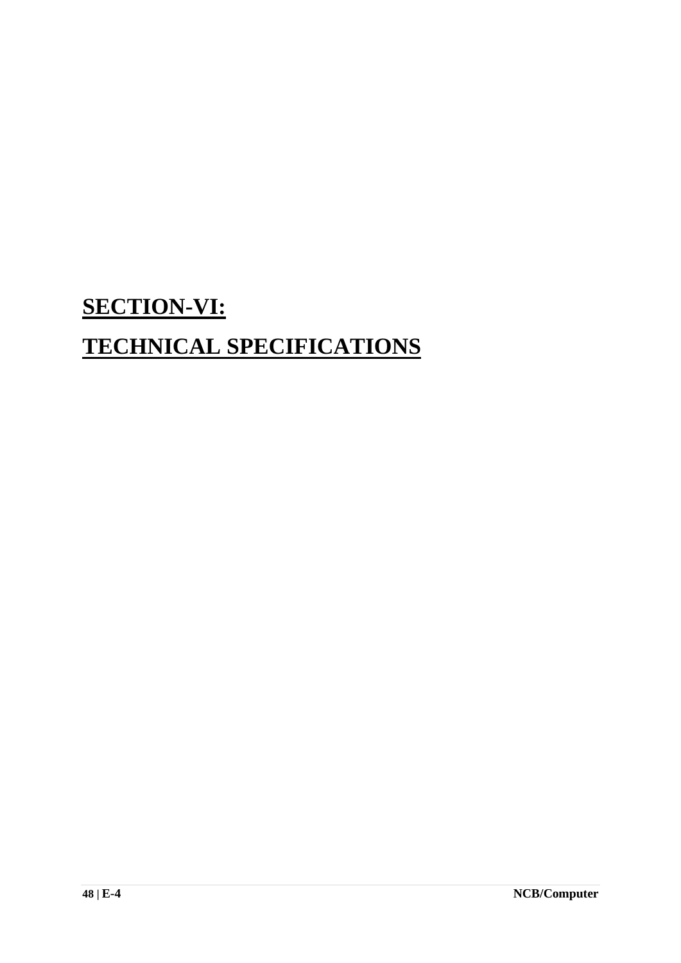## **SECTION-VI:**

## **TECHNICAL SPECIFICATIONS**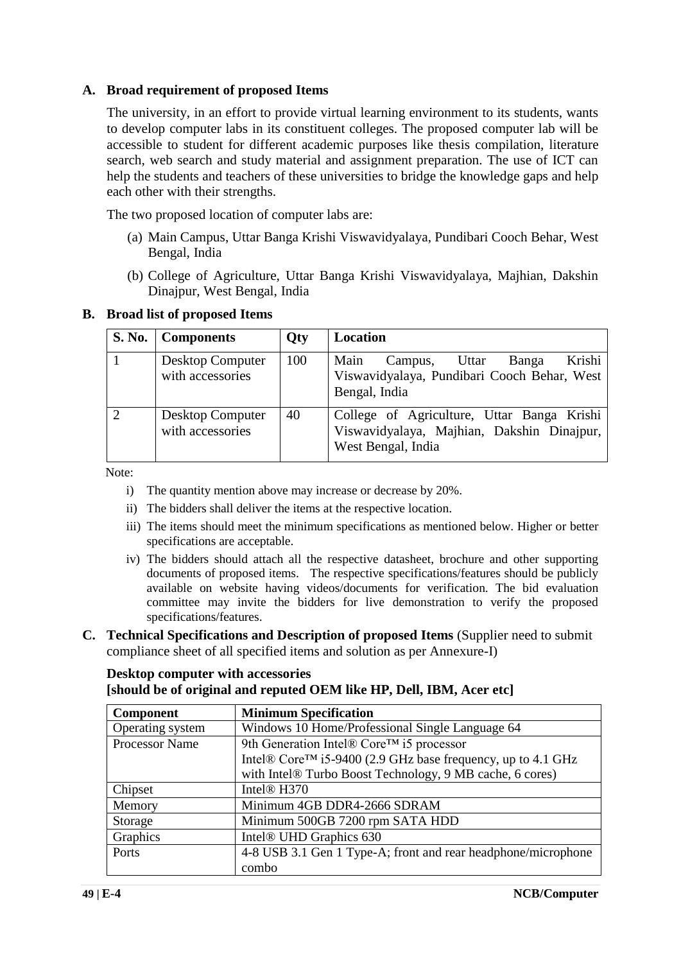#### **A. Broad requirement of proposed Items**

The university, in an effort to provide virtual learning environment to its students, wants to develop computer labs in its constituent colleges. The proposed computer lab will be accessible to student for different academic purposes like thesis compilation, literature search, web search and study material and assignment preparation. The use of ICT can help the students and teachers of these universities to bridge the knowledge gaps and help each other with their strengths.

The two proposed location of computer labs are:

- (a) Main Campus, Uttar Banga Krishi Viswavidyalaya, Pundibari Cooch Behar, West Bengal, India
- (b) College of Agriculture, Uttar Banga Krishi Viswavidyalaya, Majhian, Dakshin Dinajpur, West Bengal, India

#### **B. Broad list of proposed Items**

| <b>S. No.</b> | <b>Components</b>                           | Qty | Location                                                                                                       |
|---------------|---------------------------------------------|-----|----------------------------------------------------------------------------------------------------------------|
|               | <b>Desktop Computer</b><br>with accessories | 100 | Krishi<br>Main<br>Uttar<br>Banga<br>Campus,<br>Viswavidyalaya, Pundibari Cooch Behar, West<br>Bengal, India    |
| $\mathcal{D}$ | <b>Desktop Computer</b><br>with accessories | 40  | College of Agriculture, Uttar Banga Krishi<br>Viswavidyalaya, Majhian, Dakshin Dinajpur,<br>West Bengal, India |

Note:

- i) The quantity mention above may increase or decrease by 20%.
- ii) The bidders shall deliver the items at the respective location.
- iii) The items should meet the minimum specifications as mentioned below. Higher or better specifications are acceptable.
- iv) The bidders should attach all the respective datasheet, brochure and other supporting documents of proposed items. The respective specifications/features should be publicly available on website having videos/documents for verification. The bid evaluation committee may invite the bidders for live demonstration to verify the proposed specifications/features.
- **C. Technical Specifications and Description of proposed Items** (Supplier need to submit compliance sheet of all specified items and solution as per Annexure-I)

## **Desktop computer with accessories**

#### **[should be of original and reputed OEM like HP, Dell, IBM, Acer etc]**

| <b>Component</b> | <b>Minimum Specification</b>                                             |
|------------------|--------------------------------------------------------------------------|
| Operating system | Windows 10 Home/Professional Single Language 64                          |
| Processor Name   | 9th Generation Intel® Core™ i5 processor                                 |
|                  | Intel® Core <sup>TM</sup> i5-9400 (2.9 GHz base frequency, up to 4.1 GHz |
|                  | with Intel® Turbo Boost Technology, 9 MB cache, 6 cores)                 |
| Chipset          | Intel <sup>®</sup> H <sub>370</sub>                                      |
| Memory           | Minimum 4GB DDR4-2666 SDRAM                                              |
| Storage          | Minimum 500GB 7200 rpm SATA HDD                                          |
| Graphics         | Intel <sup>®</sup> UHD Graphics 630                                      |
| Ports            | 4-8 USB 3.1 Gen 1 Type-A; front and rear headphone/microphone            |
|                  | combo                                                                    |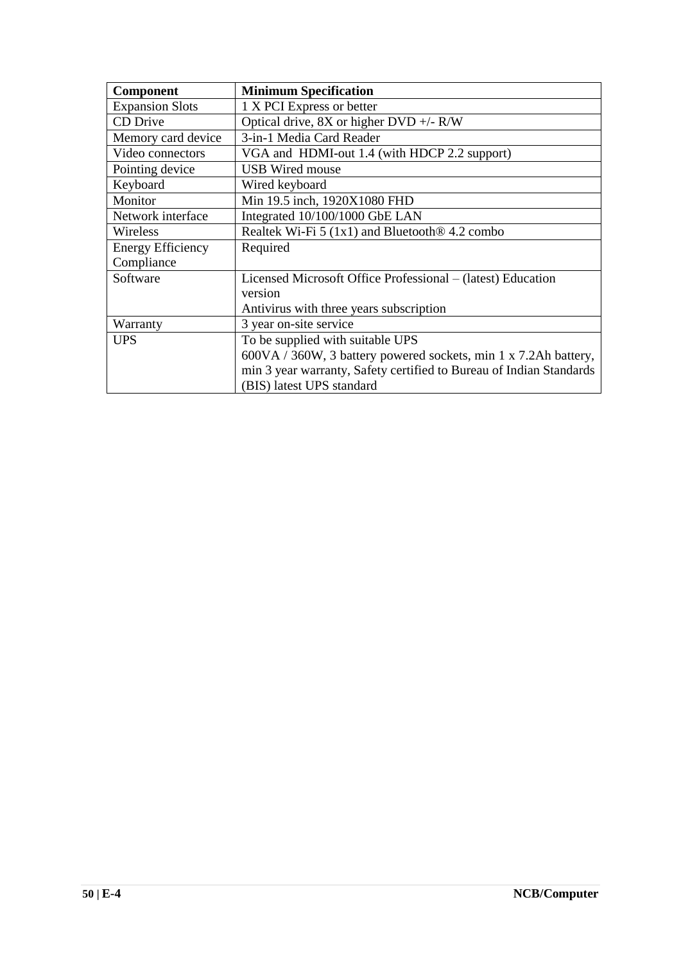| Component                | <b>Minimum Specification</b>                                        |
|--------------------------|---------------------------------------------------------------------|
| <b>Expansion Slots</b>   | 1 X PCI Express or better                                           |
| CD Drive                 | Optical drive, $8X$ or higher $DVD +/- R/W$                         |
| Memory card device       | 3-in-1 Media Card Reader                                            |
| Video connectors         | VGA and HDMI-out 1.4 (with HDCP 2.2 support)                        |
| Pointing device          | <b>USB</b> Wired mouse                                              |
| Keyboard                 | Wired keyboard                                                      |
| Monitor                  | Min 19.5 inch, 1920X1080 FHD                                        |
| Network interface        | Integrated 10/100/1000 GbE LAN                                      |
| Wireless                 | Realtek Wi-Fi 5 (1x1) and Bluetooth <sup>®</sup> 4.2 combo          |
| <b>Energy Efficiency</b> | Required                                                            |
| Compliance               |                                                                     |
| Software                 | Licensed Microsoft Office Professional – (latest) Education         |
|                          | version                                                             |
|                          | Antivirus with three years subscription                             |
| Warranty                 | 3 year on-site service                                              |
| <b>UPS</b>               | To be supplied with suitable UPS                                    |
|                          | 600VA / 360W, 3 battery powered sockets, min 1 x 7.2Ah battery,     |
|                          | min 3 year warranty, Safety certified to Bureau of Indian Standards |
|                          | (BIS) latest UPS standard                                           |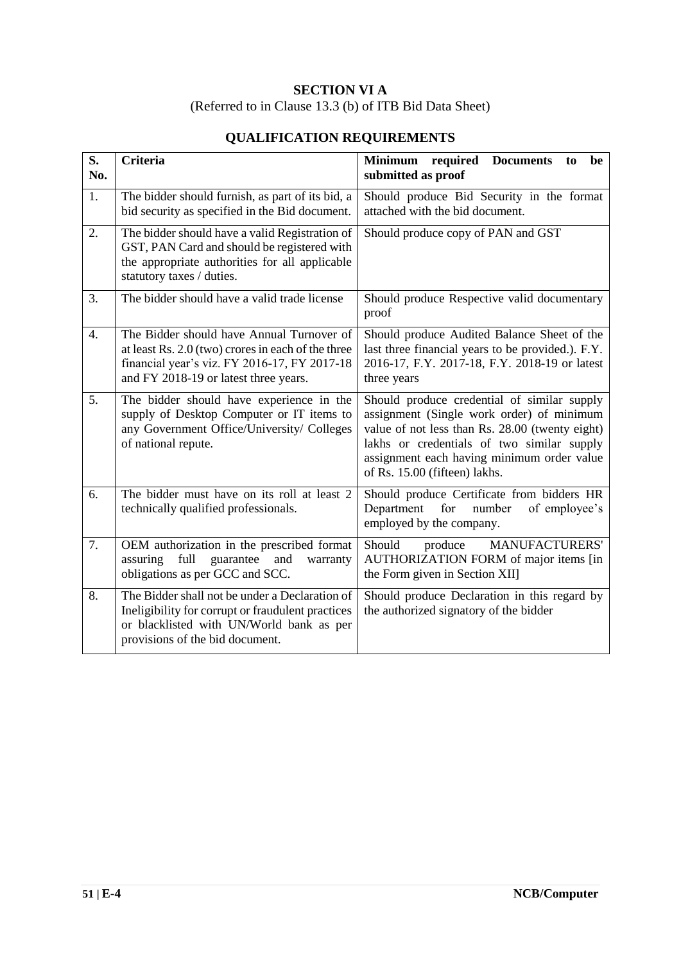## **SECTION VI A**

(Referred to in Clause 13.3 (b) of ITB Bid Data Sheet)

| S.<br>No.        | <b>Criteria</b>                                                                                                                                                                          | Minimum required Documents<br>be<br>to<br>submitted as proof                                                                                                                                                                                                             |  |  |
|------------------|------------------------------------------------------------------------------------------------------------------------------------------------------------------------------------------|--------------------------------------------------------------------------------------------------------------------------------------------------------------------------------------------------------------------------------------------------------------------------|--|--|
| 1.               | The bidder should furnish, as part of its bid, a<br>bid security as specified in the Bid document.                                                                                       | Should produce Bid Security in the format<br>attached with the bid document.                                                                                                                                                                                             |  |  |
| 2.               | The bidder should have a valid Registration of<br>GST, PAN Card and should be registered with<br>the appropriate authorities for all applicable<br>statutory taxes / duties.             | Should produce copy of PAN and GST                                                                                                                                                                                                                                       |  |  |
| 3.               | The bidder should have a valid trade license                                                                                                                                             | Should produce Respective valid documentary<br>proof                                                                                                                                                                                                                     |  |  |
| $\overline{4}$ . | The Bidder should have Annual Turnover of<br>at least Rs. 2.0 (two) crores in each of the three<br>financial year's viz. FY 2016-17, FY 2017-18<br>and FY 2018-19 or latest three years. | Should produce Audited Balance Sheet of the<br>last three financial years to be provided.). F.Y.<br>2016-17, F.Y. 2017-18, F.Y. 2018-19 or latest<br>three years                                                                                                         |  |  |
| 5.               | The bidder should have experience in the<br>supply of Desktop Computer or IT items to<br>any Government Office/University/ Colleges<br>of national repute.                               | Should produce credential of similar supply<br>assignment (Single work order) of minimum<br>value of not less than Rs. 28.00 (twenty eight)<br>lakhs or credentials of two similar supply<br>assignment each having minimum order value<br>of Rs. 15.00 (fifteen) lakhs. |  |  |
| 6.               | The bidder must have on its roll at least 2<br>technically qualified professionals.                                                                                                      | Should produce Certificate from bidders HR<br>Department<br>number<br>for<br>of employee's<br>employed by the company.                                                                                                                                                   |  |  |
| 7.               | OEM authorization in the prescribed format<br>full<br>guarantee<br>assuring<br>and<br>warranty<br>obligations as per GCC and SCC.                                                        | Should<br><b>MANUFACTURERS'</b><br>produce<br>AUTHORIZATION FORM of major items [in<br>the Form given in Section XII]                                                                                                                                                    |  |  |
| 8.               | The Bidder shall not be under a Declaration of<br>Ineligibility for corrupt or fraudulent practices<br>or blacklisted with UN/World bank as per<br>provisions of the bid document.       | Should produce Declaration in this regard by<br>the authorized signatory of the bidder                                                                                                                                                                                   |  |  |

## **QUALIFICATION REQUIREMENTS**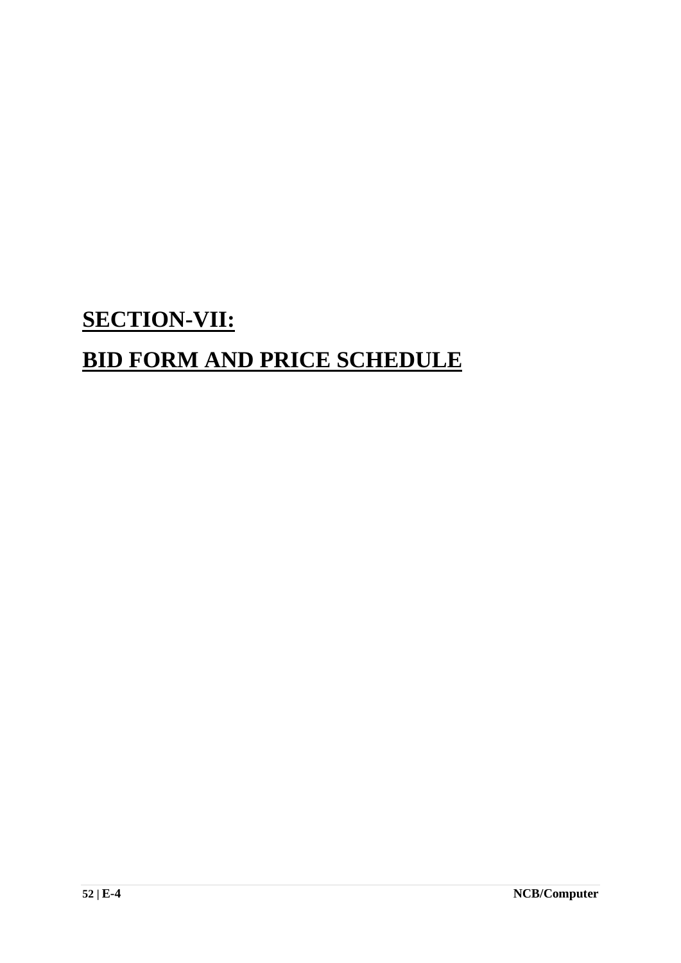# **SECTION-VII: BID FORM AND PRICE SCHEDULE**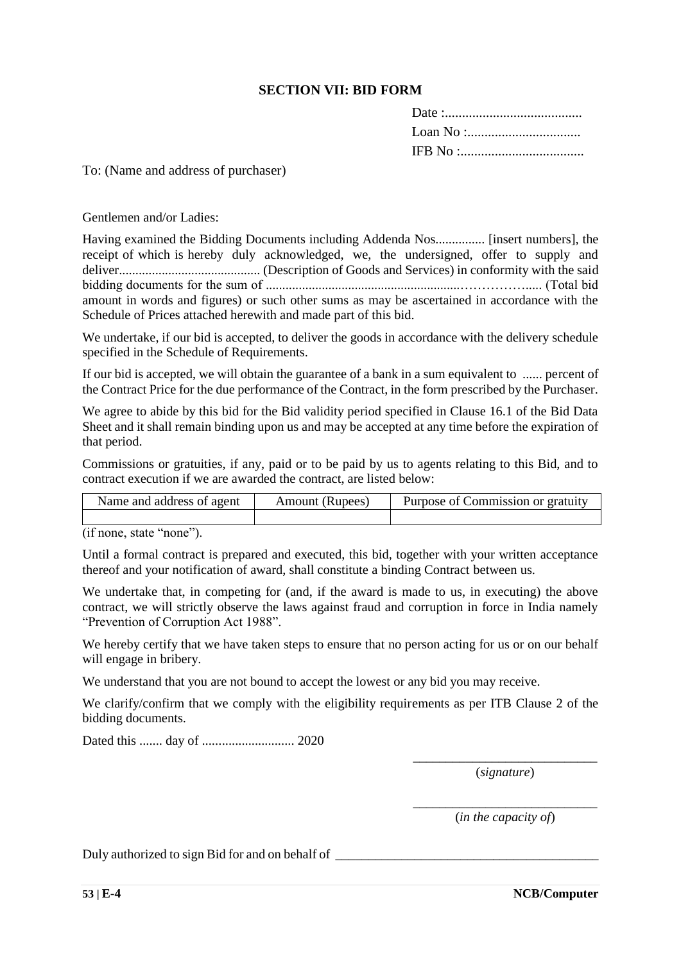#### **SECTION VII: BID FORM**

To: (Name and address of purchaser)

Gentlemen and/or Ladies:

| Having examined the Bidding Documents including Addenda Nos [insert numbers], the            |  |  |  |  |  |  |
|----------------------------------------------------------------------------------------------|--|--|--|--|--|--|
| receipt of which is hereby duly acknowledged, we, the undersigned, offer to supply and       |  |  |  |  |  |  |
|                                                                                              |  |  |  |  |  |  |
|                                                                                              |  |  |  |  |  |  |
| amount in words and figures) or such other sums as may be ascertained in accordance with the |  |  |  |  |  |  |
| Schedule of Prices attached herewith and made part of this bid.                              |  |  |  |  |  |  |

We undertake, if our bid is accepted, to deliver the goods in accordance with the delivery schedule specified in the Schedule of Requirements.

If our bid is accepted, we will obtain the guarantee of a bank in a sum equivalent to ...... percent of the Contract Price for the due performance of the Contract, in the form prescribed by the Purchaser.

We agree to abide by this bid for the Bid validity period specified in Clause 16.1 of the Bid Data Sheet and it shall remain binding upon us and may be accepted at any time before the expiration of that period.

Commissions or gratuities, if any, paid or to be paid by us to agents relating to this Bid, and to contract execution if we are awarded the contract, are listed below:

| Name and address of agent | Amount (Rupees) | Purpose of Commission or gratuity |
|---------------------------|-----------------|-----------------------------------|
|                           |                 |                                   |

(if none, state "none").

Until a formal contract is prepared and executed, this bid, together with your written acceptance thereof and your notification of award, shall constitute a binding Contract between us.

We undertake that, in competing for (and, if the award is made to us, in executing) the above contract, we will strictly observe the laws against fraud and corruption in force in India namely "Prevention of Corruption Act 1988".

We hereby certify that we have taken steps to ensure that no person acting for us or on our behalf will engage in bribery.

We understand that you are not bound to accept the lowest or any bid you may receive.

We clarify/confirm that we comply with the eligibility requirements as per ITB Clause 2 of the bidding documents.

Dated this ....... day of ............................ 2020

\_\_\_\_\_\_\_\_\_\_\_\_\_\_\_\_\_\_\_\_\_\_\_\_\_\_\_\_ (*signature*)

\_\_\_\_\_\_\_\_\_\_\_\_\_\_\_\_\_\_\_\_\_\_\_\_\_\_\_\_ (*in the capacity of*)

Duly authorized to sign Bid for and on behalf of \_\_\_\_\_\_\_\_\_\_\_\_\_\_\_\_\_\_\_\_\_\_\_\_\_\_\_\_\_\_\_\_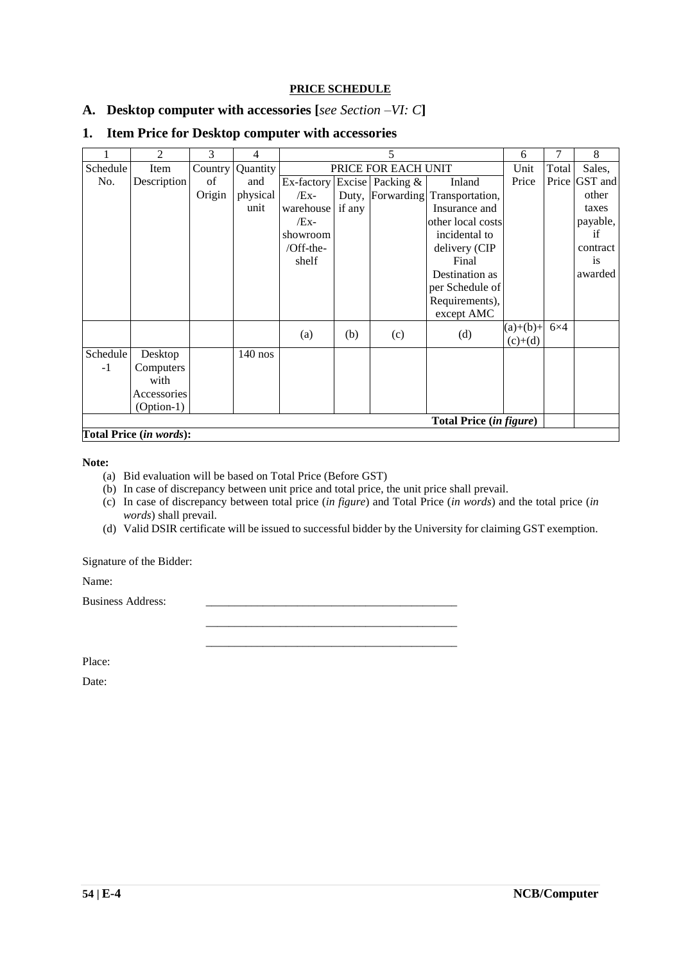#### **PRICE SCHEDULE**

#### **A. Desktop computer with accessories [***see Section –VI: C***]**

|          | 2                       | 3       | 4         |            | 5                   |                  |                                |            | 7          | 8        |
|----------|-------------------------|---------|-----------|------------|---------------------|------------------|--------------------------------|------------|------------|----------|
| Schedule | Item                    | Country | Quantity  |            | PRICE FOR EACH UNIT |                  |                                |            | Total      | Sales,   |
| No.      | Description             | of      | and       | Ex-factory |                     | Excise Packing & | Inland                         | Price      | Price      | GST and  |
|          |                         | Origin  | physical  | $/Ex-$     |                     | Duty, Forwarding | Transportation,                |            |            | other    |
|          |                         |         | unit      | warehouse  | if any              |                  | Insurance and                  |            |            | taxes    |
|          |                         |         |           | $/Ex-$     |                     |                  | other local costs              |            |            | payable, |
|          |                         |         |           | showroom   |                     |                  | incidental to                  |            |            | if       |
|          |                         |         |           | /Off-the-  |                     |                  | delivery (CIP                  |            |            | contract |
|          |                         |         |           | shelf      |                     |                  | Final                          |            |            | is       |
|          |                         |         |           |            |                     |                  | Destination as                 |            |            | awarded  |
|          |                         |         |           |            |                     |                  | per Schedule of                |            |            |          |
|          |                         |         |           |            |                     |                  | Requirements),                 |            |            |          |
|          |                         |         |           |            |                     |                  | except AMC                     |            |            |          |
|          |                         |         |           | (a)        | (b)                 | (c)              | (d)                            | $(a)+(b)+$ | $6\times4$ |          |
|          |                         |         |           |            |                     |                  |                                | $(c)+(d)$  |            |          |
| Schedule | Desktop                 |         | $140$ nos |            |                     |                  |                                |            |            |          |
| $-1$     | Computers               |         |           |            |                     |                  |                                |            |            |          |
|          | with                    |         |           |            |                     |                  |                                |            |            |          |
|          | Accessories             |         |           |            |                     |                  |                                |            |            |          |
|          | $(Option-1)$            |         |           |            |                     |                  |                                |            |            |          |
|          |                         |         |           |            |                     |                  | <b>Total Price (in figure)</b> |            |            |          |
|          | Total Price (in words): |         |           |            |                     |                  |                                |            |            |          |

#### **1. Item Price for Desktop computer with accessories**

#### **Note:**

- (a) Bid evaluation will be based on Total Price (Before GST)
- (b) In case of discrepancy between unit price and total price, the unit price shall prevail.
- (c) In case of discrepancy between total price (*in figure*) and Total Price (*in words*) and the total price (*in words*) shall prevail.
- (d) Valid DSIR certificate will be issued to successful bidder by the University for claiming GST exemption.

\_\_\_\_\_\_\_\_\_\_\_\_\_\_\_\_\_\_\_\_\_\_\_\_\_\_\_\_\_\_\_\_\_\_\_\_\_\_\_\_\_\_\_\_ \_\_\_\_\_\_\_\_\_\_\_\_\_\_\_\_\_\_\_\_\_\_\_\_\_\_\_\_\_\_\_\_\_\_\_\_\_\_\_\_\_\_\_\_

Signature of the Bidder:

Name:

Business Address:

Place:

Date: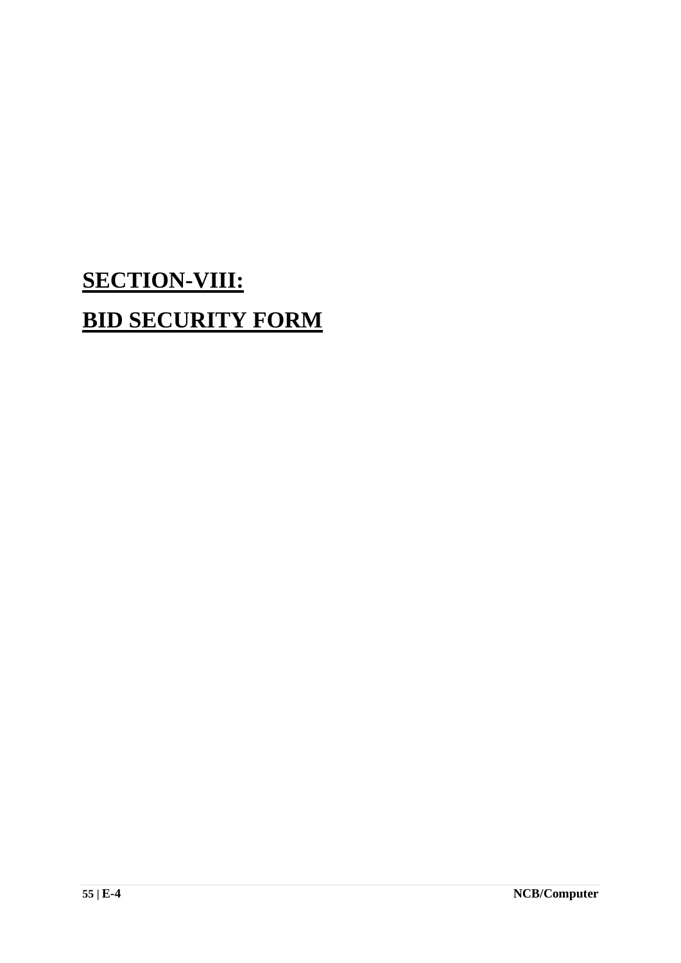# **SECTION-VIII: BID SECURITY FORM**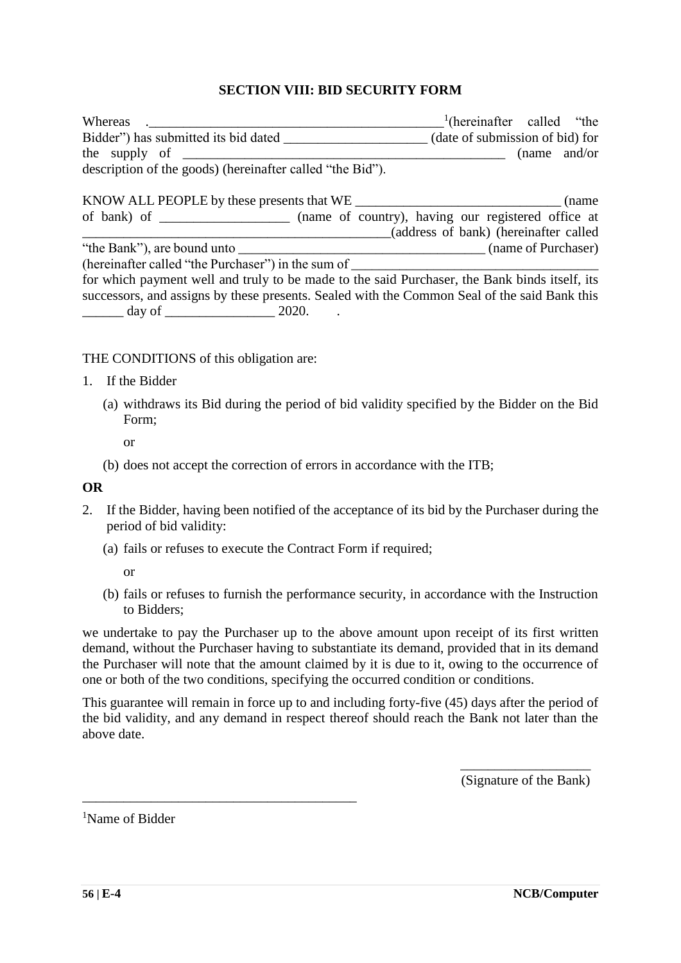#### **SECTION VIII: BID SECURITY FORM**

| Whereas                                                                                       | $\frac{1}{2}$ (hereinafter called "the |
|-----------------------------------------------------------------------------------------------|----------------------------------------|
| Bidder") has submitted its bid dated (date of submission of bid) for                          |                                        |
|                                                                                               | (name and/or)                          |
| description of the goods) (hereinafter called "the Bid").                                     |                                        |
|                                                                                               |                                        |
| KNOW ALL PEOPLE by these presents that WE                                                     | (name)                                 |
| of bank) of ________________ (name of country), having our registered office at               |                                        |
|                                                                                               | (address of bank) (hereinafter called  |
|                                                                                               |                                        |
| (hereinafter called "the Purchaser") in the sum of _____________________________              |                                        |
| for which payment well and truly to be made to the said Purchaser, the Bank binds itself, its |                                        |
| successors, and assigns by these presents. Sealed with the Common Seal of the said Bank this  |                                        |
| $\frac{1}{2020}$ day of $\frac{1}{2020}$ .                                                    |                                        |

THE CONDITIONS of this obligation are:

- 1. If the Bidder
	- (a) withdraws its Bid during the period of bid validity specified by the Bidder on the Bid Form;
		- or
	- (b) does not accept the correction of errors in accordance with the ITB;

#### **OR**

- 2. If the Bidder, having been notified of the acceptance of its bid by the Purchaser during the period of bid validity:
	- (a) fails or refuses to execute the Contract Form if required;

or

(b) fails or refuses to furnish the performance security, in accordance with the Instruction to Bidders;

we undertake to pay the Purchaser up to the above amount upon receipt of its first written demand, without the Purchaser having to substantiate its demand, provided that in its demand the Purchaser will note that the amount claimed by it is due to it, owing to the occurrence of one or both of the two conditions, specifying the occurred condition or conditions.

This guarantee will remain in force up to and including forty-five (45) days after the period of the bid validity, and any demand in respect thereof should reach the Bank not later than the above date.

> \_\_\_\_\_\_\_\_\_\_\_\_\_\_\_\_\_\_\_ (Signature of the Bank)

<sup>1</sup>Name of Bidder

\_\_\_\_\_\_\_\_\_\_\_\_\_\_\_\_\_\_\_\_\_\_\_\_\_\_\_\_\_\_\_\_\_\_\_\_\_\_\_\_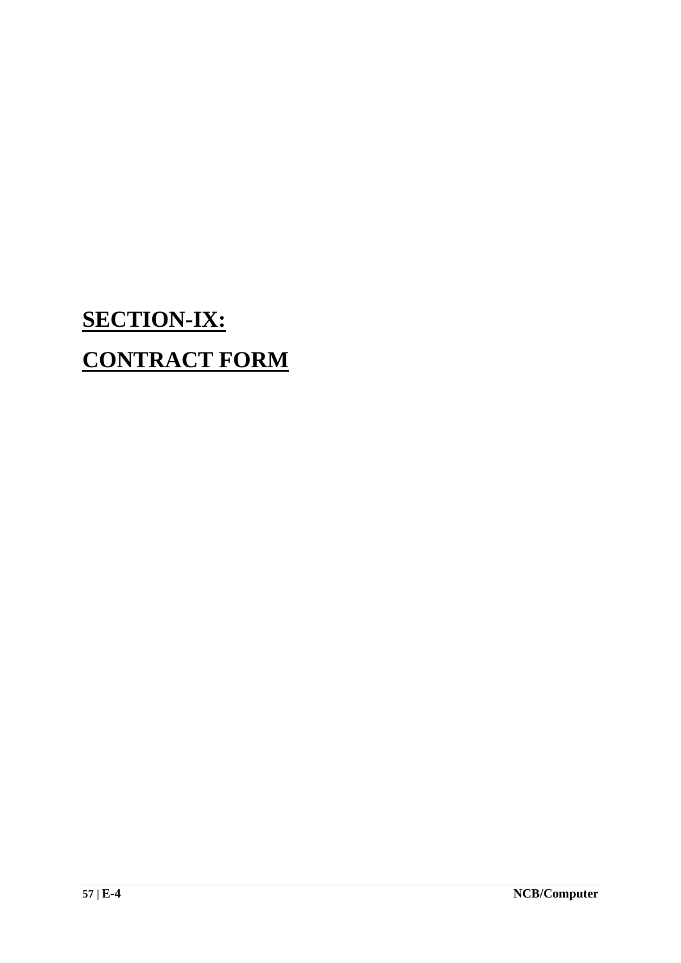# **SECTION-IX: CONTRACT FORM**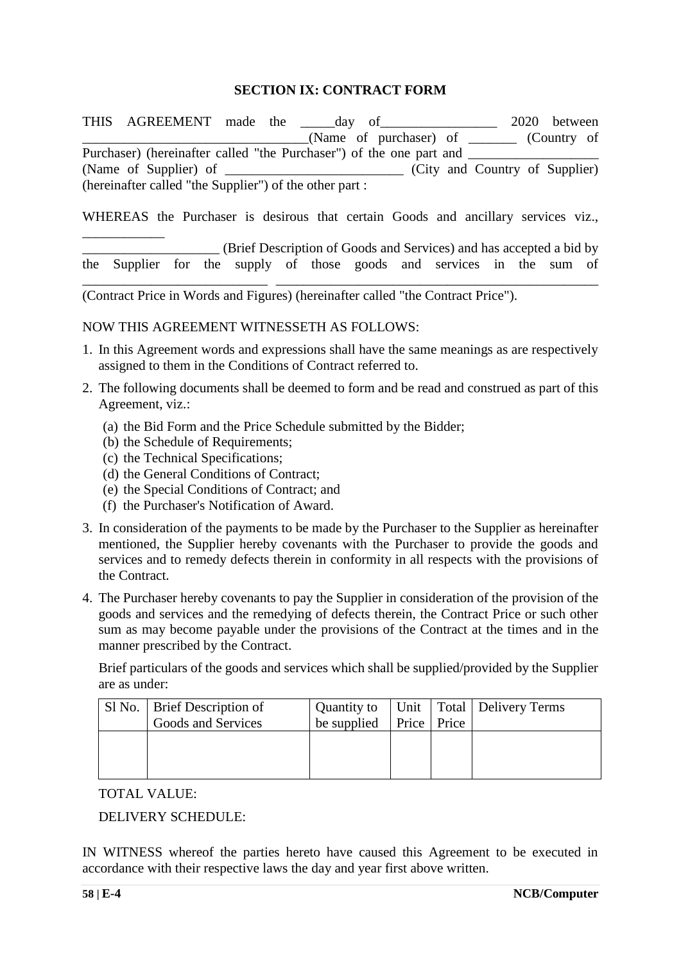#### **SECTION IX: CONTRACT FORM**

THIS AGREEMENT made the day of 2020 between \_\_\_\_\_\_\_\_\_\_\_\_\_\_\_\_\_\_\_\_\_\_\_\_\_\_\_\_\_\_\_\_\_(Name of purchaser) of \_\_\_\_\_\_\_ (Country of Purchaser) (hereinafter called "the Purchaser") of the one part and (Name of Supplier) of  $\qquad \qquad$  (City and Country of Supplier) (hereinafter called "the Supplier") of the other part :

WHEREAS the Purchaser is desirous that certain Goods and ancillary services viz.,

\_\_\_\_\_\_\_\_\_\_\_\_\_\_\_\_\_\_\_\_ (Brief Description of Goods and Services) and has accepted a bid by the Supplier for the supply of those goods and services in the sum of \_\_\_\_\_\_\_\_\_\_\_\_\_\_\_\_\_\_\_\_\_\_\_\_\_\_\_ \_\_\_\_\_\_\_\_\_\_\_\_\_\_\_\_\_\_\_\_\_\_\_\_\_\_\_\_\_\_\_\_\_\_\_\_\_\_\_\_\_\_\_\_\_\_\_

(Contract Price in Words and Figures) (hereinafter called "the Contract Price").

#### NOW THIS AGREEMENT WITNESSETH AS FOLLOWS:

- 1. In this Agreement words and expressions shall have the same meanings as are respectively assigned to them in the Conditions of Contract referred to.
- 2. The following documents shall be deemed to form and be read and construed as part of this Agreement, viz.:
	- (a) the Bid Form and the Price Schedule submitted by the Bidder;
	- (b) the Schedule of Requirements;
	- (c) the Technical Specifications;

\_\_\_\_\_\_\_\_\_\_\_\_

- (d) the General Conditions of Contract;
- (e) the Special Conditions of Contract; and
- (f) the Purchaser's Notification of Award.
- 3. In consideration of the payments to be made by the Purchaser to the Supplier as hereinafter mentioned, the Supplier hereby covenants with the Purchaser to provide the goods and services and to remedy defects therein in conformity in all respects with the provisions of the Contract.
- 4. The Purchaser hereby covenants to pay the Supplier in consideration of the provision of the goods and services and the remedying of defects therein, the Contract Price or such other sum as may become payable under the provisions of the Contract at the times and in the manner prescribed by the Contract.

Brief particulars of the goods and services which shall be supplied/provided by the Supplier are as under:

| Sl No.   Brief Description of |                                         |  | Quantity to   Unit   Total   Delivery Terms |
|-------------------------------|-----------------------------------------|--|---------------------------------------------|
| Goods and Services            | be supplied $\vert$ Price $\vert$ Price |  |                                             |
|                               |                                         |  |                                             |
|                               |                                         |  |                                             |
|                               |                                         |  |                                             |

TOTAL VALUE:

DELIVERY SCHEDULE:

IN WITNESS whereof the parties hereto have caused this Agreement to be executed in accordance with their respective laws the day and year first above written.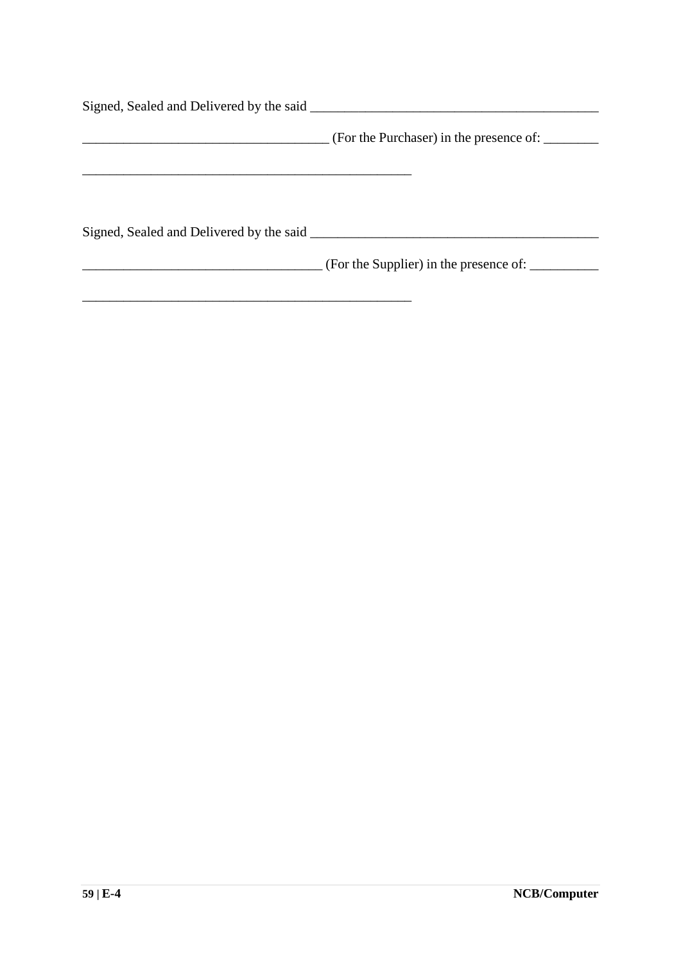|                                          | (For the Purchaser) in the presence of: |
|------------------------------------------|-----------------------------------------|
|                                          |                                         |
| Signed, Sealed and Delivered by the said |                                         |
|                                          |                                         |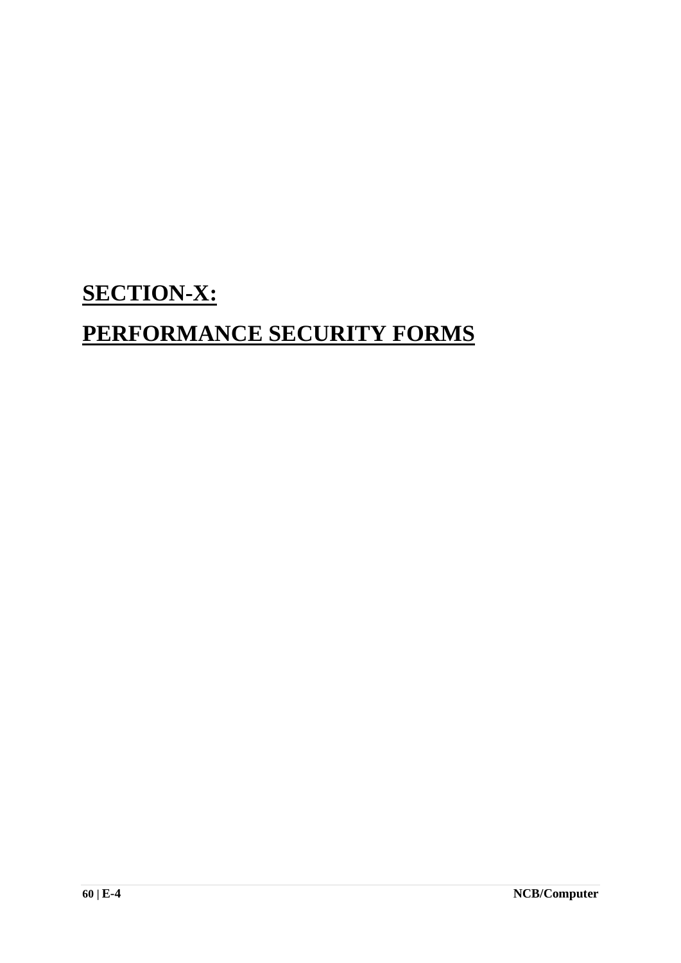## **SECTION-X:**

## **PERFORMANCE SECURITY FORMS**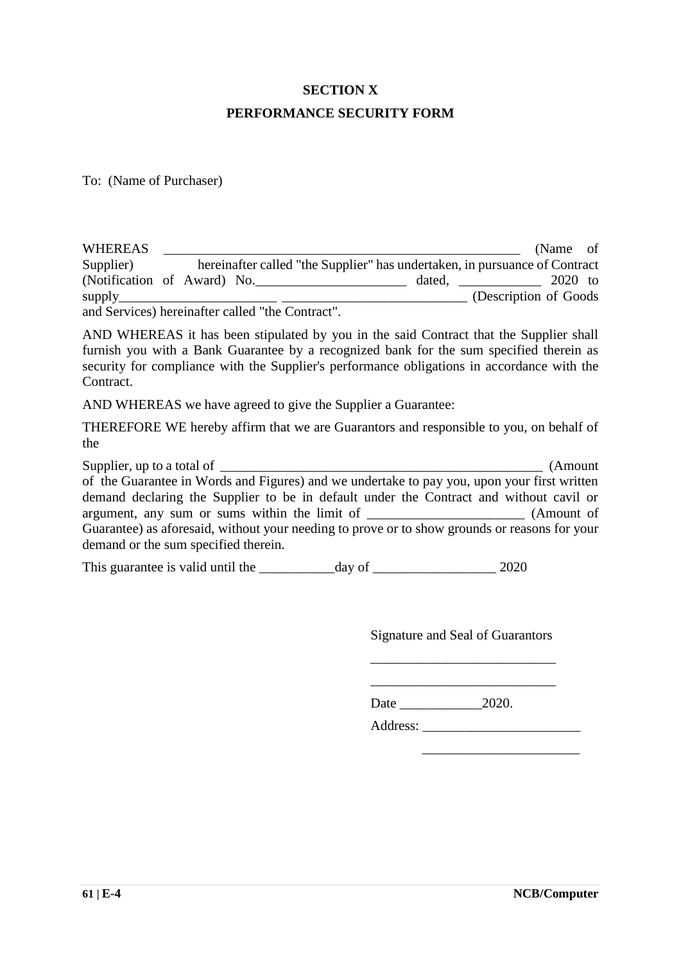## **SECTION X PERFORMANCE SECURITY FORM**

To: (Name of Purchaser)

| <b>WHEREAS</b> |  |                                                                            | (Name of               |  |
|----------------|--|----------------------------------------------------------------------------|------------------------|--|
| Supplier)      |  | hereinafter called "the Supplier" has undertaken, in pursuance of Contract |                        |  |
|                |  | (Notification of Award) No.<br>dated,                                      | 2020 to                |  |
|                |  |                                                                            | (Description of Goods) |  |
|                |  | and Services) hereinafter called "the Contract".                           |                        |  |

AND WHEREAS it has been stipulated by you in the said Contract that the Supplier shall furnish you with a Bank Guarantee by a recognized bank for the sum specified therein as security for compliance with the Supplier's performance obligations in accordance with the Contract.

AND WHEREAS we have agreed to give the Supplier a Guarantee:

THEREFORE WE hereby affirm that we are Guarantors and responsible to you, on behalf of the

Supplier, up to a total of \_\_\_\_\_\_\_\_\_\_\_\_\_\_\_\_\_\_\_\_\_\_\_\_\_\_\_\_\_\_\_\_\_\_\_\_\_\_\_\_\_\_\_\_\_\_\_ (Amount of the Guarantee in Words and Figures) and we undertake to pay you, upon your first written demand declaring the Supplier to be in default under the Contract and without cavil or argument, any sum or sums within the limit of \_\_\_\_\_\_\_\_\_\_\_\_\_\_\_\_\_\_\_\_\_\_\_ (Amount of Guarantee) as aforesaid, without your needing to prove or to show grounds or reasons for your demand or the sum specified therein.

This guarantee is valid until the day of 2020

Signature and Seal of Guarantors \_\_\_\_\_\_\_\_\_\_\_\_\_\_\_\_\_\_\_\_\_\_\_\_\_\_\_

\_\_\_\_\_\_\_\_\_\_\_\_\_\_\_\_\_\_\_\_\_\_\_\_\_\_\_

Date \_\_\_\_\_\_\_\_\_\_\_\_2020.

Address: \_\_\_\_\_\_\_\_\_\_\_\_\_\_\_\_\_\_\_\_\_\_\_

 $\overline{\phantom{a}}$  , which is a set of the set of the set of the set of the set of the set of the set of the set of the set of the set of the set of the set of the set of the set of the set of the set of the set of the set of th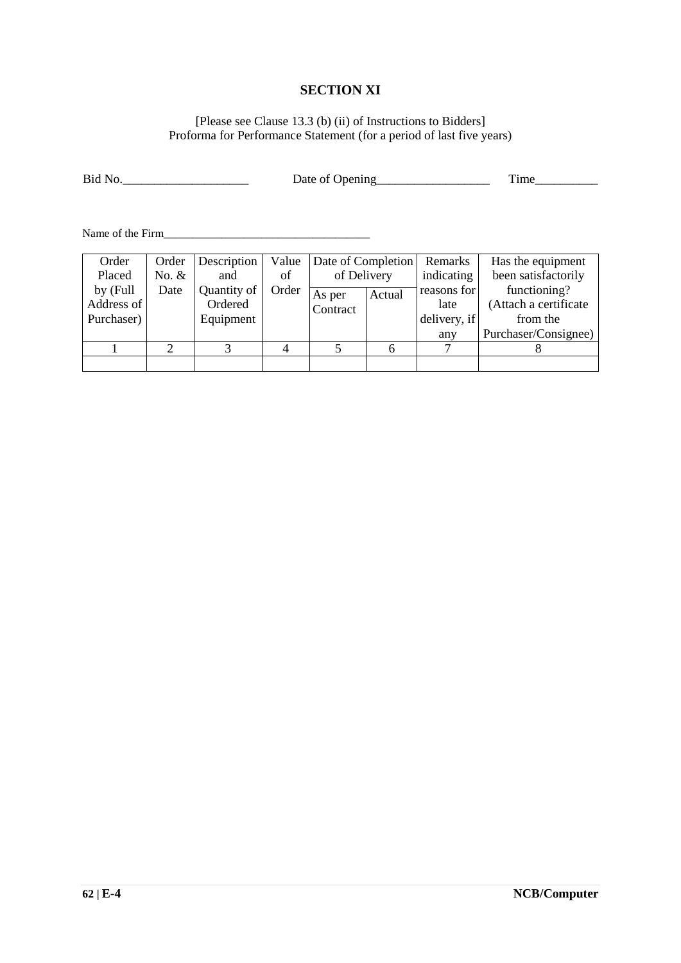#### **SECTION XI**

#### [Please see Clause 13.3 (b) (ii) of Instructions to Bidders] Proforma for Performance Statement (for a period of last five years)

| Bid No. | Date of Opening | m.<br>. ime |
|---------|-----------------|-------------|
|         |                 |             |

Name of the Firm\_\_\_\_\_\_\_\_\_\_\_\_\_\_\_\_\_\_\_\_\_\_\_\_\_\_\_\_\_\_\_\_\_\_\_\_

| Order      | Order   | Description | Value | Date of Completion |  | Remarks      | Has the equipment    |  |      |                       |
|------------|---------|-------------|-------|--------------------|--|--------------|----------------------|--|------|-----------------------|
| Placed     | No. $&$ | and         | of    | of Delivery        |  | indicating   | been satisfactorily  |  |      |                       |
| by (Full   | Date    | Quantity of | Order | Actual<br>As per   |  | reasons for  | functioning?         |  |      |                       |
| Address of |         | Ordered     |       |                    |  |              | Contract             |  | late | (Attach a certificate |
| Purchaser) |         | Equipment   |       |                    |  | delivery, if | from the             |  |      |                       |
|            |         |             |       |                    |  | any          | Purchaser/Consignee) |  |      |                       |
|            |         |             |       |                    |  |              |                      |  |      |                       |
|            |         |             |       |                    |  |              |                      |  |      |                       |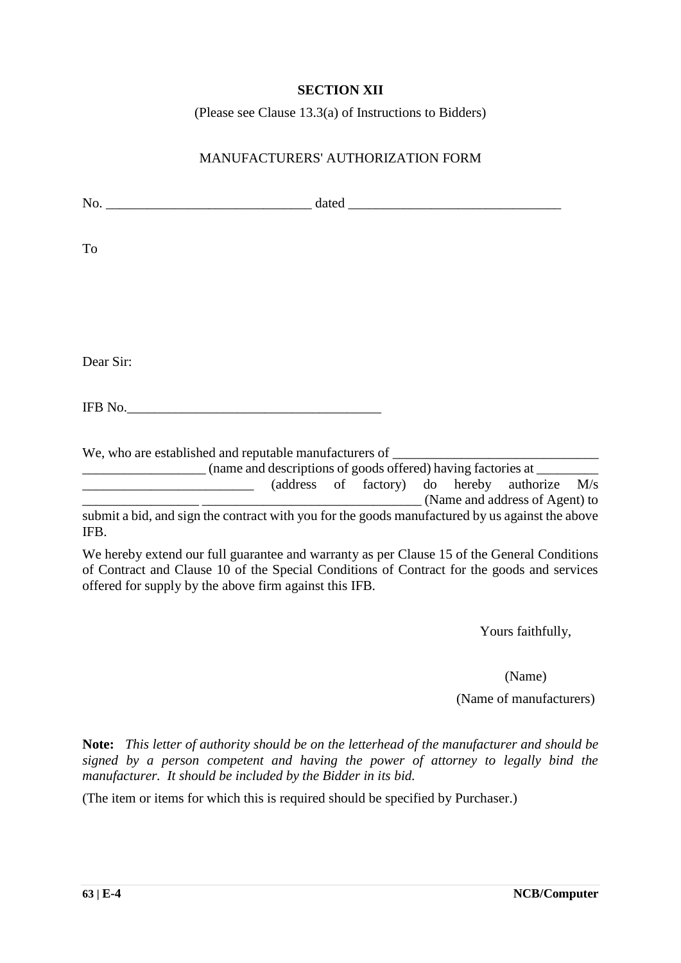#### **SECTION XII**

(Please see Clause 13.3(a) of Instructions to Bidders)

#### MANUFACTURERS' AUTHORIZATION FORM

| To                                                                                                                                                                                                                                                  |                                |  |  |
|-----------------------------------------------------------------------------------------------------------------------------------------------------------------------------------------------------------------------------------------------------|--------------------------------|--|--|
|                                                                                                                                                                                                                                                     |                                |  |  |
|                                                                                                                                                                                                                                                     |                                |  |  |
| Dear Sir:                                                                                                                                                                                                                                           |                                |  |  |
| IFB No.                                                                                                                                                                                                                                             |                                |  |  |
|                                                                                                                                                                                                                                                     |                                |  |  |
| (address of factory) do hereby authorize M/s                                                                                                                                                                                                        | (Name and address of Agent) to |  |  |
| submit a bid, and sign the contract with you for the goods manufactured by us against the above<br>IFB.                                                                                                                                             |                                |  |  |
| We hereby extend our full guarantee and warranty as per Clause 15 of the General Conditions<br>of Contract and Clause 10 of the Special Conditions of Contract for the goods and services<br>offered for supply by the above firm against this IFB. |                                |  |  |

Yours faithfully,

(Name)

(Name of manufacturers)

**Note:** *This letter of authority should be on the letterhead of the manufacturer and should be signed by a person competent and having the power of attorney to legally bind the manufacturer. It should be included by the Bidder in its bid.*

(The item or items for which this is required should be specified by Purchaser.)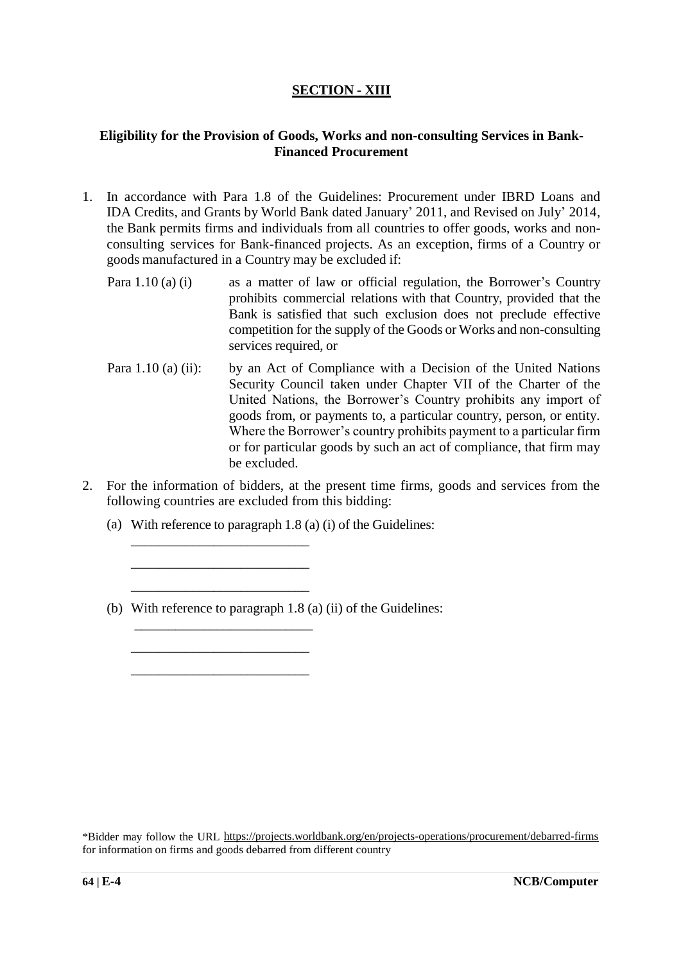#### **SECTION - XIII**

#### **Eligibility for the Provision of Goods, Works and non-consulting Services in Bank-Financed Procurement**

- 1. In accordance with Para 1.8 of the Guidelines: Procurement under IBRD Loans and IDA Credits, and Grants by World Bank dated January' 2011, and Revised on July' 2014, the Bank permits firms and individuals from all countries to offer goods, works and nonconsulting services for Bank-financed projects. As an exception, firms of a Country or goods manufactured in a Country may be excluded if:
	- Para 1.10 (a) (i) as a matter of law or official regulation, the Borrower's Country prohibits commercial relations with that Country, provided that the Bank is satisfied that such exclusion does not preclude effective competition for the supply of the Goods or Works and non-consulting services required, or
	- Para 1.10 (a) (ii): by an Act of Compliance with a Decision of the United Nations Security Council taken under Chapter VII of the Charter of the United Nations, the Borrower's Country prohibits any import of goods from, or payments to, a particular country, person, or entity. Where the Borrower's country prohibits payment to a particular firm or for particular goods by such an act of compliance, that firm may be excluded.
- 2. For the information of bidders, at the present time firms, goods and services from the following countries are excluded from this bidding:
	- (a) With reference to paragraph 1.8 (a) (i) of the Guidelines:

\_\_\_\_\_\_\_\_\_\_\_\_\_\_\_\_\_\_\_\_\_\_\_\_\_\_ \_\_\_\_\_\_\_\_\_\_\_\_\_\_\_\_\_\_\_\_\_\_\_\_\_\_ \_\_\_\_\_\_\_\_\_\_\_\_\_\_\_\_\_\_\_\_\_\_\_\_\_\_

\_\_\_\_\_\_\_\_\_\_\_\_\_\_\_\_\_\_\_\_\_\_\_\_\_\_ \_\_\_\_\_\_\_\_\_\_\_\_\_\_\_\_\_\_\_\_\_\_\_\_\_\_

(b) With reference to paragraph 1.8 (a) (ii) of the Guidelines: \_\_\_\_\_\_\_\_\_\_\_\_\_\_\_\_\_\_\_\_\_\_\_\_\_\_

<sup>\*</sup>Bidder may follow the URL<https://projects.worldbank.org/en/projects-operations/procurement/debarred-firms> for information on firms and goods debarred from different country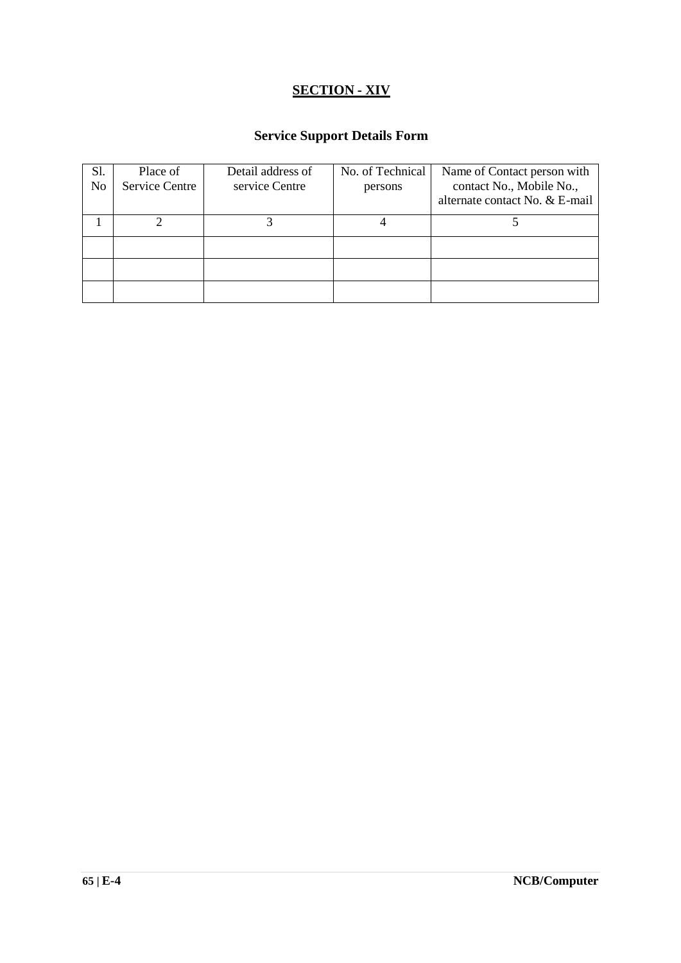### **SECTION - XIV**

## **Service Support Details Form**

| <b>S</b> 1.<br>N <sub>0</sub> | Place of<br>Service Centre | Detail address of<br>service Centre | No. of Technical<br>persons | Name of Contact person with<br>contact No., Mobile No.,<br>alternate contact No. & E-mail |
|-------------------------------|----------------------------|-------------------------------------|-----------------------------|-------------------------------------------------------------------------------------------|
|                               |                            |                                     |                             |                                                                                           |
|                               |                            |                                     |                             |                                                                                           |
|                               |                            |                                     |                             |                                                                                           |
|                               |                            |                                     |                             |                                                                                           |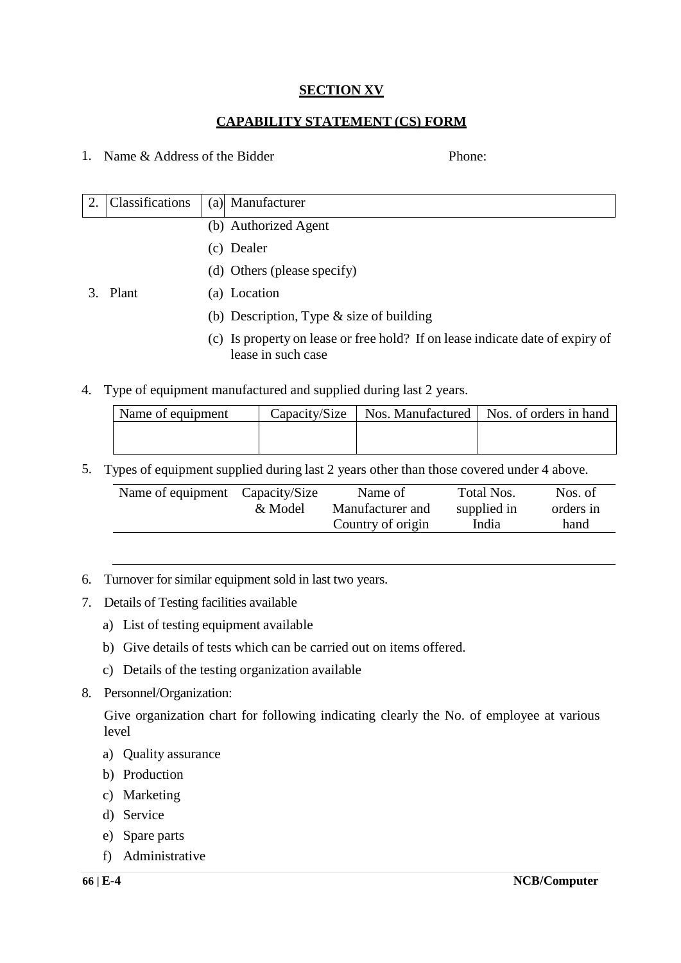#### **SECTION XV**

#### **CAPABILITY STATEMENT (CS) FORM**

1. Name & Address of the Bidder Phone:

| Classifications | (a) Manufacturer                                                                                    |
|-----------------|-----------------------------------------------------------------------------------------------------|
|                 | (b) Authorized Agent                                                                                |
|                 | (c) Dealer                                                                                          |
|                 | (d) Others (please specify)                                                                         |
| 3. Plant        | (a) Location                                                                                        |
|                 | (b) Description, Type $\&$ size of building                                                         |
|                 | (c) Is property on lease or free hold? If on lease indicate date of expiry of<br>lease in such case |

4. Type of equipment manufactured and supplied during last 2 years.

| Name of equipment |  | Capacity/Size   Nos. Manufactured   Nos. of orders in hand |
|-------------------|--|------------------------------------------------------------|
|                   |  |                                                            |
|                   |  |                                                            |

5. Types of equipment supplied during last 2 years other than those covered under 4 above.

| Name of equipment Capacity/Size | & Model | Name of<br>Manufacturer and<br>Country of origin | Total Nos.<br>supplied in<br>India | Nos. of<br>orders in<br>hand |
|---------------------------------|---------|--------------------------------------------------|------------------------------------|------------------------------|
|                                 |         |                                                  |                                    |                              |

- 6. Turnover for similar equipment sold in last two years.
- 7. Details of Testing facilities available
	- a) List of testing equipment available
	- b) Give details of tests which can be carried out on items offered.
	- c) Details of the testing organization available
- 8. Personnel/Organization:

Give organization chart for following indicating clearly the No. of employee at various level

- a) Quality assurance
- b) Production
- c) Marketing
- d) Service
- e) Spare parts
- f) Administrative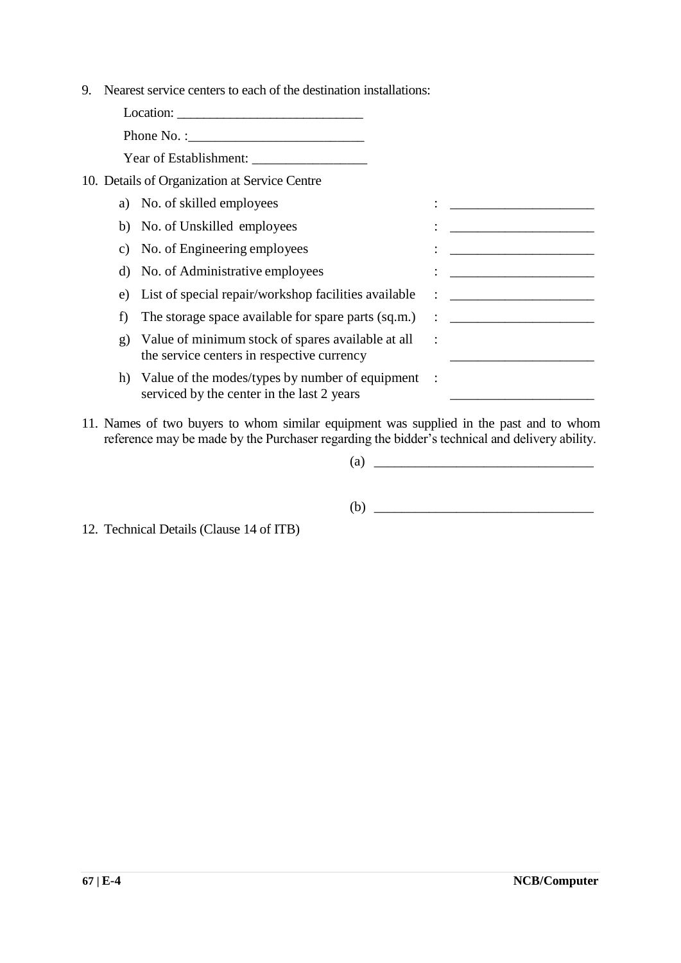9. Nearest service centers to each of the destination installations:

|              | Phone No. : $\frac{1}{2}$                                                                          |                                                                                                                      |
|--------------|----------------------------------------------------------------------------------------------------|----------------------------------------------------------------------------------------------------------------------|
|              |                                                                                                    |                                                                                                                      |
|              | 10. Details of Organization at Service Centre                                                      |                                                                                                                      |
|              | a) No. of skilled employees                                                                        |                                                                                                                      |
| b)           | No. of Unskilled employees                                                                         |                                                                                                                      |
| C)           | No. of Engineering employees                                                                       |                                                                                                                      |
| d)           | No. of Administrative employees                                                                    |                                                                                                                      |
| e)           | List of special repair/workshop facilities available                                               | <u> 1989 - Andrea Aonaich an t-Aonaich an t-Aonaich an t-Aonaich an t-Aonaich an t-Aonaich an t-Aonaich an t-Aon</u> |
| f)           | The storage space available for spare parts (sq.m.)                                                | <u> 1980 - Andrea Station Barbara, amerikan per</u>                                                                  |
| $\mathbf{g}$ | Value of minimum stock of spares available at all<br>the service centers in respective currency    |                                                                                                                      |
|              | h) Value of the modes/types by number of equipment :<br>serviced by the center in the last 2 years |                                                                                                                      |

11. Names of two buyers to whom similar equipment was supplied in the past and to whom reference may be made by the Purchaser regarding the bidder's technical and delivery ability.

(a)  $\qquad \qquad$ 

(b) \_\_\_\_\_\_\_\_\_\_\_\_\_\_\_\_\_\_\_\_\_\_\_\_\_\_\_\_\_\_\_\_

12. Technical Details (Clause 14 of ITB)